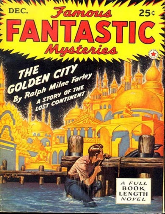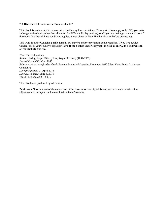#### **\* A Distributed Proofreaders Canada Ebook \***

This ebook is made available at no cost and with very few restrictions. These restrictions apply only if (1) you make a change in the ebook (other than alteration for different display devices), or (2) you are making commercial use of the ebook. If either of these conditions applies, please check with an FP administrator before proceeding.

This work is in the Canadian public domain, but may be under copyright in some countries. If you live outside Canada, check your country's copyright laws. **If the book is under copyright in your country, do not download or redistribute this file.**

*Title:* The Golden City *Author:* Farley, Ralph Milne [Hoar, Roger Sherman] (1887-1963) *Date of first publication:* 1933 *Edition used as base for this ebook:* Famous Fantastic Mysteries, December 1942 [New York: Frank A. Munsey Company] *Date first posted:* 21 April 2018 *Date last updated:* June 4, 2018 Faded Page ebook#20180619

This ebook was produced by Al Haines

**Publisher's Note:** As part of the conversion of the book to its new digital format, we have made certain minor adjustments in its layout, and have added a table of contents.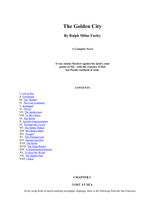# **The Golden City**

## **By Ralph Milne Farley**

**A Complete Novel**

**It was Adams Mayhew against the** *Spider***, mad genius of Mu—with the existence of that lost Pacific continent at stake**

#### **CONTENTS**

I. [Lost](#page-2-0) at Sea II. [Overboard](#page-5-0) III. The ["Spider"](#page-9-0) IV. The Lost [Continent](#page-13-0) V. [Kidnaped](#page-18-0) VI. ["Porto"](#page-22-0) VII. The [Spider-men](#page-28-0) VIII. To Be a [Slave](#page-31-0) IX. The [Storm](#page-35-0) X. Another [Impersonation](#page-36-0) XI. [Through](#page-40-0) the Crystal XII. The Spider [Strikes](#page-45-0) XIII. Mu [Strikes](#page-52-0) Back XIV. [Escape?](#page-59-0) XV. The [Flaming](#page-66-0) God XVI. Human [Sacrifice](#page-70-0) XVII. The [Knife](#page-72-0) XVIII. The Dead [Return](#page-75-0) XIX. A [Hunchbacked](#page-78-0) Samson XX. To Save the [World](#page-82-0) XXI. The [Spider](#page-87-0) Dies XXII. [Chaos!](#page-90-0)

## **CHAPTER I**

## **LOST AT SEA**

<span id="page-2-0"></span>In my scrap book of epoch-marking newspaper clippings, there is the following from the San Francisco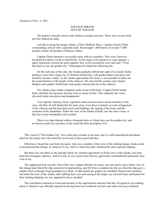#### STRANGE MIRAGE SEEN BY WHALER

The harbor is literally strewn with whalers at anchor just now. There were several fresh arrivals chalked up today.

Late this evening the barque Alaska, of New Bedford, Mass., Captain Charles Fisher commanding, arrived with a splendid catch. She brought 1,400 barrels of oil and 17,000 pounds of bone, the product of thirteen whales.

Captain Fisher reported a successful cruise with no casualties. They were, however, becalmed for about a week in mid-Pacific. At this stage in his narrative to your reporter, a queer expression crossed the good captain's face, as he lowered his voice and said, "'Twas then that we saw the golden city." Whereupon he related the following tale:

On the sixth day of the calm, the Alaska gradually drifted into sight of an island, finally getting so close that a large city of Oriental architecture, with golden domes and spires and minarets, became visible. As the Alaska approached still closer, it was possible to make out the actual features of the people of the wharves. The men and the women wore striped blankets and sandals. Small boats with gaudy-colored sails lay at the wharves.

The Alaska came within a hundred yards of one of the boats. Captain Fisher hailed them, and blew his fog-horn, but they took no notice of him. Then suddenly the vision shivered, broke into pieces and disappeared.

Your reporter, fearing a hoax, separately interviewed at least a dozen members of the crew, and they all told identically the same story, even down to details as to the arrangement of the wharves and the principal streets and buildings, the rigging of the boats, and the costumes of the inhabitants. Either the crew of the Alaska actually saw the same vision, or they have been remarkably well coached.

There is no land charted within a thousand miles of where they saw the golden city, and no known actual city anywhere in the world fits their description of it.

This vision of "The Golden City" was a nine-days-wonder at the time, and it is still remembered and talked about by the sturdy men who sailed the seven seas in those good old days.

Often have I heard the yarn from my uncle, who was a member of the crew of the whaling barque Alaska when it encountered that mirage, or whatever it was. And it is from him that I obtained the above-quoted clipping.

But there was one phase to the episode which, by common agreement of all the crew of the Alaska, was kept from the newspaper reporters. And it is only in very recent years that my aged uncle vouchsafed this particular story even to me.

The suppressed item was this: One of the crew, Adams Mayhew by name, was sent aloft to get a better view of the strange land which the ship seemed to be approaching, and fell from a yardarm into the sea when the ship gave a sudden lurch as though it had grounded on a shoal. At that instant the golden city trembled, blurred and vanished; and when the crew of the Alaska, after rubbing their eyes and staring at the empty sea, lowered boats and hunted for their missing shipmate, he, too, appeared to have vanished.

The coincidence seemed so weird and uncanny to the superstitious mariners that they all agreed to say nothing about it. Mayhew was officially reported as having been lost overboard; but how and when was never detailed.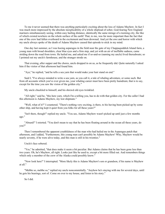To me it never seemed that there was anything particularly exciting about the loss of Adams Mayhew. In fact I was much more impressed by the absolute inexplicability of a whole shipload of sober, God-fearing New England mariners simultaneously seeing, within easy hailing distance, identically the same mirage of a teeming city, the like of which existed nowhere on the whole surface of the earth! That, to me, was far more important than the fact that one of the crew had fallen overboard in the excitement and been drowned. And yet the awe and horror with which my uncle always spoke of the death of Adams Mayhew caused that episode to stick in my mind.

One day last summer, as I was hoeing asparagus in the field near the gate of my Chappaquiddick Island farm, a young man with broad shoulders, clear blue eyes and a firm step, and yet with an air of ineffable sadness, came striding down the road from town. He hailed me, and asked me if so-and-so (naming my uncle) lived thereabouts; so I pointed out my uncle's farmhouse, and the stranger strode on.

That evening, after supper and the chores, uncle dropped in on us, as he frequently did. Quite naturally I asked him if the visitor of that afternoon had found him.

"Aye," he replied, "and he tells a sea yarn that would make your hair stand on end."

Said I, "I've always minded to write a sea yarn, as you call it, a tale of whaling adventure, or some such. But from all accounts which you've ever given me, your whaling career must have been pretty humdrum; that is to say, except for the time you saw the vision of the golden city."

My uncle chuckled to himself, and his shrewd old eyes twinkled.

"All right," said he, "this here yarn, which I'm a-telling you, has to do with that golden city. For the caller I had this afternoon is Adams Mayhew, my lost shipmate."

"Well, what of it?" I countered. "There's nothing very exciting, is there, to his having been picked up by some other ship, and having kept it quiet from you folks for all these years?"

"Isn't there, though!" replied my uncle. "You see, Adams Mayhew wasn't picked up until just a few months ago."

"Absurd!" I retorted. "You don't mean to say that he has been floating around in the ocean all these years, do you?"

Then I remembered the apparent youthfulness of the man who had hailed me in the Asparagus patch that afternoon, and I added, "Furthermore, this young man can't possibly be Adams Mayhew! Why, Mayhew would be nearly seventy, if he were alive today, and this man is still in his twenties."

#### Uncle's face sobered.

"Yes," he admitted, "that does make it seem a bit peculiar. But Adams claims that he has been gone less than two years. Oh, he's Mayhew, all right. Looks just like he used to, except a bit more filled out. And remembers things which only a member of the crew of the Alaska could possibly know."

"Now look here!" I interrupted. "More likely this is Adams Mayhew's son or grandson, if his name is Mayhew at all."

"Mebbe so, mebbe so," replied my uncle noncommittally. "Anyhow he's staying with me for several days, until he gets his bearings, sort of. Come on over to my house, and listen to his story."

So I did.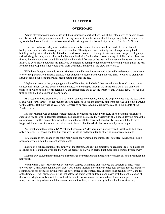## **CHAPTER II**

#### **OVERBOARD**

<span id="page-5-0"></span>Adams Mayhew's own story tallies with the newspaper report of the vision of the golden city, as quoted above, and also with the whispered account of his having been sent into the tops with a telescope to get a better view of the lay of the land toward which the Alaska was slowly drifting over the hot and oily surface of the Pacific Ocean.

From his perch aloft, Mayhew could see considerably more of the city than from on deck. In the distant background there stood a smoking volcanic mountain. The city itself was certainly one of magnificent gilded buildings and great wealth. Gaily clothed men and women sauntered through its streets. Ornate barges, with gaudy striped triangular sails, were lading and unlading at its docks. Such a short distance away did it lie, and so clear was the air, that the young man could distinguish the individual features of the men and women on the nearest wharves. In fact, he even picked out, with his glass, one young girl as being prettier and more interesting looking than the rest. He hoped that Captain Fisher would dock there overnight, and give all the crew shore-leave.

With these thoughts in mind, Adams Mayhew craned his neck forward and adjusted his telescope to get a better view of the particularly attractive blonde, when suddenly it seemed as though the yard-arm, to which he clung, was abruptly jerked out from under him, precipitating him into the sea.

Mayhew was one of the younger generation of New Bedford whale-fishermen who had learned how to swim, an accomplishment scorned by his older shipmates. As he dropped through the air he came out of the sprawled position in which he had left his perch aloft, and straightened out to cut the water cleanly with his feet. He even had time to grab hold of his nose with one hand.

As a result of these precautions he was neither stunned nor choked, but he did go pretty deep into the sea. When at last, with sturdy strokes, he reached the surface again, he shook the dripping hair from his eyes and looked around for the Alaska. But the whaling vessel was nowhere to be seen. Adams Mayhew was alone in the middle of the Pacific Ocean.

His first reaction was complete stupefaction and bewilderment, tinged with fear. Then a rational explanation suggested itself: some underwater cataclysm had suddenly destroyed the vessel with all on board, leaving him as the sole survivor. But this explanation wasn't so rational after all, for there had been hardly time for all this to have happened, but at least it was more sensible than to believe that the Alaska had vanished by sheer magic.

And what about the golden city? What had become of it? Mayhew knew perfectly well that the city had been only a mirage. His reason had told him this, even while he had been intently studying its apparent actuality.

Yet, strange to say, although the solid real Alaska had vanished, the mirage still persisted. What good could a phantom city do him in his present predicament?

In spite of a full realization of the futility of the attempt, and cursing himself for a credulous fool, he kicked off his shoes and set out hand over hand toward the nearest dock, which seemed not more than a hundred yards away.

Momentarily expecting the mirage to disappear as he approached it, he nevertheless kept on; and the mirage did not vanish.

When within a few feet of the wharf, Mayhew stopped swimming and surveyed the structure of piles which towered above him. Although he knew that it was a mere illusion, it certainly seemed real enough. Its cool shade felt soothing after his strenuous swim across the oily surface of the tropical sea. The ripples lapped hollowly at the foot of the timbers. Green seaweed, clinging just below the water-level, sudsed up and down with the gentle motion of the waves. Mayhew sadly shook his head. All he had to do was reach out his hand and touch some part of this mirage, in order to produce much the same effect on it as though it were a soap-bubble that he was touching.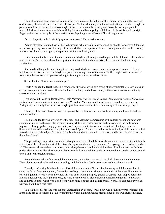Then of a sudden hope occurred to him: if he were to pierce the bubble of this mirage, would not that very act of destroying the unreal restore the real—the barque Alaska, which might not have sunk after all! At that thought, a panic seized him, a fear lest the Alaska might at that very moment be silently and invisibly drifting beyond his reach. All ideas of shore-leaves with beautiful golden-haired blue-eyed girls left him. He thrust forward one rigid finger against the nearest pile of the wharf, as though poking at an iridescent film of soapy water.

But the fingertip jabbed painfully against solid wood! The wharf was real!

Adams Mayhew let out a howl of baffled surprise, which was instantly echoed by shouts from above. Glancing up, he saw, peering down over the edge of the wharf, the very unpleasant face of a young man of about his own age. It was weak chinned, thin lipped, sharp nosed, vicious, and shifty eyed.

For a moment the two men stared at each other. Mayhew's face registered hope, and the deference of one about to ask a favor. But the face above him registered first incredulity, then surprise, then fear, and finally a smug satisfaction.

It seemed as though the man thought he recognized Mayhew—as an enemy, a dangerous enemy—but now helpless, and in his clutches. But Mayhew's problem was to get out of the water. To flee might invite a shower of weapons, whereas to come up unarmed might for the present be the safest course.

So he shouted, "Please lower me a rope."

"Porto!" replied the ferret face. This strange word was followed by a string of utterly unintelligible syllables, in a very peremptory tone of voice. It sounded like a challenge and a threat; and yet there was a note of uncertainty, almost of dread, in it too.

"I'm sorry, but I can't understand you," said Mayhew. "*Parlez-vous Francais? Habla usted Español? Sprechen sie Deutsch? Amenia sabe falar am Portuguez?*" Not that Mayhew could speak any of these languages, except Portuguese; but merely that the answer might give him some clew as to the nationality of these strange people.

The eyes of the man above narrowed suspiciously. His face was withdrawn from view, and he could be heard shouting orders.

Then a rope-ladder was lowered over the side, and Mayhew clambered up with sailorly speed; and soon was standing dripping on the pier, clad in open-necked white shirt, sailor trousers and stockings, in the midst of an inquisitive throng, garbed in gayly striped togas. They seemed to know him—or to think that they knew him. Several of them addressed him, using that same word, "porto," which he had heard from the lips of the man who had looked at him over the edge of the wharf. But Mayhew did not know what to answer, and he merely stared back at them, bewildered.

The prevailing complexions were dark, though some were blond. Most of the men wore square-cut black beards at the tips of their chins, the rest of their faces being smoothly shaven; but some of the younger men had no beards at all. The women all wore their hair in long conical psyche-knots, and wore high waisted Empire gowns, with short puffed sleeves and ruffled skirt bottoms. Both sexes had sandalled feet, and arms covered with golden bands set with jewels and semi-precious stones.

Around the outskirts of the crowd there hung men, and a few women, of the black, brown and yellow races. Their clothes were simpler and more revealing, and the blacks of both sexes wore nothing above the waist.

Directly confronting Mayhew in the midst of the semi-circle of inquisitive humanity which hemmed him in stood the ferret-faced young man, flanked by two Negro henchmen. Although evidently of the prevailing race, he was clad quite differently from the others. Instead of an awning-striped, ground-sweeping toga, draped across the left shoulder, leaving the right arm bare, he wore a simple white, blue-bordered tunic, reaching only to the knees, and gathered in at the waist with a belt from which hung a pouch and a short broad-sword. His cropped curly black hair was bound by a flue fillet.

To do him credit, his face was the only unpleasant part of him, for his body was beautifully proportioned: slimhipped and broad-shouldered. Mayhew instinctively sized him up, taking mental stock of his own sturdy muscles,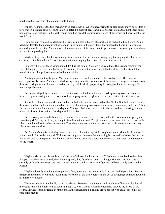toughened by two years of strenuous whale-fishing.

For several minutes the two men surveyed each other. Mayhew endeavoring to appear conciliatory, as befitted a foreigner in a strange land, yet on the alert to defend himself if necessary; his opponent with a truculent sneer on his unprepossessing features. In the background could be heard the murmuring voices of the crowd and occasionally the word "porto."

Then the man repeated to Mayhew the string of unintelligible syllables which he had put to him before. Again Mayhew detected the undercurrent of fear and uncertainty in the man's tone. He appeared to be trying to impress upon Mayhew the fact that Mayhew was at his mercy, and at the same time to get an answer to some question which seemed to be puzzling him.

Mayhew, forgetting that he was among strangers, and for the moment seeing only the single individual who confronted him, blurted out, "I don't know what you're saying, but I don't like your tone of voice."

Evidently the ferret-faced young man didn't like the tone of Mayhew's voice either. The strange sound of the English language puzzled him, but he quite evidently knew that he was being talked back to. His half-timid, half truculent sneer changed to a scowl of sudden resolution.

Pointing a peremptory finger at Mayhew, he shouted a brief command to the two Negroes. The Negroes converged warily toward Mayhew, each drawing a long scimitar from his waist. Murmurs of disapproval arose from the crowd. Mayhew wheeled and poised on the edge of the dock, preparatory to diving back into the safety of the more hospitable sea.

But he was stayed by the sound of a feminine voice behind him, the most tinkling silvery voice he had ever heard. He gave a swift glance over one shoulder, hoping to catch a glimpse of the face that went with that voice.

It was the golden-haired girl whom he had picked out from the masthead of the Alaska! She had pushed through the crowd and had laid one dainty hand on the arm of her young countryman, and was remonstrating with him. Then she turned and smiled and nodded to Mayhew. The two blacks had ceased their advance and were looking to their master for further instructions. So Mayhew did not dive.

But the young man in the blue-edged tunic was in no mood to be remonstrated with, even by such a pretty and attractive girl. Seizing her hand, he flung it from him with a snarl. The girl stumbled backward into the crowd, with a hurt, bewildered look on her cameo face. Then the young man scouted a curt order to his two minions, and they advanced a second time.

But Mayhew's Yankee chivalry caused him to be filled with rage at the rough treatment which the ferret-faced young man had accorded the girl. With one leap he passed between the advancing blacks and landed on their master. His attack was so unexpected that the man had no time to draw his sword, and the two of them went down together on the wharf.

Mayhew tried to get his hands around the other's throat, but he was cast off. Both men scrambled to their feet. Stooped low, their arms bowed, their fingers spread, they faced each other. Although Mayhew was not quite so strongly built as his opponent, he was no weakling, and catch-as-catch-can fighting had been a daily sport on the Alaska.

Mayhew, intently watching his opponent's face, noted that the man was looking past and beyond him. Sensing danger from behind, he wheeled just in time to see one of the two Negroes in the act of swinging a scimitar down on his unprotected head.

There was no time, and hardly room, to sidestep. To retreat would mean to throw himself into the clutches of the young man with whom he had been fighting. So, with a shout, which momentarily delayed the stroke of the Negro, Mayhew sprang straight at him, beneath the descending blade, and drove his fist with all his force into his bare solar-plexus.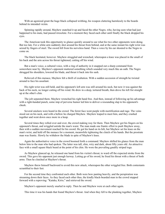With an agonized grunt the huge black collapsed writhing, his weapon clattering harmlessly to the boards behind its intended victim.

Spinning rapidly around, Mayhew snatched it up and faced the other Negro, who, having seen what had just happened to his mate, had paused irresolute. For a moment they faced each other until finally the black dropped his eyes.

The American took this opportunity to glance quickly around to see what his two other opponents were doing. But too late. For a white arm suddenly shot around his throat from behind, and at the same instant his right wrist was seized by fingers of steel. The sword fell from his nerveless hand. Then a voice by his ear shouted to the Negro to come on.

The black hesitated, however. Mayhew struggled and wrenched, whereupon a knee was placed in the small of his back and the arm across his throat tightened, cutting off his wind.

But a man's voice, a cultured voice, with a ring of authority in it snapped out a sharp command from somewhere near by. Mayhew's opponent muttered something which sounded very much like an oath. The Negro shrugged his shoulders, lowered his blade, and thrust it back into his sash.

Relieved of this menace, Mayhew felt a thrill of exultation. With a sudden accession of strength he twisted around to face his assailant.

His right wrist was still held, and his opponent's left arm was still around his neck, but now it was against the back of his neck, no longer cutting off his wind. He drew in a deep, tortured breath, then drove his left fist straight up at the other's chin.

The jolt separated them. Mayhew wrenched his right hand free. And then, instead of following up his advantage with a right-handed punch, some imp of perverse humor led him to deliver a resounding slap to his opponent's cheek.

Several snickers were heard in the crowd. The ferret face went purple with mortification and rage. The veins stood out on his neck, and with a bellow he charged Mayhew. Mayhew leaped to meet him, and they crashed together and went down once more in a heap.

Several times they rolled over and over, the crowd making way for them. Then Mayhew got his fingers on his opponent's throat, and wriggled astride the man's waist. The man made one frantic effort to push Mayhew away, then with a sudden movement reached for his sword. He got his hand on its hilt, but Mayhew set his knee on the man's wrist, and held off the menace for a moment, meanwhile tightening the clutch of his hands. But the prostrate man was frantic. Slowly he withdrew the blade in spite of Mayhew's knee.

Again the authoritative voice in the crowd boomed forth a command. Mayhew shifted his glance from the man below him to the man who had spoken. The latter was tall, slim, wiry and dark, about fifty years old. An attractive face with a small square black beard at the point of his chin. He wore the prevailing gaudily striped toga.

As Mayhew glanced up, he released one hand from his victim's throat, to ward off the expected stroke from the sword. This gave his opponent just enough leeway. Letting go of his sword, he freed his throat with a thrust of both arms. Then he clutched at Mayhew's throat.

Mayhew threw himself backward to avoid this new attack, whereupon the other wriggled free. Both contestants scrambled to their feet.

For the second time they confronted each other. Both were how panting heavily, and the perspiration was streaming down their faces. As they faced each other thus, the kindly black-bearded man in the crowd stepped forward with a reproving: "Kataka, Kirio," and retrieved the sword.

Mayhew's opponent merely snarled in reply. Then he and Mayhew were at each other again.

This time it was his hands that found Mayhew's throat. And when they fell to the planking together, Mayhew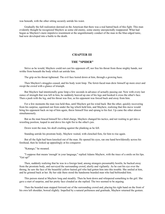was beneath, with the other sitting securely astride his waist.

Gradually the full realization dawned on the American that there was a real hatred back of this fight. This man evidently thought he recognized Mayhew as some old enemy, some enemy unexpectedly reappeared. What had begun as Mayhew's mere impulsive resentment at the ungentlemanly conduct of the man in the blue-edged tunic, had now developed into a battle to the death.

#### **CHAPTER III**

#### **THE "SPIDER"**

<span id="page-9-0"></span>Strive as he would, Mayhew could not cast his opponent off, nor free his throat from those mighty hands, nor writhe from beneath the body which sat astride him.

The grip on his throat tightened. The evil face leered down at him, through a growing haze.

Then Mayhew's struggles ceased, and his body went limp. The ferret-faced man drew himself up more erect and swept the crowd with a glance of triumph.

But Mayhew had intentionally gone limp a few seconds in advance of actually passing out. Now with every last ounce of strength that was left in him, he suddenly heaved up one of his legs and hooked it cross the other's face. Then a push with the leg, and his throat was free, as his opponent was forced back and away from him.

For a few moments the man was held thus, until Mayhew got his wind back. But the other, quickly recovering from his surprise, squirmed out from under the leg which held him, and Mayhew, realizing that this move would bring his opponent back on top of him again, threw himself free and sprang to his feet. Up came the other almost simultaneously.

But as the man braced himself for a third charge, Mayhew changed his tactics, and not waiting to get into a wrestling position, leaped in and drove his right fist to the other's jaw.

Down went the man, his skull crashing against the planking as he fell.

Standing astride his prostrate body, Mayhew waited, with clenched fists, for him to rise again.

But all the fight had been knocked out of the man. He opened his eyes, ran one hand bewilderedly across his forehead, then he looked up appealingly at his conqueror.

"Katango," he moaned.

"I suppose that means 'enough' in your language," replied Adams Mayhew, with the trace of a smile on his lips. "Get up!"

Then, suddenly realizing that he was in a foreign land, among strangers presumably hostile, he backed away from the prostrate body, and surveyed the surrounding crowd, alertly and vigilantly. As he cast his eye over the throng, he saw the face of the beautiful yellow-haired girl who had gotten him into this trouble. She smiled at him, and he grinned back at her. By her side there stood the handsome bearded man who had befriended him.

This person stared at Mayhew long and steadily. Then he bent down and whispered something to the girl. She gave a start of surprise, and her pretty face clouded as she replied. The two seemed to be arguing.

Then the bearded man stepped forward out of the surrounding crowd and, placing his right hand on the front of his own left shoulder, bowed slightly. Impelled by a natural politeness and gratitude, Mayhew returned the gesture.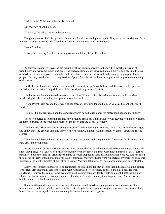"Tekuo kemel?" the man solicitously inquired.

But Mayhew shook his head.

"I'm sorry," he said, "I can't understand you."

The gentleman stroked his square-cut black beard with one hand, pursed up his lips, and gazed at Mayhew for a moment through narrowed lids. Then he smiled and held out one hand to Mayhew.

"Kom!" said he.

"Now you're talking," replied the young American, taking the proffered hand.

As they were about to leave, the girl with the yellow curls stepped up to them with a sweet expression of friendliness and welcome in her blue eyes. She placed a slim, dainty, jeweled hand on the wet and begrimed sleeve of Mayhew's shirt and spoke to him in her tinkling silvery voice. Yet it was all in the strange language of these people. The only word which he recognized was "porto," and he still had not the slightest inkling as to the meaning of that word.

He flushed with embarrassment, cast one swift glance at the girl's lovely face, and then lowered his gaze and shifted his feet uneasily. The girl drew back her hand with a gesture of distaste.

The black-bearded man looked from one to the other of them, with pity and understanding in his kind eyes, nodded slightly, then pursed up his lips and shook his head.

"Kom. Porto!" said he, and there was a queer note, an intriguing tone to his deep voice as he spoke the word "porto."

Then this kindly gentleman and the American whom he had taken under his protection began to move away.

The crowd parted to let them pass, and now began to break up. But as Mayhew was leaving with his new friend he glanced around to see what had become of the pretty girl and of his late enemy.

The latter had arisen and was brushing himself off, and smoothing his rumpled tunic. And, to Mayhew's disgust and annoyance, the girl was standing very close to the fellow, talking to him solicitously; almost ostentatiously, it seemed.

Then the black-bearded man led Mayhew through the crowd, and along the wharf. Mayhew felt ill at ease, and very dirty and conspicuous.

At the shore end of the wharf was a stone-paved street, flanked by what appeared to be warehouses. Along this street they passed. No vehicles or beasts of burden were in evidence, but there were large numbers of gayly garbed persons of both sexes and of various races, many of whom stopped to stare at Mayhew as he went by. Some plucked the sleeves of their companions, and even rudely pointed at Mayhew. There were whispered conversations and some laughter, all evidently directed at their strange visitor. Mayhew felt more and more conspicuous and uncomfortable.

Many of these people appeared to be acquaintances of his host, for they greeted that individual with the gesture of the right arm diagonally across the chest, with right hand on left shoulder. To these, the black-bearded man courteously returned the salute. Some even presumed to shout some evidently ribald comment, but these the man silenced with a frown and a peremptory shake of his head. And occasionally the intriguing word "porto" was used; but this seemed to displease the man.

Such was the courtly and assured bearing of his new friend, Mayhew soon got over his embarrassment and timidity, until finally he held his head proudly erect—despite his strange and dripping garments—and strode along beside his host as an equal. The man, noticing this, smiled and nodded approval.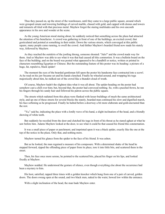Thus they passed on, up the street of the warehouses, until they came to a large public square, around which were grouped ornate and towering buildings of carved marble, chased with gold, and capped with domes and towers and minarets all tiled with that precious metal. Mayhew forgot the staring multitudes and his own uncouth appearance in his awe and wonder at the scene.

As the young American stood staring about, he suddenly noticed that something across the plaza had attracted the attention of his benefactor. A crowd was gathering in front of one of the buildings, an excited crowd, that gesticulated and pointed at something in their midst. Down the various streets, which converged at this public square, many people came running, to swell the crowd. And thither Mayhew's bearded friend now made his stately way, followed by Mayhew.

As they reached the outskirts of the jostling throng, someone shouted: "Julo!" and the crowd made way for them. And so Mayhew was able to see what it was that had caused all this commotion. It was a bulletin board on the face of the building; and on the board was posted what appeared to be a handbill or notice, written or printed in characters resembling Egyptian or Chinese. But the outstanding feature of this poster was its heading: a picture of a huge, fat, repulsive, black spider!

The moment the eyes of the bearded gentleman fell upon the poster his handsome face contracted into a scowl. As he read on his jaw became set and his hands clenched. Finally he wheeled around, and wrapping his toga majestically about him, he stalked out of the crowd like a thunder-cloud of wrath.

Of course, Mayhew hadn't the slightest idea what it was all about. The spider-heading on the poster had somehow cast a chill over him; but, beyond that, the poster had conveyed nothing. So, with a puzzled frown, he ran his fingers through his sandy hair and followed his patron across the public square.

The streets which radiated from this plaza were flanked with lesser buildings of much the same architectural style, and up one of these streets for several blocks the stately, bearded man continued his slow and dignified march, his face softening as he progressed. Finally he halted before a doorway a bit more elaborate and gold-encrusted than the rest.

"Ya," said he, indicating the place with a lordly wave of his hand, a slight inclination of the head, and a friendly showing of white teeth.

But suddenly he recoiled from the door and clutched his toga in front of his throat as he stared aghast at what he saw before him. Adams Mayhew looked at the door, to see what it could be that caused his friend this consternation.

It was a small piece of paper or parchment; and imprinted upon it was a black spider, exactly like the one at the top of the notice in the plaza. Only that, and nothing more.

Mayhew turned his glance from the spider to the face of his friend. It was ashen.

But as he looked, the man regained a measure of his composure. With a determined shake of the head he stepped forward, ripped the offending piece of paper from its place, tore it into little bits, and scattered them in the street.

Then, his face once more serene, he pointed to the scattered bits, placed his finger on his lips, and looked fixedly at Mayhew.

Mayhew nodded. He understood the gesture of silence, even though everything else about the occurrence had been a mystery to him.

His host, satisfied, rapped three times with a golden knocker which hung from one of a pair of carved, golden doors. The doors swung open at the sound, and two black men, naked to the waist, bowed low within the entrance.

With a slight inclination of the head, the man bade Mayhew enter.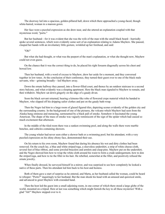The doorway led into a spacious, golden-pillared hall, down which there approached a young-faced, though white-haired, woman in a maroon gown.

Her face wore a puzzled expression as she drew near, and she uttered an explanation coupled with that mysterious word, "porto."

But her husband—for it was evident that she was the wife of the man with the small black beard—hurriedly spoke several sentences, which were evidently some sort of an explanation relating to Adams Mayhew. She paused, clasped her hands with an involuntary little gesture, wrinkled up her forehead, and said:

#### "Oh!"

But what she had thought, or what was the purport of the man's explanation, or what she thought now, Mayhew could not even guess.

On the chance that it was the correct thing to do, he placed his right forearm diagonally across his chest and bowed low.

Then her husband, with a word of excuse to Mayhew, drew her aside for a moment, and they conversed together in low tones. At the conclusion of their conference, they turned their guest over to one of the black male servants, who—grinning broadly—led Mayhew away.

Down the ornate hallway they passed, into a flower-filled court, and thence by an outdoor staircase to a second story balcony, and what evidently was a sleeping apartment. Here the black man signaled to Mayhew to remain, and then withdrew. Mayhew sat down gingerly on the edge of a gaudy divan.

Soon the black servant returned, bearing a kimono-like robe of flowered crepe material which he handed to Mayhew, who slipped off his dripping sailor clothes and put on the gaudy bath-wrap.

Then the Negro led him to a large room of glazed figured tiles, depicting scenes evidently of the golden city and the surrounding country. In the background of one of the pictures, the volcano which Mayhew had seen from the Alaska hung ominous and menacing, surmounted by a black pall of smoke. Somehow it fascinated the young American. The shape of the mass of smoke was vaguely reminiscent of the sign of the spider which had caused so much excitement that afternoon.

In the middle of the tiled room there was a sunken swimming pool, and along the walls there were marble benches, and cubicles containing showers.

The young whaler had never seen either a shower bath or a swimming pool; but his attendant, with a very puzzled expression on his shiny ebony face, demonstrated their use.

On his return to his own room, Mayhew found that during his absence his wet and dirty clothes had been removed. On the couch lay, a blue and white striped toga, a sleeveless undershirt, a strip of white cheese-cloth, several feet of blue ribbon, and some jeweled bracelets and armlets and clasp-pins. Mayhew put on the undershirt, and the Negro showed him how to wrap the white cloth around his waist to form a crude undergarment, how to don the striped toga, and how to tie the fillet in his hair. He rebelled, somewhat at the fillet, and positively refused the ornate jewelry.

When finally dressed, he surveyed himself in a mirror, and was surprised to see how completely he looked a native of these parts. Then his attendant led him back to his host and hostess.

Both of them gave a start of surprise as he entered, and Marta, as her husband called the woman, could be heard to whisper: "Porto?" inquiringly to her husband. But the man shook his head with an amused and quizzical smile, and advanced to greet Mayhew with extended hand.

Then the host led the guest into a small adjoining room, in one corner of which there stood a large globe of the world, mounted on a tripod. Here at last was something which might furnish the key to all these mysteries! With a glad "Ah!" Mayhew stepped over to it.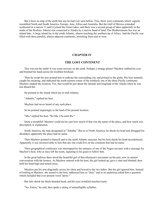But it bore no map of the earth like any he had ever seen before. True, there were continents which vaguely resembled North and South America, Europe, Asia, Africa and Australia. But the Gulf of Mexico extended northward in a narrow V until it joined the Great Lakes, and there was a second group of lakes apparently in the midst of the Rockies. Siberia was connected to Alaska by a narrow band of land. The Mediterranean Sea was an inland lake. A large island lay in the south Atlantic, almost touching the northern tip of Africa. And the Pacific was filled with three parallel, almost adjacent continents, stretching from east to west.

#### **CHAPTER IV**

#### **THE LOST CONTINENT**

<span id="page-13-0"></span>This was not the earth! It was some travesty on the earth. Perhaps a strange planet! Mayhew rubbed his eyes and brushed his hand across his troubled forehead.

Then he swept his arm around him to indicate the surrounding city and pointed to the globe. His host instantly caught his meaning, and indicated the north-eastern corner of the northerly one of the three Pacific continents. Mayhew studied the location. Yes, that would be just about the latitude and longitude of the Alaska when he was last aboard her.

He pointed to the island which lay in mid-Atlantic.

"Atlantis," replied his host.

Mayhew had never heard of any such place.

So he pointed inquiringly to the land of his present location.

"Mu," replied his host. "Ra Mu. Ulu-umil Ra."

Quite a mouthful! Mayhew could not be sure how much of that was the name of the place, and how much was description or explanation.

South America, the man designated as "Xibalba." But as to North America, he shook his head and shrugged his shoulders; apparently the place had no name.

Then Mayhew pointed to himself and to the north Atlantic seacoast, but his host shook his head incredulously. Apparently it was inconceivable to him that any one could live on the continent that had no name.

Their geographical conference was interrupted by the entrance of one of the Negro servants with a message for Mayhew's host, who at once left the room, signaling to his guest to follow him.

In the great hallway there stood the beautiful girl of that afternoon's encounter on the pier, now in earnest conversation with the hostess. As Mayhew entered with his host, the girl looked up, gave a start and blushed, then held her head high and turned away.

Mayhew put his arm diagonally across his chest and bowed to the two ladies. But the girl ignored him. Instead of looking at Mayhew, she turned to the host, addressed him as "Julo," and in an undertone asked him a question which included that ever-present word "porto."

But Julo shook his black-bearded head, and his eyes twinkled mischievously.

"No, Eleria," he said, then spoke a string of unintelligible syllables.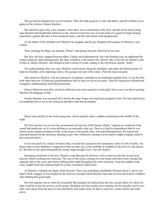The girl and he disputed for several minutes. Then she bade good-by to Julo and Marta, and left without even a glance at the luckless Adams Mayhew.

She had been gone only a few minutes, when there was a commotion at the door, and the ferret-faced young man Mayhew had fought that afternoon at the wharves forced his way in at the head of a squad of rough looking individuals, garbed like him in blue-bordered tunics, and like him armed with broadswords.

As the leader of the intruders saw Mayhew he stopped, and his jaw dropped with surprise at Mayhew's new clothes.

Then, pointing his finger, he shouted, "Porto!" and sprang forward, followed by his men.

But Julo, the host, stepped between them. Calmly and authoritatively, but with flashing eyes, he addressed the young centurion, until apologetically the latter withdrew at the head of his cohorts. But, as he left, he flashed a look of hate at Adams Mayhew, and shouted at him a string of words, ending in the mysterious epithet, "porto."

Not understanding what was said, Mayhew could merely shrug his shoulders, and make the Muian gesture of hand on shoulder, at his departing enemy. His gesture was met with a sneer. Then the man was gone.

Julo turned on Mayhew with an expression of supreme contempt on his handsome aquiline face. It was the first look other than one of courteous gentlemanliness that he had ever given his guest. Then his expression softened and changed to understanding and mild amusement.

Dinner followed soon after, served in elaborate style from utensils of solid gold. Julo at once set about teaching Mayhew the language of Mu.

Finally Mayhew was escorted off to bed by the huge Negro who had been assigned to him. His host and hostess accompanied him as far as the courtyard and there bade him goodnight.

Sleep came quickly to the tired young man. And as quickly came a sudden awakening in the middle of the night.

His first reaction was to miss the accustomed roll and toss of the barque Alaska. Vaguely he wondered if the vessel had made port, or if it were drifting on an unusually calm sea. Then in a flash he remembered that he was ashore on the mirage-continent of Mu, in the house of the kindly Julo, who had befriended him. He turned and stretched himself on the luxurious sleeping couch, then stiffened to alertness as he heard a slight scraping sound in the courtyard below.

It was not much of a sound. On board ship, it would have passed as the momentary rattle of a bit of tackle. On shore, back in New Bedford, it might have been an alley-cat, or the scuffing of a pebble by the foot of a late passerby. But here in this quiet household the sound, slight though it was, was out of place.

Springing noiselessly to his feet. Mayhew crept through the doorway of his room out onto the second story balcony which overhung the courtyard. The rays of the moon, coming over the house-wall above him, flooded the opposite side of the court, and thence diffused their light throughout the entire inclosure. Near the middle of the court, shaded from this reflected light by a bush, crouched a black form.

As Mayhew watched, the figure slunk forward. There was something indefinably Oriental about it, and in one hand it held a dagger. It was headed for the doorway through which Mayhew had seen his host and hostess withdraw after bidding him good-night.

His first impulse was to warn the household. But instantly he realized that the only certain effect of a shout for help would be to put the prowler on his guard. Doubtless servants would come running, but the intruder was by now only a few paces from the door of Julo and Marta, and might easily be able to reach his victims before aid could arrive.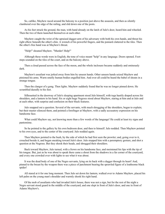So, catlike, Mayhew raced around the balcony to a position just above the assassin, and then as silently clambered over the edge of the railing, and slid down one of the posts.

As his feet struck the ground, the man, with hand already on the latch of Julo's door, heard him and wheeled. Then the two of them launched themselves at each other.

Mayhew caught the wrist of the upraised dagger-arm of his adversary with both his own hands, and thrust his right elbow beneath the other's chin. A wrench of his powerful fingers, and the poniard clattered to the tiles. Then the other's free hand was at Mayhew's throat.

"Help!" shouted Mayhew. "Murder! Help!"

Although these words were in English, the tone of voice meant "help" in any language. Doors opened. Footsteps sounded on the tiles of the court, and on the balcony above.

Then a cloud passed across the face of the moon, and the whole inclosure became suddenly and ominously dark.

Mayhew's assailant was jerked away from him by unseen hands. Other unseen hands seized Mayhew and pinioned his arms. Warm smelly human bodies engulfed him. And over all could be heard the babel of shouts in a strange tongue.

Then the clangor of a gong. Then lights. Mayhew suddenly found that he was no longer pinned down. He scrambled dazedly to his feet.

Silhouetted in the doorway of Julo's sleeping apartment stood Julo himself, with toga hastily draped across his shoulders, and a lantern in his hand. Six or eight huge Negroes stood about Mayhew, staring at him and at Julo and at each other, with surprise and confusion on their black features.

Julo snapped out a question. Several of the servants, with much shrugging of the shoulders, began to explain; but their master silenced them, and pointed a forefinger at Mayhew, with a sadly accusatory expression on his handsome face.

What could Mayhew say, not knowing more than a few words of the language! He could at least try signs and pantomime.

So he pointed to the gallery by his own bedroom door, and then to himself. Julo nodded. Then Mayhew pointed to his own eyes, and to the center of the courtyard. Julo nodded again.

Then Mayhew pointed to the bush, by the side of which he had first seen the prowler; and, going over to it, crouched beside it, and began sneaking toward Julo's door. Julo stopped him with a peremptory gesture, and shot a question at the Negroes. But they shook their heads, and shrugged their shoulders.

Back toward Mayhew, Julo turned, with a frown on his handsome face, and moistened his lips with the tip of his tongue. But, just as he was about to speak there came a shout from the shadows in a far corner of the courtyard, and every one crowded over with lights to see what it was about.

It was the dead body of one of the Negro servants, lying on its back with a dagger through its heart! And, pinned to the breast by the weapon there was a piece of parchment bearing the sprawled figure of a loathsome black spider!

All stared at it for one long moment. Then Julo set down his lantern, walked over to Adams Mayhew, placed his left palm on the young man's shoulder and warmly shook his right hand.

Of the mob of assailants who had invaded Julo's house, there was not a sign, but for the rest of the night a Negro servant stood guard in the middle of the courtyard, and one slept in front of Julo's door, and one in front of Adams Mayhew's.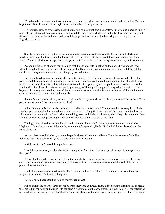With daylight, the household took up its usual routine. Everything seemed so peaceful and serene that Mayhew began to doubt if the events of the night before had not been merely a dream.

His language lessons progressed, under the tutoring of his genial host and hostess. But when he sketched upon a piece of paper the rough figure of a spider, and asked the name for it, Marta clutched at her heart and hurriedly left the room; and Julo, with a sudden scowl, seized the paper and tore it into little bits. Mayhew apologized—in English, of course.

Shortly before noon Julo gathered his household together and led them from the house, he and Marta and Mayhew clad in brilliant togas, and the blacks naked to the waist, with baggy pantaloons, and scimitars in their sashes. An air of alert tenseness pervaded the group, but they reached the public square without any untoward event.

Ascending the steps of one of the buildings with his retinue, Julo knocked on the door. It was opened by a white-bearded old man in a flowing yellow robe, with a flaming red swastika emblazoned upon its left breast. He and Julo exchanged a few sentences, and the party was admitted.

Never had Mayhew seen so much gold; the entire interior of the building was literally encrusted with it. The party passed through rooms of increasing brilliance, until they came out into a huge amphitheater. The whole was made of white marble, every inch of which was covered with ingeniously carved gold fretwork. Around the walls ran tier after tier of marble seats, surmounted by a canopy of fluted gold, supported on spiral golden pillars. But beyond this canopy the room had no roof, being completely open to the sky. In the exact center of the amphitheater stood a square altar of unadorned white marble.

Some of the seats were already occupied. Julo and his party were shown to places, and seated themselves. Other persons came in, until the place was nearly filled.

A few minutes before noon a bell sounded, and all conversation ceased. Then, through a doorway beneath the stands, a procession of yellow-robed priests entered the arena. They filed once around the circuit, then the leaders advanced to the center with golden baskets containing wood and tinder and incense, which they piled upon the altar. Then all except the high priest ranged themselves along the wall at the foot of the stands.

The high priest, kneeling beside the altar and raising his hands aloft toward the sun, began to intone a chant. Mayhew could make out none of the words, except the oft-repeated syllable, "Ra," which he had learned was the name of the sun.

As the priest ceased his chant, an even deeper hush settled over the audience. Then there came a flash, like lightning from the cloudless sky, and the pile on the altar blazed up.

A sigh, as of relief, passed through the crowd.

"Doubtless some easily explainable trick," thought the American, "but these people accept it as magic from their god."

A tiny cloud passed across the face of Ra, the sun; the fire began to smoke; a tenseness came over the crowd; and in that instant a cry of mortal agony rang out, as one of the circle of priests who lined the wall of the arena pitched forward on his face.

The hilt of a dagger protruded from his back, pinning to him a small piece of parchment, bearing the dread insigne of the spider! That, and nothing more.

Yet no one had been standing behind the stricken priest!

For an instant the near-by throng recoiled from their dead comrade. Then, at the command from the high priest, they picked up the body and hurried it to the altar. Sweeping aside the now smoldering sacrificial fire, the officiating prelate directed the gentle removal of the knife, and the placing of the dead body, face up, upon the altar. The sign of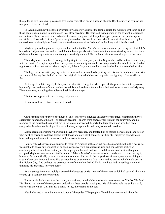the spider he tore into small pieces and trod under foot. Then began a second chant to Ra, the sun, who by now had reappeared from the cloud.

To Adams Mayhew the entire performance was merely a part of the temple ritual, the worship of the sun god of these people, culminating in human sacrifice. How revolting! He marveled that a person of the evident intelligence and culture of Julo, his host, who had exhibited such repugnance at the spider-topped poster in the public square, and at the spider-marked piece of parchment plastered on his own front door, should nevertheless be driven by his superstitions or his religious fanaticism to attend temple services dedicated to the thing which he abhorred.

Mayhew glanced apprehensively about him and noted that Marta's face was white and quivering, and that Julo's black-bearded jaw was firm and set, and that the black guards, with drawn scimitars, were standing around the three of them in hollow-square formation, facing protectively outward. But perhaps this, too, was all a part of the ritual.

Then Mayhew remembered last night's fighting in the courtyard, and the Negro who had been found dead there, with the mark of the spider upon him. Surely a man's own religion would not creep into his household in the dead of night to commit assassination. Much perplexed, Adams Mayhew turned his attention back to the arena below him.

The high priest was still praying to Ra, the sun; and he seemed to be putting into his words much more sincerity and depth of feeling than he had put into the original chant which had accompanied the lighting of the sacrificial fire.

As the aged prelate prayed, the body on the altar stirred slightly; whereupon all the priests burst into a joyous hymn of praise, and two of their number rushed forward to the center and bore their stricken comrade tenderly away. Then every one, including the audience, knelt in silent prayer.

The tension appeared to have been greatly relaxed.

If this was all mere ritual, it was well acted!

On the return of the party to the house of Julo, Mayhew's language lessons were resumed. Nothing further of excitement happened, although—or perhaps because—guards were posted every night in the courtyard, and no member of the household ever went out in the streets unescorted. Moorfi, the huge black man who had been assigned to Mayhew on the day of his arrival, always slept on the balcony just outside his door.

Marta became increasingly nervous in Mayhew's presence, and treated him as though he were an insane person who must be carefully coddled, lest he break loose and do violent damage. But Julo still displayed confidence in him, and regarded him with an amused and whimsical tolerance.

Naturally Mayhew was most anxious to return to America at the earliest possible moment, but in this desire he was unable to evoke any cooperation or even sympathy from his otherwise kind and considerate host, who absolutely refused to believe that any civilized people inhabited that barren and desolate continent, although he accepted Mayhew's announcement of his name. "Adamo Mayho" was as near as he could come to pronouncing it, however. Mayhew finally gave up the attempt to interest his host in the proposition of return, merely resolving that at some later date he would try to find passage home on some one of the many trading vessels which made port at this Golden City. And perhaps the presence here of the yellow-haired Eleria may have had something to do with dimming his eagerness to return home.

As the young American rapidly mastered the language of Mu, many of the matters which had puzzled him were cleared up. But many more were not.

For example, he learned that the island, or continent, on which he was located was known as "Mu" or "Ra Mu," "Ra" being the name of the sun, or sun-god, whom these people worshipped. Mu claimed to rule the entire world, which was known as "Ulu-umil Ra"; that is to say, the empire of the Sun.

Also he learned a little, but not much, about "the spider." The people of Mu did not know much about this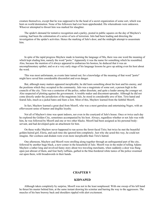creature themselves, except that he was supposed to be the head of a secret organization of some sort, which was bent on world domination. None of his followers had ever been apprehended. His whereabouts were unknown. Whoever attempted to thwart him was marked for slaughter.

The spider's demand for tentative recognition and a parley, posted in public squares on the day of Mayhew's coming, had been the culmination of a series of acts of terrorism. Julo had been leading and directing the investigation of the spider's activities. Hence the marking of Julo's door, and the midnight attempt to assassinate him.

In spite of the rapid progress Mayhew made in learning the language of Mu, there was one word the meaning of which kept eluding him, namely the word "porto." Apparently it was the name for something which he resembled. Also, because the mention of it always appeared to embarrass his hostess, he deduced that it was an uncomplimentary epithet; and so at a very early stage of his language lessons he gave up asking even his host about the word.

This was most unfortunate, as events later turned out; for a knowledge of the meaning of that word "porto" might have saved him considerable discomfort and even danger.

But, although many matters appeared inexplicable, he did learn something about his host and his enemy, and the positions which they occupied in the community. Julo was a magistrate of some sort, a person high in the councils of the city. Tirio was a centurion of the police, rather dissolute, and quite a leader among the younger set. Also suspected of plotting against the government. A trouble maker and discontent-spreader. Although he did not come directly under the jurisdiction of the magistrate Julo, he stood in considerable awe of him. Tirio hated and feared Julo, much as a jackal hates and fears a lion. Most of this, Mayhew learned from the faithful Moorfi.

In fact, Mayhew learned a great deal from Moorfi, who was a most garrulous and entertaining Negro, with an effervescent sense of humor and doglike loyalty.

Not all of Mayhew's time was spent indoors, nor even in the courtyard of Julo's house. Once or twice each day he explored the Golden City, sometimes accompanied by his host. Always, regardless whether or not Julo was with him, he was followed by Moorfi and one or two other blacks. Moorfi had been assigned as his personal bodyservant, and had developed quite an attachment for him.

On these walks Mayhew never happened to run across the ferret-faced Tirio; but twice he met the beautiful golden-haired girl, Eleria, and each time she ignored him completely. Just why she acted this way, he could not imagine. Her coolness and disdain were even more inexplicable than Tirio's hatred.

One afternoon, Mayhew and Moorfi were strolling along together through an unfrequented part of the city, followed by another huge black, a new-comer in the household of Julo. Moorfi was in the midst of telling Adams Mayhew a rather long and involved funny story about two traveling merchants, when suddenly a door was flung open just abreast of them, and four burly ruffians, garbed in the blue-bordered white tunics of the police swarmed out upon them, with broadswords in their hands.

## **CHAPTER V**

## **KIDNAPED**

<span id="page-18-0"></span>Although taken completely by surprise, Moorfi was not in the least nonplussed. With one sweep of his left hand he thrust his master behind him, at the same instant drawing his scimitar and barring the way to the aggressors. The muscles of his bare brawny back and shoulders rippled with alert excitement.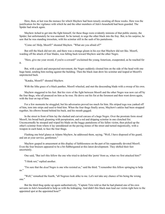Here, then, at last was the menace for which Mayhew had been tensely awaiting all these weeks. Here was the justification for the vigilance with which he and the other members of Julo's household had been guarded. The Spider had struck again.

Mayhew itched to get into the fight himself, for these thugs were evidently minions of that public enemy, the Spider; but unfortunately he was unarmed. So he turned, to urge the other black into the fray. But, to his surprise, he saw that he was standing irresolute, with his scimitar still in the sash of his pantaloons.

"Come on! Help, Moorfi!" shouted Mayhew. "What are you afraid of?"

But still the black did not stir, and there was a strange gleam in his eye that Mayhew did not like. Moorfi, warding off the attack of four blades, was falling back toward Mayhew and the other Negro.

"Here, give me your sword, if you're a coward!" exclaimed the young American, exasperated, as he reached for it.

But, with a quick and unexpected movement, the Negro suddenly clouted him on the side of the head with one huge hand, sending him reeling against the building. Then the black man drew his scimitar and leaped at Moorfi's unprotected back.

"Kataka, Moorfi!" shouted Mayhew.

With the lithe grace of a black panther, Moorfi wheeled, and met the descending blade with a sweep of his own.

Mayhew staggered to his feet. But his view of the fight between Moorfi and the other Negro was now cut off by the four thugs, who all pounced on him as he rose. He drove out his fist at the foremost and then went down again, with the four on top of him.

For a few moments he struggled, but his adversaries proved too much for him. His striped toga was yanked off of him, torn into strips and used to bind him. When the four thugs finally arose, Mayhew's ankles had been strapped together, his elbows bound behind his back, and his mouth gagged.

In the street in front of him lay the slashed and carved carcass of a huge Negro. Over the prostrate form stood Moorfi, his broad back gleaming with perspiration, and a red and dripping scimitar in one clenched fist. Unconcernedly he stooped and wiped his blade on the baggy pantaloons of his fallen victim, then picked up the other's scimitar from where it lay unreddened on the paving stones of the street and turned majestically, with a weapon in each hand, to face the four thugs.

Flashing one brief glance at Adams Mayhew, he addressed them, saying, "Well, I have disposed of his guard, and am at your service, gentlemen."

Mayhew gasped in amazement at this display of faithlessness on the part of his supposedly devoted Moorfi. Even the four bruisers appeared to be a bit flabbergasted at this latest development. They shifted their feet uncertainly.

One said, "But isn't this fellow the one who tried to defend this 'porto' from us, when we first attacked him?"

"I think not," replied another.

"I'm sure that the *dead* Negro is one who resisted us," said the third. "I remember this fellow springing to help us."

"Well," remarked the fourth, "all Negroes look alike to me. Let's not take any chance of his being the wrong one."

But the third thug spoke up again authoritatively, "Captain Tirio told us that he had planted one of his own servants in Julo's household to help us with the kidnaping. And didn't this black man lead our victim right here to the appointed spot at the appointed hour?"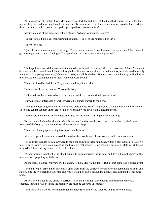At this mention of Captain Tirio, Mayhew gave a start. He had thought that the attackers had represented the mythical Spider, and now they turned out to be merely minions of Tirio. Then a new idea occurred to him; perhaps they represented both Tirio and the Spider; perhaps those two were allies!

Meanwhile one of the thugs was asking Moorfi, "What is your name, fellow?"

"Tuggi," replied the black man without hesitation. "Tuggi, of the household of Tirio."

"There! You see—"

"Quick!" interrupted another of the thugs. "Some one is coming down the street. Here you, guard the corpse. I go to headquarters to report finding it. The rest of you, into the house with the prisoner!"

The huge black man slid his two scimitars into his sash, and effortlessly lifted the trussed-up Adams Mayhew in his arms. As they passed into the house through the still open door with two of their captors, he whispered hurriedly in the ear of the young American, "Courage, master; it is all for the best. We may learn something by getting inside their house; and I could not attack them while you were bound."

The door closed behind them. They stood in a dimly lit corridor.

"Where shall I put the prisoner?" asked the Negro.

"Set him down here," replied one of the thugs, "while I go to report to Captain Tirio."

"Just a minute," interposed Moorfi, lowering his human burden to the floor.

Then as the departing man paused and turned expectantly, Moorfi leaped, and swung at him with his scimitar. The blade caught the man on the side of his neck and he went down with a gurgling groan.

"Surrender, in the name of the magistrate Julo," hissed Moorfi, turning on the other thug.

But, no coward, the other drew his short broadsword and rushed in, too close to be reached by the longer weapon of the Negro, at the same time calling loudly for help.

The noise of many approaching footsteps could be heard.

Moorfi dropped his scimitar, seized the wrist of the sword-hand of his assailant, and closed with him.

The scimitar thudded point downward to the floor and stuck there humming, within a few inches of Mayhew's feet, its edge toward him. In an instant he had thrust his feet against it, thus severing the strip of cloth which bound his ankles. Then backing around, he freed his elbows.

Without waiting to untie the gag about his mouth he snatched up the scimitar and drove it into the body of the man who was grappling with the Negro.

As the man collapsed, Mayhew tried to shout, "Quick, Moorfi, the door!" But all that came was a stifled grunt.

Then a throng of armed men bore down upon them from the corridor. Moorfi drew his remaining scimitar and side by side the two friends, black man and white, with their backs against the door, fought against the oncoming horde.

As Mayhew battled in the dimly lit corridor, he heard a familiar voice beyond and behind the throng of enemies, shouting, "Don't injure the prisoner. He must be captured unscathed."

Then some heavy object, hurtling through the air, struck him on the forehead and he knew no more.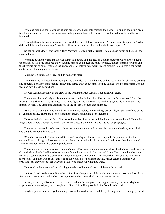When he regained consciousness he was being carried hurriedly through the house. His ankles had again been tied together, and his elbows again were securely pinioned behind his back. His head ached terribly, and his ears hummed.

Through the confusion of his senses, he heard the voice of Tirio exclaiming, "The curse of Ra upon you! Why did you let the black man escape? Now he will warn Julo, and we'll have the whole town upon us!"

So the faithful Moorfi was safe! Adams Mayhew heaved a sigh of relief. Then his head swam and a black fog engulfed him.

When he awoke it was night. He was lying, still bound and gagged, on a rough mattress which swayed gently up and down. His head throbbed dully. Around him he could hear the hum of voices, the lap-lapping of water and the rhythmic dip of oars. Overhead the stars shone. An intermittent warm breeze brought to his nostrils the sweet exotic scent of some pungent flower.

Mayhew felt unutterably tired, and drifted off to sleep.

The next thing he knew, he was lying on the stone floor of a small stone-walled room. He felt dizzy and bruised and battered. For a few moments he just lay and stared dully about him. Then he vaguely tried to remember who he was and how he had gotten here.

He was Adams Mayhew, of the crew of the whaling barque Alaska. That much was clear.

Then events began slowly to piece themselves together in his mind. The mirage. His fall overboard from the Alaska. The girl, Eleria. The rat-faced Tirio. The fight on the wharves. The kindly Julo, and his wife Marta. The faithful Moorfi. The various manifestations of the Spider, whoever that might be.

As his mind cleared, events came back to him more rapidly. He was the guest of Julo, magistrate of one of the seven cities of Mu. There had been a fight in the streets and he had been kidnaped.

He stretched his arms and felt of his bruised muscles; thus he noticed that he was no longer bound. He ran his fingers perplexedly through his sandy hair. He coughed, and noticed that he was no longer gagged.

Then he got unsteadily to his feet. His striped toga was gone and he was clad only in undershirt, waist-cloth, and sandals. He felt stiff and cold.

When he had stretched his cramped limbs and had slapped himself warm again he began to examine his surroundings. Although still somewhat dazed, there was growing in him a resentful realization that the rat-faced Tirio was responsible for his present predicament.

The room was about twenty feet square. On two sides were window openings, through which he could see blue sky and white clouds. He limped over to one of the windows and looked out and down. The room where he stood was in the second story of a stone castle. Green meadows stretched away to a wide river. Beyond the river were more fields, and then woods. Just this side of the woods a herd of large, stocky, russet-colored animals was browsing; but they were too far away for Mayhew to make out what they were.

He turned to the other window. Nothing there but rolling meadows, with blue hills beyond.

He turned back to the room. It was bare of all furnishings. One of the walls held a massive wooden door. In the fourth wall there was a small arched opening into another room, similar to the one he was in.

In fact, so exactly alike were the two rooms, perhaps this supposed opening was merely a mirror. Mayhew stepped over to investigate; sure enough, a replica of himself approached him from the other side.

Mayhew paused and surveyed his image. Not so battered up as he had thought! He grinned. His image grinned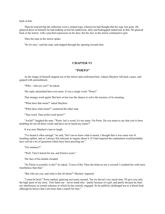back at him.

Then he noticed that the reflection wore a striped toga, whereas he had thought that his toga was gone. He glanced down at himself; he had nothing on but his underwear, dirty and bedraggled underwear at that. He glanced back at the mirror, with a puzzled expression on his face; but the face in the mirror continued to grin.

Then the man in the mirror spoke.

"So it's true," said the man, and stepped through the opening towards him.

## **CHAPTER VI**

#### **"PORTO"**

<span id="page-22-0"></span>As the image of himself stepped out of the mirror and confronted him, Adams Mayhew fell back a pace, and gasped with astonishment.

"Who—who are you?" he asked.

The reply astonished him even more. It was a single word: "Porto!"

That strange word again! But here at last was the chance to solve the mystery of its meaning.

"What does that mean?" asked Mayhew.

"What does what mean?" countered the other man.

"That word. That awful word 'porto'!"

"Awful?" laughed the man. "'Porto' isn't a word, it's my name. I'm Porto. Do you mean to say that you've been doubling for me all these weeks and have never heard my name?"

It was now Mayhew's turn to laugh.

"I've heard it often enough," he said, "but I never knew what it meant. I thought that it was some sort of insulting epithet, and so I always felt reluctant to inquire about it. If I had inquired the explanation would probably have solved a lot of questions which have been puzzling me."

"For instance?"

"Well, Tirio's hatred for me, and Eleria's scorn."

The face of his double clouded.

"So Eleria is scornful, is she?" he asked. "Curse of Ra! Then she believes me a coward! I credited her with more trustfulness than that."

"But who are you, and what is this all about?" Mayhew inquired.

"I must be brief," Porto replied, glancing nervously around, "for we haven't very much time. I'll give you only the high spots of my story. Tirio hates me—never mind why—partly because of a girl, and partly because he fears my interference in certain schemes in which he has secretly engaged. So he publicly challenged me to a blood feud, although he knows that I am more than a match for him."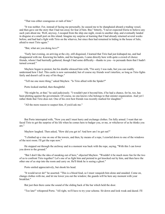"That was either courageous or rash of him."

"It was neither. For, instead of facing me personally, he caused me to be shanghaied aboard a trading vessel, and then gave out the story that I had run away for fear of him. But," bitterly, "I never expected Eleria to believe any such yarn about me. Well, anyway, I escaped from the ship one night, swam to another ship, and eventually landed in disguise at a small port on this island. Imagine my surprise at learning that I had already returned several weeks before, and had had a fight with Tirio on the wharves, but since then had remained in hiding in the house of Julo, afraid to meet Tirio again."

"But, what are you doing *here*?"

"Early last evening, on arriving at the city, still disguised, I learned that Tirio had just kidnaped me, and had disappeared with me. Knowing his habits, and his hangouts, I came directly here with quite a crowd of choice friends, whom I had hurriedly gathered, though I had some difficulty—thanks to you—to persuade them that I hadn't turned coward."

Mayhew began to protest, but his double silenced him with, "I'm sorry I was rude, but you can readily understand how I feel. This castle is now surrounded, but of course my friends won't interfere, so long as Tirio fights fairly and doesn't call in any of his thugs."

"Tell me one more thing," asked Mayhew. "Is Tirio allied with the Spider?"

Porto looked startled, then thoughtful.

"He might be, at that," he said judiciously. "I wouldn't put it beyond him, if he had a chance, for he, too, has been plotting against the government. Of course, no one knows who belongs to that sinister organization. And yet I rather think that Tirio does not. One of his own best friends was recently marked for slaughter."

"All the more reason to suspect him, if you'd ask me."

But Porto interrupted with, "Now you and I must hurry and exchange clothes. I'm fully armed. I want that ratfaced Tirio to get the surprise of his life when he comes here to badger you, or me, or whichever of us he thinks you are."

Mayhew laughed. Then asked, "How did you get in? And how am I to get out?"

"I climbed up a vine on one of the towers, and then, by means of a rope, I crawled down to one of the windows of the next room. I'll get the rope now."

He stepped out through the archway and in a moment was back with the rope, saying, "With this I can lower you down to the ground."

"But I don't like the idea of sneaking out of here," objected Mayhew. "Wouldn't it be much more fun for the two of us to confront Tirio together? Let's one of us fight him and pretend to get knocked out by him, and then have the other one of us step into the room and carry on. He'll think he is seeing a ghost."

Porto smiled appreciatively, but shook his head.

"It would never do!" he asserted. "This is a blood feud, so I must vanquish him alone and unaided. Come on, change clothes with me, and let me lower you out the window; the guards will be here any moment with your breakfast."

But just then there came the sound of the sliding back of the bar which held the door.

"Too late!" whispered Porto. "All right, we'll have to try your scheme. Sit down and look weak and dazed. I'll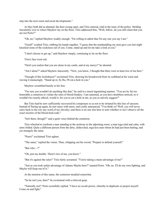step into the next room and await developments."

As they both did as planned, the door swung open, and Tirio entered, clad in the tunic of the police. Striding truculently over to where Mayhew lay on the floor, Tirio addressed him, "Well, fellow, do you still claim that you are not Porto?"

"Oh, no," replied Mayhew readily enough. "I'm willing to admit that I'm any one you say I am."

"Good!" exulted Tirio, rubbing his hands together. "I guess that the manhandling my men gave you last night knocked some of the cockiness out of you. Come, stand up and let me take a look at you."

"I don't choose to get up," said Mayhew simply, continuing to lie on the floor.

Tirio's face went red.

"Don't you realize that you are alone in my castle, and at my mercy!" he shouted.

"Am I alone?" asked Mayhew innocently. "Now, you know, I thought that there were at least two of me here."

"Enough of this foolishness!" exclaimed Tirio, drawing his broadsword from its scabbard at his waist and waving it menacingly. "Stand up or, by Ra, I'll cut a hole in you."

Mayhew scrambled hastily to his feet.

"I'm sure you wouldn't do anything like that," he said in a mock ingratiating manner. "You are by far too honorable a centurion to violate the rules of blood-feudery. I am unarmed, as you have doubtless noticed; so it wouldn't be exactly ethical, would it, for you to cut a hole in me, as you so naively suggest?"

But Tirio had by now sufficiently recovered his composure so as not to be irritated by this line of sarcasm. Instead of flaring up again, he met sneer with sneer, and coolly announced, "You think so? Well, you will never carry back to the city any word of my chivalry; and there is no one else here to note whether or not I observe all the exact niceties of the blood-feud code."

"Isn't there, though?" said a quiet voice behind the centurion.

Tirio wheeled to confront a man standing in the archway to the adjoining room, a man toga-clad and calm, with arms folded. Quite a different person from the dirty, disheveled, toga-less man whom he had just been baiting; and yet strangely the same.

"Porto!" exclaimed Tirio aghast.

"The same," replied the vision. Then, whipping out his sword, "Prepare to defend yourself."

"But who—?"

"Oh, just my double. There's two of me, you know."

"But it's against the rules!" Tirio fairly screamed. "You're taking a mean advantage of me!"

"Just as you took unfair advantage of Adamo Mayho here?" taunted Porto. "Oh, no. I'll do my own fighting, and Mayho will keep out of it."

At the mention of this name, the centurion steadied somewhat.

"So he isn't you, then?" he exclaimed with a relieved gasp.

"Naturally not!" Porto scornfully replied. "I have no occult power, whereby to duplicate or project myself. Come on and fight."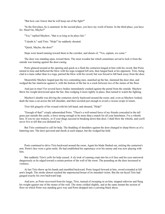"But how can I know that he will keep out of the fight?"

"In the first place, he is unarmed. In the second place, you have my word of honor. In the third place, you have *his*. Hasn't he, Mayho?"

"Yes," replied Mayhew, "that is as long as he plays fair."

"I doubt it," said Tirio. "Help!" he suddenly shouted.

"Quick, Mayho, the door!"

Steps were heard running toward them in the corridor, and shouts of, "Yes, captain, we come."

The door was standing open, toward them. The stout wooden bar which sometimes served to lock it from the outside was leaning against the door-casing.

Porto glanced around at the opening and quick as a flash the centurion lunged at him with his sword. But Porto turned in time and deflected the blow with his toga-wrapped left arm, then lunged back at his opponent. Tirio, being clad in a tunic rather than in a toga, parried the blow with his sword; but was forced to fall back away from the door.

Meanwhile Mayhew leaped past the two contending men, snatched up the bar, slammed the door shut, and wedged the bar slantwise against it, with the bottom of the bar in a crack between two of the stones of the floor.

And just in time! For several heavy bodies immediately crashed against the portal from the outside. Mayhew threw his weight downward upon the bar, thus wedging it more tightly in place, then turned to watch the fighting.

Mayhew's double was driving the centurion slowly backward around the room; and, even as Mayhew looked, dealt the man a cut across the left shoulder, and then recoiled just enough to avoid a vicious swipe in return.

Tirio felt gingerly of his wound with his left hand, and shouted, "Help!"

"Enough of that!" crisply admonished Porto. "There's a well-armed force of my friends concealed in the tall grass just outside this castle, a force strong enough to be more than a match for all your henchmen. I've a whistle here. If you try any trickery, or if your thugs succeed in breaking down that door, I shall blow the whistle, and you'll never live to tell that you defeated me."

But Tirio continued to call for help. The thudding of shoulders against the door changed to sharp blows as of a battering ram. The door quivered and shook at each impact, but the wedged bar held.

Porto continued to drive Tirio backward around the room. Again his blade flashed out, nicking the centurion's arm. Porto's face wore a grim smile. He had established his supremacy over his enemy and was now playing with him.

But suddenly Tirio's yells for help ceased. A sly look of cunning crept into his evil face and his eyes narrowed dangerously as he edged toward a certain portion of the wall of the room. The pounding on the door increased in violence.

At last Tirio threw up his hands and stumbled backward. Porto lunged forward at him, sword extended at full arm's length. The stroke almost reached the unprotected breast of its intended victim. But the rat-faced Tirio had gauged exactly his own backward leap.

And now, as Porto recovered from his lunge, Tirio, instead of sweeping in on him, stepped sidewise and flung his weight against one of the stones of the wall. The stone yielded slightly, and at the same instant the section of floor on which Porto was standing gave way and Porto dropped into a yawning black abyss.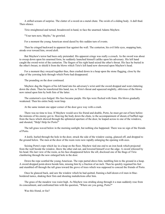A stifled scream of surprise. The clatter of a sword on a metal chute. The swish of a sliding body. A dull thud. Then silence.

Tirio straightened and turned, broadsword in hand, to face the unarmed Adams Mayhew.

"Your turn next, Mayho," he growled.

For a moment the young American stood dazed by this sudden turn of events.

Then he cringed backward in apparent fear against the wall. The centurion, his evil little eyes, snapping hate, strode over toward him, sword aloft.

But Mayhew's terror had been only pretended. His apparent cringe was really a crouch. As the sword was about to sweep down upon his unarmed form, he suddenly launched himself catlike upon his adversary. His left hand caught the sword-wrist of the centurion. The fingers of his right hand seized the other's throat. His face he buried in the other's breast, to shield it from the blows which Tirio's left hand now showered upon Mayhew's head.

For a moment they swayed together thus, then crashed down in a heap upon the stone flagging, close by the edge of the yawning hole through which Porto had disappeared.

The pounding on the door continued.

Mayhew dug the fingers of his left hand into his adversary's wrist until the sword dropped and went clattering down the chute. Then he transferred this hand, too, to Tirio's throat and squeezed mightily, oblivious of the blows now rained upon him by both fists of the latter.

The centurion's eyes bulged. His face became purple. His lips were flecked with foam. His blows gradually weakened. Then his entire body went limp.

At the same instant one upper corner of the door gave way with a crash.

There was no time to lose. If Mayhew would save his friend and double, Porto, he must get out of here before the minions of his enemy got in. Heaving the body down the chute, to the accompaniment of shouts of baffled rage from the faces which showed through the splintered aperture of the door, he leaped across to one of the windows, and shouted, "Help! Help for Porto!"

The tall grass waved below in the morning sunlight, but nothing else happened. There was no sign of the friends of Porto.

A knife, hurled through the hole in the door, struck the side of the window casing, glanced off, and dropped to the ground below. The men at the door of the room were now rapidly enlarging the opening with axes.

Seizing Porto's rope which lay in a heap on the floor, Mayhew tied one end to an iron hook which projected from the wall beside the window, threw the other end out, and lowered himself over the edge. A sword whizzed by his head. His last view of the room, as his face disappeared below the sill, disclosed one of the thugs of Tirio clambering through the now enlarged hole in the door.

Down the rope scuttled the young American. The rope parted above him, tumbling him to the ground in a heap. A sword dropped point-down beside him, missing him by a fraction of an inch. Then he quickly regained his feet and stumbled off through the tall grass toward the grove of trees which was supposed to conceal the friends of Porto.

Once he glanced back, and saw the window which he had quitted, framing a half-dozen evil men in bluebordered tunics, shaking their fists and shouting maledictions after him.

The grass of the meadow was waist high. As Mayhew was striding along through it a man suddenly rose from its concealment, and confronted him with the question, "Where are you going, Porto?"

Was this friend, or foe?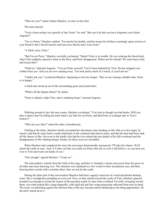"Who are you?" asked Adams Mayhew, at once on the alert.

The man sneered.

"You've been acting very queerly of late, Porto," he said. "But can it be that you have forgotten your friend Angosto?"

"I'm *not* Porto," Mayhew replied. "I'm merely his double, and the reason for all these seemingly queer actions of your friend is that I haven't known until just now that he and I were twins."

"A likely story, Porto."

"But I'm *not* Porto," Mayhew excitedly exclaimed. "Quick! Porto is in trouble. He was winning the blood-feud, when Tirio suddenly opened a chute in the floor, and Porto disappeared. Where are his friends? We must hurry back and rescue him!"

"Hold on," objected Angosto. "You are Porto yourself. You've been defeated by Tirio. He has stripped your clothes from you. And you are now running away. You look pretty much of a wreck, if you'd ask me."

"I didn't ask you," exclaimed Mayhew, beginning to lose his temper. "But we are wasting valuable time. Porto is in danger."

A third man stood up out of the surrounding grass and joined them.

"What's all the dispute about?" he asked.

"Porto is afraid to fight Tirio, and is sneaking home," sneered Angosto.

Whirling around to face the new-comer, Mayhew exclaimed, "You look as though you had brains. Will you take a chance that I'm telling the truth when I say that I'm not Porto, and that Porto is in danger due to Tirio's trickery?"

"Who are you, then?" asked the other, incredulously.

Chafing at the delay, Mayhew briefly recounted his adventures since landing on Mu. But as to his origin, he merely said that he came from a small settlement on the continent that had no name, and that his boat had been sunk off the shores of Mu. Not even to the kindly Julo had he ever related the true details of his fall overboard and the disappearance of the whaling barque Alaska; for these were too incredible.

When Mayhew had completed his story the newcomer determinedly announced, "I'll take the chance. We'll attack the castle at once. And, if it turns out that you really are Porto after all, as even I still believe, we can turn you over to Tirio and wash our hands of you."

"Fair enough," agreed Mayhew. "Come on."

The man pulled a whistle from the folds of his toga, and blew it. Instantly a dozen men arose from the grass on all sides and came hurrying over. The situation was explained in a few words to their incredulous ears; and then, drawing their swords with a resolute cheer, they set out for the castle.

During the latter part of the conversation Mayhew had been vaguely conscious of a loud and distant droning noise, like a woodpecker pounding on a tin roof. Now, as they started toward the castle of Tirio, Mayhew glanced around in an attempt to locate the source of this peculiar sound. It came from overhead. Far aloft, sweeping toward them, was what looked like a huge dragonfly, with rigid tail and four wings projecting sideward from near its head. The noise, reverberating against the flawless blue of the sky, became almost deafening as the thing approached. All the party stared up at it.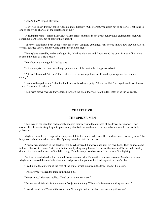"What's that?" gasped Mayhew.

"Don't you know, Porto?" asked Angosto, incredulously. "Oh, I forgot, you claim not to be Porto. That thing is one of the flying chariots of the priesthood of Ra."

"A flying machine?" gasped Mayhew. "Some crazy scientists in my own country have claimed that men will sometime learn to fly, but of course that's absurd."

"The priesthood have been doing it here for years," Angosto explained, "but no one knows how they do it. It's a closely guarded secret, and the weird things are seldom seen."

The airplane passed by and out of sight. By this time Mayhew and Angosto and the other friends of Porto had reached the door of Tirio's castle.

"Now how are we to get in?" asked one.

To their surprise the door was flung open and one of the tunic-clad thugs rushed out.

"A truce!" he called. "A truce! The castle is overrun with spider-men! Come help us against the common enemy."

"Death to the spider-men!" shouted the leader of Mayhew's party. "Come on! But," he urged in a lower tone of voice, "beware of treachery."

Then, with drawn swords, they charged through the open doorway into the dark interior of Tirio's castle.

## **CHAPTER VII**

#### **THE SPIDER-MEN**

<span id="page-28-0"></span>They eyes of the invaders had scarcely adapted themselves to the dimness of this lower corridor of Tirio's castle, after the contrasting bright tropical sunlight outside when they were set upon by a veritable pack of little yellow men.

Mayhew stumbled over a prostrate body and fell to his hands and knees. He could see more distinctly now. The body wore a blue and white tunic. The fighting passed on into the interior.

A sword was clutched in the dead fingers. Mayhew freed it and weighed it in his own hand. Then an idea came to him: if he was to rescue Porto, how better than by disguising himself as one of the forces of Tirio? So he hastily donned the tunic and armlets of the fallen thug. Then he too pressed on toward the noise of the fighting.

Another tunic-clad individual entered from a side corridor. Before this man was aware of Mayhew's presence, Mayhew had seized the man's shoulder and had pressed the point of his blade against the man's ribs.

"Lead me to the dungeon at the foot of the chute, which runs from the tower room," he hissed.

"Who are you?" asked the man, squirming a bit.

"Never mind," Mayhew replied. "Lead on. And no treachery."

"But we are all friends for the moment," objected the thug. "The castle is overrun with spider-men."

"How do you know?" asked the American. "I thought that no one had ever seen a spider-man."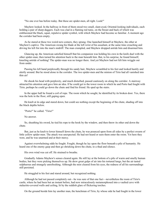"No one ever has before today. But these are spider-men, all right. Look!"

Mayhew looked. In the hallway in front of them stood two small, slant-eyed, Oriental-looking individuals, each holding a pair of sharp daggers. Each was clad in a flaming red tunic, on the breast and back of which was emblazoned the black, squat, repulsive spider symbol, with which Mayhew had become so familiar. A moment ago the corridor had been empty.

As he stared at these two weird new-comers, they sprang. One launched himself at Mayhew, the other at Mayhew's captive. The American swung his blade at the left wrist of his assailant, at the same time crouching and driving his left fist into the man's midriff. The man crumpled, and Mayhew dropped astride him and disarmed him.

Glancing up, the American satisfied himself that his companion was holding his own in the knife duel with the other spider-man; then turned his attention back to the man beneath him. But, to his surprise, he found himself, kneeling astride of nothing! The spider-man was no longer there. And yet Mayhew had not felt him wriggle out from under.

Passing his left hand perplexedly through his sandy hair, Mayhew scrambled to his feet and looked hastily and alertly around. But he stood alone in the corridor. The two spider-men and the minion of Tirio had all vanished into thin air!

He shook his head with perplexity, and much disturbed, passed cautiously on along the corridor. A stairway attracted his attention and gave him an idea. If he could get to the tower room in which he and Porto had fought with Tirio, perhaps he could go down the chute and find his friend. He sped up the stairs.

In the upper hall he found a coil of rope. The room which he sought, he identified by its broken door. Yes, there was the hole in the floor, still gaping open.

He knelt at its edge and stared down, but could see nothing except the beginning of the chute, shading off into the black depths below.

"Porto!" he called. "Tirio!"

No answer.

So, sheathing his sword, he tied his rope to the hook by the window, and then threw its other end down the chute.

But, just as he knelt to lower himself down the chute, he was pounced upon from all sides by a perfect swarm of little yellow spider-men. The attack was unexpected. He had not heard or seen them enter the room. Yet here they were, and he was unarmed and at their mercy.

Against overwhelming odds he fought. Fought, though he lay upon the floor beneath a pile of humanity. He heard one of the enemy gasp and then go shrieking down the chute, to a thud and silence.

His own wind was cut off. He strained to breathe.

Gradually Adams Mayhew's senses cleared again. He still lay at the bottom of a pile of warm and smelly human bodies, but they were picking themselves up. He drew great gulps of air into his tortured lungs, but the air tasted sulphurous and strangely unrefreshing. Although the mist cleared from his eyes, the redness of all his surroundings still persisted.

He struggled to his feet and stared around, but recognized nothing.

Although he had not passed completely out—he was sure of that one fact—nevertheless the room of Tirio's castle, where he had been but an instant before, had now miraculously metamorphosed into a vaulted cave with stalactite-covered walls and ceiling, lit by the reddish glare of flickering torches.

On the ground beside him lay another man, the henchman of Tirio, by whose side he had fought in the lower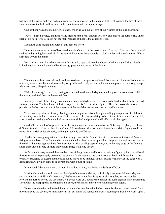hallway of the castle, and who had so miraculously disappeared in the midst of that fight. Around the two of them stood scores of the little yellow men, in their red tunics with the spider insigne.

One of them was announcing, "Excellency, we bring you the last two of the wearers of the blue and white."

"Fools!" hissed a voice, and its metallic menace sent a chill through Mayhew and caused the hairs to rise on the back of his neck. "Fools, this is not the man. Neither of these is the centurion Tirio."

Mayhew's gaze sought the source of this obscene voice.

He saw a square-cut throne of blood-red marble. On each of the two corners of the top of the back there reposed a white and grinning human skull. In the seat of this throne there sprawled a black spider with a yellow face! Was it a spider? Or was it a man?

Yes, it was a man. But what a creature! It was a fat, squat, bloated hunchback, clad in a tight-fitting, closelyknitted black garment. Lean clawlike fingers gripped the two arms of the throne.

The creature's head was bald and parchment-skinned. Its eyes were slanted. Its nose and chin were both hooked, until they nearly met. Its mouth was wide, its lips thin and cruel; and through them there projected two long, sharp, white dog-teeth, like poison fangs.

"Take them away," it croaked, waving one taloned hand toward Mayhew and his prostrate companion. "Take them away and feed them to the eternal fires."

Instantly several of the little yellow men leaped upon Mayhew and tied his arms behind his back before he had a chance to resist. The henchman of Tirio was jerked to his feet and similarly tied. Then the two of them were prodded with sharp knives out of the presence of the repulsive creature on the red marble throne.

To the accompaniment of many flaming torches they were driven through winding passageways of solid rock. It seemed they went miles. It became a treadmill existence like sleep-walking. When either of them stumbled and fell, as occurred increasingly often, the luckless one was kicked and prodded and knifed to his feet again.

Gradually the smell of sulphur in the air became more and more oppressive. A flickering red glare, somehow different from that of the torches, loomed ahead down the corridor. At regular intervals a shriek of agony could be heard. Each shriek ended abruptly, as though suddenly snuffed out.

Finally the passageway widened out into a huge cave, at the far end of which there was an inferno of flames, rising from the level of the floor and extending a hundred feet or more upward, to disappear through an aperture in the roof. Silhouetted against these fires were four or five small groups of men, and at the very edge of the flaming abyss there stood a score or more individuals armed with long spears.

As Mayhew's party entered the chamber, one of the groups ahead bustled a resisting figure up into the midst of the spearmen, who promptly presented the points of their spears to the poor creature's back and forced him to the brink. He struggled to escape them, but he had to move or be impaled, until at last he toppled over the edge with a despairing shriek which came to an abrupt end with a puff of flame.

It reminded Adams Mayhew of a moth flying into a lamp, and being suddenly snuffed out.

Victim after victim was driven over the edge of the eternal flames, until finally there were left only Mayhew and the henchman of Tirio. Of these two, Mayhew's turn came first. In spite of his struggles, he was prodded forward and turned over to the spearmen. His bonds were cut, doubtless to render his death agonies more interesting. Then, with the sharp spears pricking into his back, the relentless march to the flaming brink began.

He reached the edge and looked down. And now he saw that what he had taken for flames, when viewed from the entrance to the cavern, was not flames at all, but rather the reflections from a seething caldron below, cast upon a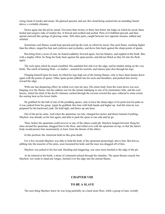rising cloud of smoke and steam. He glanced upward, and saw this cloud being sucked into an unending funnel above, a veritable chimney.

Down again into the pit he stared. Not more than twenty or thirty feet below the ledge on which he stood, there boiled and surged a lake of molten fire. It flowed and seethed and jostled. Parts of it bubbled upward, and then spread outward like springs of glowing water. Still other parts, caught between two opposite streams, eddied and whirled.

Sometimes real flames would leap upward and lap the rock on which he stood. One such flame, reaching higher than the others, singed his hair and eyebrows and eyelashes, and drove him back against the sharp points of spears.

Recoiling from a score of cuts, he leaned suddenly forward again, lost his balance, and toppled at the brink. But, with a mighty effort, he flung his body back against the spear-points, and did not flinch as they bit into his flesh again.

The rock upon which he stood crumbled. His sandaled feet slid over the edge, and he landed sitting on the very brink. The smell of burning flesh—or leather—assailed his nostrils, and intense pain shot through his legs.

Flinging himself upon his back, he lifted his legs high out of the licking flames, only to have them beaten down again with the points of spears. Other spear-points jabbed into his neck and shoulders, and pushed him slowly toward the edge.

With one last despairing effort, he rolled over onto his face. His entire body from the waist down was now hanging over the flames, but the caldron was for the instant indulging in one of its momentary lulls, and the cool breeze, which the draft of the devil's chimney sucked through the caverns toward this spot, reduced to some extent the searing heat on his lower limbs.

He grabbed for the haft of one of the prodding spears, only to have the sharp edges of its point tear his palm as it was yanked from his grasp. Again he grabbed, this time with both hands and higher up. And this time he was prepared for the backward yank. He held tight, and threw up one knee.

Out of the pit he came. And when the spearman, too late, changed his tactics and thrust instead of pulling, Mayhew was already on his feet again, and able to push the spear to one side and let go.

Then, before the spearman could recover or any of the others could jab, Mayhew lunged forward, flung his arms around the spearman, dragged him to the floor, and rolled over with the spearman on top, so that the latter's body would protect him momentarily at least, from the thrusts of the others.

In this position, the American held on like grim death.

For a few seconds Mayhew was able to hold the body of the spearman protectingly above him. But knives, jabbing into the muscles of his arms, soon loosened his hold, and the man was dragged off of him.

Mayhew was jerked to his feet and, bleeding and staggering, was once more hustled to the edge of the pit.

As he tottered at the brink, a shout of command echoed through the chamber. The spear-thrusts ceased; but Mayhew, too weak to stand any longer, lurched over the edge into the eternal flames.

## **CHAPTER VIII**

#### **TO BE A SLAVE**

<span id="page-31-0"></span>The next thing Mayhew knew he was lying painfully on a hard stone floor, while a group of men, weirdly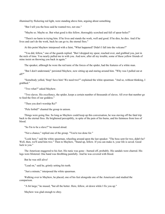illumined by flickering red light, were standing above him, arguing about something.

"But I tell you the boss said he wanted two, not one."

"Maybe so. Maybe so. But what good is this fellow, thoroughly scorched and full of spear-holes?"

"There's no harm in trying him. If he lives and stands the work, well and good. If he dies, he dies. And if he lives and can't do the work, back he can go to, the eternal fires."

At this point Mayhew interposed with a faint, "What happened? Didn't I fall into the volcano?"

"You did, fellow," one of the guards replied. "But I dropped my spear, reached over, and grabbed you, just in the nick of time. You nearly pulled me in with you. And now, after all my trouble, some of these yellow friends of mine insist on throwing you back in again."

The speaker, although he wore the red tunic of the forces of the spider, had the features of a white man.

"But I don't understand," persisted Mayhew, now sitting up and staring around him. "Why was I pulled out at all?"

"Somebody yelled, 'Stop! Save him! We need two!'" explained the white spearman. "And so, without thinking, I grabbed."

"Two what?" asked Mayhew.

"Two slaves. His excellency, the spider, keeps a certain number of thousands of slaves. All over that number go to feed the fires of our goddess."

"Then you don't worship Ra?"

"Pele forbid!" chanted the group in unison.

Things were going fine. So long as Mayhew could keep up this conversation, he was staving off the fatal trip back to the eternal fires. He brightened perceptibly, in spite of the pain of his burns, and his faintness from loss of blood.

"So I'm to be a slave?" he mused aloud.

"Not a chance," replied one of the group. "You're too done for."

"Look here," said the white spearman, wheeling around upon the last speaker. "The boss sent for two, didn't he? Well, then, we'll send him two." Then to Mayhew, "Stand up, fellow. If you can make it, your life is saved. Good luck to you."

The American staggered to his feet. His tunic was gone—burned off, probably. His sandals were charred. His legs were blistered. One hand was throbbing painfully. And he was covered with blood.

But he was still alive!

"Lead on," said he, grimly setting his teeth.

"Just a minute," interposed the white spearman.

Walking over to Mayhew, he placed, one of his feet alongside one of the American's and studied the comparison.

"A bit large," he mused, "but all the better. Here, fellow, sit down while I fix you up."

Mayhew was glad enough to obey.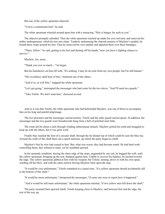But one of the yellow spearmen objected.

"You're a sentimental fool," he said.

The white spearman wheeled around upon him with a menacing, "Pele is hungry for such as you."

The objector promptly subsided. Then the white spearman reached up under his own red tunic and removed his nether undergarment, which he tore into strips. Tenderly unfastening the charred remains of Mayhew's sandals, he bound these strips around his feet. Then he removed his own sandals and adjusted them over these bandages.

"There, fellow," he said, getting to his feet and dusting off his hands, "now you have a fighting chance to survive."

Mayhew, too, arose.

"Thank you ever so much—" he began.

But his benefactor cut him off with, "It's nothing. I may be an exile from my own people, but I'm still human."

"His excellency shall hear of this," muttered one of the others.

"And if so, so will Pele," snapped the white spearman.

"Let's get going," interrupted the messenger who had come for the two slaves. "And I'll need two guards."

"Take Tolofo. We don't want him," chorused several.

And so it was that Tolofo, the white spearman who had befriended Mayhew, was one of those to accompany him on his long and painful pilgrimage.

The two prisoners and the messenger carried torches. Tolofo and the other guard carried spears. In addition, the messenger and the two guards wore broadswords hung from a belt of polished steel links.

The route led for about a mile through winding subterranean tunnels. Mayhew gritted his teeth and struggled to keep up with the others, but it was grim work.

Finally they reached the foot of a circular shaft, through the far distant top of which could be seen the blue sky. Around the walls of this shaft there ran a spiral staircase, up which the party began to climb.

Mayhew's feet by now had ceased to hurt. But, what was worse, they had become numb. He had hard work controlling them; they refused to track, yet he stumbled upward.

In his unsteady condition, fearing the sheer edge of the steps, unguarded by any rail, he hugged the wall, until the yellow spearman, bringing up the rear, bumped against him. Unable to recover his balance, he lurched toward the edge. The yellow spearman jabbed at him with his weapon; but Tolofo, turning, drove in with his own spear, warding off the blow, and with the same motion forcing Mayhew back upon the step.

"It would be very unfortunate," Tolofo remarked in a casual tone, "if a yellow spearman should accidentally fall to the bottom of this shaft."

"It would be more unfortunate," interposed the messenger, "if some one were to report how it happened."

"And it would be still more unfortunate," the white spearman retorted, "if two yellow men fell down the shaft."

The party resumed their upward climb, Tolofo keeping close to Mayhew, and between him and the edge, the rest of the way up.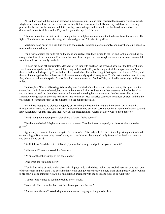At last they reached the top, and stood on a mountain spur. Behind them towered the smoking volcano, which Mayhew had seen before, but never so close as this. Before them were foothills, and beyond those were rolling prairies beribboned with streams, and dotted with groves, villages and farms. In the far dim distance shone the domes and minarets of the Golden City, and beyond that sparkled the sea.

The clear mountain air felt most refreshing after the sulphurous fumes and the torch-smoke of the caverns. The light of Ra, the sun, was most cheering, after the red glare of Pele, the fire goddess.

Mayhew's head began to clear. His wounds had already limbered up considerably, and now the feeling began to return to his numbed legs.

For a few moments the party sat on the rocks and rested, then they turned to the left and took up a winding trail along a shoulder of the mountain. For hour after hour they trudged on, over rough volcanic rocks, sometimes uphill, sometimes down, but rarely on the level.

To keep his mind off his troubles, Mayhew let his thoughts dwell on the crowded affairs of the last few hours. Less than a day ago he had been peacefully living in the Golden City of Mu, a guest of the magistrate Julo. Since then he had been kidnaped by Tirio; had met his own double, Porto; had fought first against the forces of Tirio, and then with them against the spider-men; had been miraculously spirited away from Tirio's castle to the caves of living fire, where he had met the spider face to face; had been almost sacrificed to Pele; and finally had trudged miles and miles.

He thought of Eleria. Mistaking Adams Mayhew for his double, Porto, and misinterpreting his ignorance for cowardice, she had never relented, had never unbent toward him. And yet it was her presence in the Golden City, and the hope of breaking down her reserve and eventually making her acquaintance, that had reconciled Adams Mayhew to the gradually growing realization that for him at least, America somehow no longer existed, and that he was doomed to spend the rest of his existence on the continent of Mu.

With these thoughts he plodded doggedly on. His thought became blurred and incoherent. On a treadmill, through a thick haze, he pursued the floating vision of a cameo-cut face, surmounted by an aureole of honey-colored hair. At length, even this face vanished. A black fog engulfed him. Adams Mayhew was "out on his feet."

"Halt!" sung out a peremptory voice ahead of them. "Who comes?"

The five men halted. Mayhew swayed for a moment. Then his knees crumpled, and he sunk silently to the ground.

Ages later, he came to his senses again. Every muscle of his body ached. His feet and legs stung and throbbed excruciatingly. But he was lying on soft mats, and over him was bending a kindly face masked behind a luxuriant and bushy blond beard.

"Well, fellow," said the voice of Tolofo, "you've had a long, hard pull, but you've made it."

"Where am I?" weakly asked the American.

"At one of the labor camps of his excellency."

"And what are *you* doing here?"

"I've had a stroke of luck, which shows that it pays to do a kind deed. When we reached here ten days ago, one of the foremen had just died. The boss liked my looks and gave me the job. So here I am, sitting pretty. All of which is probably a good thing for you, too. I had quite an argument with the boss as to what to do with you."

"I suppose he wanted to send me back to Pele," wryly.

"Not at all. Much simpler than that. Just heave you into the sea."

"Are we near the sea?" asked Mayhew, an immense longing welling into his heart.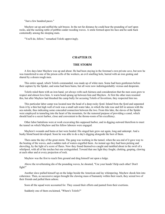"Just a few hundred paces."

Mayhew sat up and sniffed the salt breeze. In the not far distance he could hear the pounding of surf upon rocks, and the sucking rattle of pebbles under receding waves. A smile formed upon his face and he sank back contentedly among the sleeping mats.

"You'll do, fellow," remarked Tolofo approvingly.

## **CHAPTER IX**

## **THE STORM**

<span id="page-35-0"></span>A few days later Mayhew was up and about. He had been staying in the foreman's own private cave, but now he was transferred to one of the prison cells of the workers, an evil smelling hole, barred with an iron grating and shared by a dozen rough men.

This entire squad, which Tolofo commanded, was made up of white men. Some had been gentlemen before their capture by the Spider, and some had been bums, but all were now indistinguishably vicious and desperate.

Tolofo ruled them with an iron hand, yet always with such fairness and consideration that the men soon grew to respect and almost love him. A warm bond sprang up between him and Mayhew. At first the other men resented this, but after Mayhew had thrashed the camp bully for accusing Tolofo of favoritism, they respected him too.

This particular labor camp was located near the head of a deep rocky fjord. Inland from the fjord and separated from it by a thin but high wall of rock was a small salt-water lake, in which the tide rose and fell in unison with the sea outside, thus indicating some concealed connection between the two. From this lake, the slaves of the Spider were employed in tunneling into the heart of the mountain, for the rumored purpose of providing a canal, which should lead to a secret harbor, close and convenient to the throne-room of his excellency.

Other labor battalions were at work excavating this supposed harbor, and in digging outward therefrom to meet the tunnel on which Mayhew and his fellow laborers were engaged.

Mayhew's wounds and burns at last were healed. His singed hair grew out again, long and unkempt. And a bushy blond beard developed. Soon he was able to do a day's digging alongside the best of them.

Then came the day of the great storm. The gang was working in the tunnel, when the sea end of it gave way to the beating of the waves, and a sudden rush of waters engulfed them. An instant ago they had been picking and shoveling, by the light of a score of flares. Now they found themselves caught and tumbled about in the swirl of a whirlpool, with all of the torches but one extinguished. Toward that one light they fought, choking, gasping, clawing at each other and at every projection of rock.

Mayhew was the first to reach firm ground and drag himself out upon a ledge.

Above the reverberating din of the pounding waves, he shouted, "Use your heads! Help each other! Don't fight!"

Another slave pulled himself up on the ledge beside the American and lay whimpering. Mayhew shook him into coherence. Then, as successive surges brought the clawing mass of humanity within their reach, they seized two of their friends and pulled them ashore.

Soon all the squad were accounted for. They ceased their efforts and panted from their exertions.

Suddenly one of them exclaimed, "Where's Tolofo?"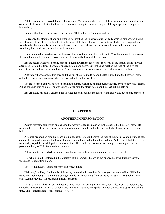All the workers were saved, but not the foreman. Mayhew snatched the torch from its niche, and held it far out over the black waters. Just at the limit of its beams he thought he saw a rising and falling shape which might be a human body.

Handing the flare to the nearest man, he said, "Hold it for me," and plunged in.

He reached the floating shape and grasped it. Just then the light went out. An eddy whirled him around and he lost all sense of direction. Holding tight to the tunic of the body, he tried to swim toward where he imagined his friends to be; but suddenly the waters sank down, sickeningly down, down, sucking him with them, and then something hard and sharp struck his head from above.

For a moment he was stunned, but he never loosened the grip of his right hand. When he opened his eyes again it was to the gray daylight of a driving storm. He was in the basin of the salt lake.

But the return swell was bearing him back again toward the face of the rock wall of the tunnel. Frantically he attempted to stem the tide. The waters sucked him on and down. But just as he reached the face of the cliff the current turned, and carried him out again. Almost exhausted, he swam toward the rocky shore of the lake.

Alternately he was swept this way and that, but at last he made it, and hauled himself and the body of Tolofo out onto a low pinnacle of rock, where he lay and held on for dear life.

The side of the basin was too steep for him to climb, even if he had not been burdened by the body of his friend. All he could do was hold on. The waves broke over him, the storm beat upon him, yet still he held on.

But gradually his hold weakened. He shouted for help, against the roar of wind and wave, but no one answered.

## **CHAPTER X**

#### **ANOTHER IMPERSONATION**

Adams Mayhew clung with one hand to the wave washed rock, and with the other to the tunic of Tolofo. He resolved to let go of the rock before he would relinquish his hold on his friend; but he bent every effort to retain both.

A pebble dropped on him. He heard a slipping, scraping sound above the roar of the storm. Glancing up, he saw a man-like shape descending the face of the cliff. A hand reached out and touched him. With a lurch he let go of the rock and grasped the hand. It pulled him to his feet. Then, with the last ounce of strength remaining in him, he passed the body of Tolofo up to the man above.

A few minutes later Mayhew himself was being handed from man to man up the face of the cliff.

The whole squad regathered in the quarters of the foreman. Tolofo at last opened his eyes, but he was very weak, and kept spitting blood.

They told him how Adams Mayhew had rescued him.

"Fellows," said he, "I'm done for. I think my whole side is caved in. Mayho, you're a good fellow. With that beard you look enough like me that a stranger would not know the difference. Why not *be* me? And, when I die, bury Adamo Mayho." He coughed painfully and spat.

"It hurts to talk," he said, yet he kept on. "You know something of my story; how I fled from the Golden City, an outlaw, accused of a crime of which I was innocent. I have been a spider-man for six moons, a spearman all that time. This—information—will—enable—you—"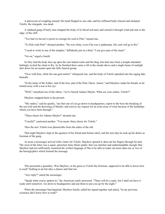A paroxysm of coughing ensued. His head flopped to one side, and his stiffened body relaxed and slumped. Tolofo, the renegade, was dead.

A subdued gang of burly men stripped the body of its blood red tunic and carried it through wind and rain to the edge. of the cliff.

"Too bad we haven't a priest to consign his soul to Pele," mused one.

"To Pele with Pele!" shouted another. "He was white, even if he was a spiderman. His soul will go to Ra."

"I used to work in one of the temples," diffidently put in a third. "I can give part of the ritual."

"Go on," urged a fourth.

So they laid the body face-up upon the rain lashed rocks and the thug who had once been a temple attendant haltingly recited the chant to Ra. As he finished there came a rift in the clouds above and a single beam of sunlight shot down for an instant upon the little funeral group.

"Over with him, while the sun-god smiles!" whispered one, and the body of Tolofo splashed into the raging lake beneath.

"In the name of the Father, and of the Son, and of the Holy Ghost. Amen," said Mayhew under his breath, as he turned away with a tear in his eye.

"Well," remarked one of the others, "we've buried Adamo Mayho. What are your orders, Tolofo?"

Mayhew snapped back to the present.

"My orders," said he quietly, "are that one of you go down to headquarters, report to the boss the breaking of the sea-wall and the drowning of Mayho, and convey my request for an extra issue of wine because of the hardships which you have been through."

"Three cheers for Adamo Mayho!" shouted one.

"Careful!" cautioned another. "You mean: three cheers for Tolofo."

Thus the new Tolofo rose phoenixlike from the ashes of the old.

That night Mayhew slept in the quarters of his friend and former chief, and the next day he took up his duties as foreman of the gang.

At noon a messenger arrived with a letter for Tolofo. Mayhew opened it; then ran his fingers through his hair. The crest of the letter was a squat, sprawled, hairy black spider; that was familiar and understandable enough. But Mayhew had not sufficiently mastered the written language of Mu to be able to make out more than one or two of the hieroglyphics which formed the message.

This presented a quandary. Was Mayhew, in his guise as Tolofo the foreman, supposed to be able to know how to read? Nothing to do but take a chance and find out.

"Any reply?" asked the messenger.

"Speak when you're spoken to," the American curtly answered. "There will be a reply, but I shall not have it ready until tomorrow. Go down to headquarters and ask them to put you up for the night."

When the messenger had departed, Mayhew hastily called his squad together and asked, "In my previous existence did I know how to read?"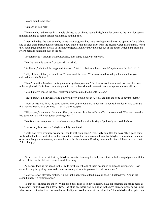No one could remember.

"Can any of you read?"

The man who had worked in a temple claimed to be able to read a little; but, after perusing the letter for several minutes, he had to admit that he could make nothing of it.

Later in the day, the boss came by to see what progress they were making toward clearing up yesterday's debris, and to give them instructions for sinking a new shaft a safe distance back from the present water-filled tunnel. When they had agreed upon the details of this new project, Mayhew drew the letter out of the pouch which hung from his sword belt and handed it over to the boss.

The latter read it through with pursed lips, then stared fixedly at Mayhew.

"You've read this yourself, of course?" he asked.

"Well—no," admitted the supposed foreman. "I tried to, but somehow I couldn't quite catch the drift of it."

"Why, I thought that you could read!" exclaimed the boss. "You were an educated gentleman before you enlisted under the Spider."

"True," admitted Mayhew, putting on a sheepish expression. "But I was a wild youth, and my education was rather neglected. That's how I came to get into the trouble which drove me to seek refuge with his excellency."

"Yes, I know," mused the boss. "But you always claimed to be able to read."

"True again," said Mayhew, "and I threw a pretty good bluff at it, too. I did it in the hope of advancement."

"Well, at least you have the good sense to risk your reputation, rather than to conceal this letter. Are you sure that Adamo Mayho was drowned? That he didn't escape?"

"Why—yes," stammered Mayhew. Then, recovering his poise with an effort, he continued: "Has any one who has gone over the hill ever gotten by the guards?"

"No. But you are reported to have been unduly friendly with this Mayo," pointedly accused the boss.

"He was my best worker," Mayhew boldly countered.

"Well, you have produced wonderful results with your gang," grudgingly admitted the boss. "It's a good thing for Mayho that he *is* dead, if he is; for this letter is an order from his excellency that Mayho be seized and bound at once, as a dangerous character, and sent back to the throne room. Reading between the lines, I think I can see that Pele is hungry."

At the close of the work that day Mayhew was still thanking his lucky stars that he had changed places with the dead Tolofo. But he did not remain thankful for long.

As he was locking his squad in their cells for the night, one of them beckoned to him and whispered, "How about leaving the grating unlocked? Some of us might want to go over the hill, you know."

"You're crazy," Mayhew replied. "In the first place, you couldn't make it, even if I helped you. And in the second place, I'm foreman now."

"Is that so?" sneered the other. "What good does it do us to have a fellow slave for foreman, unless he helps us to escape? Think it over for a day or two. One of us overheard you talking with the boss this afternoon, so we know what was in that letter from his excellency, the Spider. We know what is in store for Adamo Mayho, if he gets found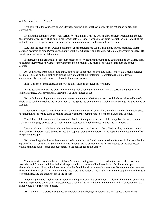out. So think it over—*Tolofo*."

"I'm doing this for your own good," Mayhew retorted, but somehow his words did not sound particularly convincing.

He did think the matter over—very seriously—that night. Truly he was in a fix, and just when he had thought that everything was rosy. If he helped his former pals to escape, it would mean court-martial for him. And if he did not help them to escape, it would mean exposure and certain death in the eternal fires of Pele.

Late into the night he lay awake, puzzling over his predicament. And at last, along toward morning, a happy solution occurred to him. Perhaps not a happy solution, but at least an alternative which might possibly succeed. He would go over the hill with his men.

If intercepted, his credentials as foreman might possibly get them through, if he could think of a plausible story to explain their presence wherever they happened to be caught. The more he thought of this plan the better it seemed.

At last he arose from his sleeping mats, tiptoed out of his cave, and walked softly to the cave which quartered his men. Tapping on their grating to arouse them and attract their attention, he explained his plan. It was enthusiastically received. He was restored to their good graces.

In fact, as one of them expressed it, "Good old Tolofo is a regular fellow again."

It was decided to make the break the following night. Several of the men knew the surrounding country for quite a distance. But, beyond that, their fate was on the knees of Ra.

But with the morning there came a message summoning him before the boss. And the boss informed him of a decision to send him back to the throne-room of the Spider, to explain to his excellency the strange disappearance of Mayho.

Mayhew's first reaction was intense relief. His problem was solved for him. But the more that he thought about the situation the more he came to realize that he was merely being plunged from one danger into another.

The Spider might see through his assumed identity. Some person at court might recognize him as not being Tolofo. Or his gang, cheated out of their planned escape, might tell the boss that he was an impostor.

Perhaps his men would believe him, when he explained the situation to them. Perhaps they would realize that their own self-interest would be best served by keeping quiet until his return, in the hope that they could then effect the planned escape.

But, when he got back from headquarters to his own cell, he found that a substitute foreman had already led his squad off for the day's work. So, with ominous forebodings, he packed up the few belongings of the predecessor whose name he had assumed and accompanied the messenger of the Spider.

The return trip was a revelation to Adams Mayhew. Having traversed the road in the reverse direction in a wounded and fainting condition, he had always thought of it as extending interminably for thousands upon thousands of miles. Now, to his intense surprise, he found the trip a remarkably easy one. By noon they had reached the top of the spiral shaft. In a few moments they were at its bottom. And a half hour more brought them to the caves of eternal fire, and the throne room of the Spider.

After a slight wait, Mayhew was ushered into the presence of his excellency. In view of the fact that everything else had appeared to diminish in impressiveness since his first arrival at these mountains, he half expected that the same would hold true of the Spider.

But it did not. The creature squatted, as repulsive and terrifying as ever, on its skull-topped throne of red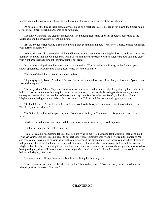marble. Again the hair rose involuntarily on the nape of the young man's neck at the awful sight.

At one side of the throne there stood a crystal globe on a steel pedestal. Clutched in his claws, the Spider held a scroll of parchment which he appeared to be perusing.

Mayhew waited until the creature glanced up. Then placing right hand upon left shoulder, according to the Muian custom, he bowed low before the throne.

But the Spider stiffened, and flashed a baleful glance at him, hissing out, "What now, Tolofo, cannot you forget your former nationality?"

Adams Mayhew did some quick thinking. Glancing around, yet without moving his head to indicate that he was doing so, he noted that the two attendants who had led him into the presence of their ruler were both standing erect with right arm extended straight forward, palm to the front.

Instantly he whipped into the same position, stammering, "Your excellency will forgive the fact that your august appearance awed me into a long-accustomed gesture of humility."

The face of the Spider softened into a toothy leer.

"A pretty speech, Tolofo," said he. "But now let us get down to business. I hear that you lost one of your slaves. How did it happen?"

The story which Adams Mayhew then related was one which had been carefully thought up by him on his trek hither across the mountains. It was quite simple, namely a true account of the breaking of the sea-wall, and the subsequent rescue of all the members of the squad except one. But the teller was Tolofo, rather than Adams Mayhew; the missing man was Adamo Mayho, rather than Tolofo; and the story ended right at that point.

"So I led the rest of them back to their cell, sent word to the boss, and drew an extra ration of wine for them. That is all, your excellency."

The Spider fixed him with a piercing stare from beady black eyes. Then lowered his gaze and perused the scroll.

Mayhew shifted his feet uneasily. Had this uncanny creature seen through his deception?

Finally the Spider again looked up at him.

"Tolofo," said he, "something tells me that you are lying to me." He paused to let that sink in; then continued, "And yet your record gives me no cause to suspect you. You are unquestionably a fugitive from the justice of Mu, and thus cannot possibly be conspiring with the empire against me. Since joining my order you have been frank and independent, almost too frank and too independent at times. I know all about your having befriended this Adamo Mayhew; but then there is nothing to indicate that you knew that he was a henchman of the magistrate Julo, who has been plotting my downfall. Julo, the very same judge who convicted you! Had you known that, you would not have befriended Mayho, I feel sure."

"I thank your excellency," murmured Mayhew, inclining his head slightly.

"Don't thank me too quickly," bristled the Spider. Then to the guards, "Take him away, while I meditate on what disposition to make of his case."

# **CHAPTER XI**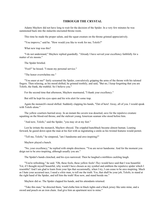### **THROUGH THE CRYSTAL**

Adams Mayhew did not have long to wait for the decision of the Spider. In a very few minutes he was summoned back into the stalactite encrusted throne room.

This time he made the proper salute, and the squat creature on the throne grinned appreciatively.

"You improve," said he. "How would you like to work for me; Tolofo?"

What new trap was this?

"I do not understand," Mayhew replied guardedly. "Already I have served your excellency faithfully for a matter of six moons."

The Spider bristled.

"Fool!" he hissed. "I mean my personal service."

"The honor overwhelms me."

"You sneer at me!" fairly screamed the Spider, convulsively gripping the arms of the throne with his taloned fingers. Then relaxing, as his mood shifted, he grinned toothily, and said, "But no, I keep forgetting that you are Tolofo, the frank, the truthful. So I believe you."

For the second time that afternoon, Mayhew murmured, "I thank your excellency."

But still he kept his eyes open and his wits alert for some trap.

Again the monarch's mood shifted. Suddenly clapping his hands, "Out of here! Away, all of you. I would speak with Tolofo alone."

The yellow courtiers hurried away. In an instant the cavern was deserted, save for the repulsive creature squatting on the blood-red throne, and the stalwart young American seaman who stood before him.

"And now, Tolofo," said the Spider, "you may sit at my feet."

Lest he irritate the monarch, Mayhew obeyed. The crippled hunchback became almost human. Leaning forward, he gazed down upon the man at his feet with as ingratiating a smile as his twisted features would permit.

"Tell me, Tolofo," he simpered, "am I handsome and awe-inspiring?"

Mayhew played a hunch.

"No, your excellency," he replied with simple directness. "You are never handsome. And for the moment you deign not to be awe-inspiring, although usually you are."

The Spider's hands clenched, and his eyes narrowed. Then he laughed a mirthless cackling laugh.

"You're refreshing," he said. "Oh, these fools, these yellow fools! *They* would have said that I was beautiful. Yet, if I thought myself beautiful, why would I have chosen as my symbol and emblem the repulsive spider which I resemble? And I am glad to learn from your lips that occasionally, when I try, I can cease to be awe-inspiring. Much as I hate your accursed race, I need a *white* man, to tell me the truth. Yes, that shall be your job, Tolofo, to stand at the right hand of the Spider, and tell him the truth! Rise now, and stand beside me."

Mayhew did so. The Spider clapped his hands, and his attendants returned.

"Take this man," he directed them, "and clothe him in black tights and a black jersey like unto mine, and a sword and pouch on an iron chain. And give him an apartment next to mine."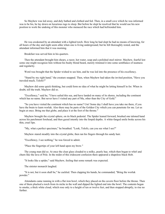So Mayhew was led away, and duly bathed and clothed and fed. Then, in a small cave which he was informed was to be his, he lay down on luxurious rugs to sleep. But before he slept he resolved that he would use his new position to work the undoing of this monster who menaced the race which had befriended him.

He was awakened by an attendant with a lighted torch. How long he had slept he had no means of knowing, for all hours of the day and night seem alike when one is living underground; but he felt thoroughly rested, and the attendant informed him that it was morning.

Breakfast was served him in his quarters.

Then the attendant brought him shears, a razor, hot water, soap and a polished steel mirror. Mayhew, fearful lest some one might recognize him without his bushy blond beard, merely trimmed it into some semblance of neatness and regularity.

Word was brought that the Spider wished to see him, and he was led into the presence of his excellency.

"Stand by my right hand," the creature snapped. Then, when Mayhew had taken the invited position, "Have you traveled much, Tolofo?"

Mayhew did some quick thinking, but could form no idea of what he might be letting himself in for. When in doubt, tell the truth. Mayhew did so.

"Excellency," said he, "I have sailed this sea, and have landed on many of its shores, including the continent which has no name. But never have I visited any part of Mu, other than the City of Gold."

"So you have visited the continent which has no name? Um! Some day I shall have you take me there, if you have the brain to learn worluk. Also there may be parts of the Golden City which you can penetrate for me. Let us begin at once. Bring me that globe, and place it at the foot of the throne."

Mayhew brought the crystal sphere, on its black pedestal. The Spider leaned forward, brushed one taloned hand across his parchment forehead, and then gazed intently into the limpid depths. A white-fanged smile broke across his thin, cruel lips.

"My, what a perfect specimen," he breathed. "Look, Tolofo, can you see what I see?"

Mayhew stared steadily into the crystal globe, then ran his fingers through his sandy hair.

"Excellency, I see nothing," he was forced to admit.

"Place the fingertips of your left hand upon my brow."

The young man did so. At once the clear glass clouded to a milky, pearly hue, which then began to whirl and churn like the lava of Pele. In the midst of this iridescent confusion there appeared a shapeless black blob.

"It looks like a spider," said Mayhew, feeling that some remark was expected.

The sinister monarch laughed.

"It is not, but it soon shall be," he cackled. Then clapping his hands, he commanded, "Bring the worluk powder."

Attendants came running in with a flat iron bowl, which they placed on the cavern floor before the throne. Then one of them plucked a torch from its niche in the wall and dipped the lighted end into the bowl. The contents began to smoke, a thick white cloud, which rose only to a height of ten or twelve feet, and then stopped abruptly, to rise no further.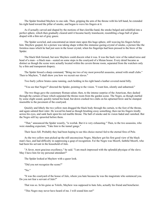The Spider brushed Mayhew to one side. Then, gripping the arm of the throne with his left hand, he extended his right hand toward the pillar of smoke, and began to wave his fingers at it.

As if actually carved and shaped by the motions of that clawlike hand, the smoke bulged and solidified into a perfect sphere, which then gradually cleared until it became hazily translucent, resembling a huge ball of glass draped with a thin net of gray gauze.

The Spider scowled, and concentrated an intent stare upon this huge sphere, still weaving his fingers before him. Mayhew gasped, for a picture was taking shape within this immense gazing-crystal of smoke, a picture like the formless mass which he had just seen in the lesser crystal, when his fingertips had been pressed to the brow of the Spider.

The black blob formed, but now Mayhew could discern what it was. It was the back view of the naked torso and head of a man—a black man—seated on some steps in the courtyard of a Muian house. Every detail became as distinct as though the scene were actually located within the cavern throne room, separated from the watchers only by a thin and transparent drapery.

The Spider hissed a sharp command, "Bring me two of my most powerful assassins, armed with small clubs." Then to Mayhew, "I shall show you how we recruit our slaves."

Two burly yellow brutes came running, each holding in his right hand a leather covered metal billy.

"You see that Negro?" directed the Spider, pointing to the vision. "I want him, silently and unharmed."

The two thugs gave the customary Roman salute; then, to the intense surprise of the American, they dashed through the curtain of haze which separated the throne room from the garden scene. The Negro, as though startled by some slight sound, quickly turned his head, but down crashed two clubs on his upturned brow and he slumped insensible to the pavement of the courtyard.

Quickly and lithely the two yellow men dragged the black body through the curtain, to the foot of the throne, and again saluted their ruler. He waved his hand as though brushing away something; then ran his fingers tiredly across his eyes, and sank back upon his red marble throne. The ball of smoke and its vision faded and vanished. But the Negro still lay sprawled before them.

"That," announced the Spider wearily, "is worluk. But it is very exhausting." Then, to the two assassins, who were standing expectant, "Take him to the tunnel gangs."

Their faces fell. Probably they had been hoping to see this choice morsel fed to the eternal fires of Pele.

As the two yellow men picked up the still unconscious Negro, Mayhew got his first good view of the black man's face, and had difficulty in suppressing a gasp of recognition. For the Negro was Moorfi, faithful Moorfi, who had been his servant in the household of Julo.

"A favor, most gracious excellency," he said. "I am much impressed with the splendid physique of the slave. May I have him for my personal attendant?"

The Spider looked at Mayhew with a queer look.

"Did you not recognize the scene?"

"No."

"It was the courtyard of the house of Julo, whom you hate because he was the magistrate who sentenced you. Do you not fear a servant of Julo?"

That was so. In his guise as Tolofo, Mayhew was supposed to hate Julo, actually his friend and benefactor.

"This Negro may never have heard of me. I will sound him out!"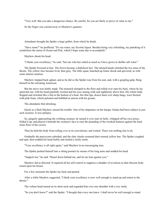"Very well. But you take a dangerous chance. Be careful, for you are likely to prove of value to me."

So the Negro was carried away to Mayhew's quarters.

Attendants brought the Spider a large goblet, from which he drank.

"Have some?" he proffered. "It's sea water, my favorite liquor. Besides being very refreshing, my partaking of it symbolizes the union of Ocean and Pele, which I hope some day to accomplish."

Mayhew shook his head.

"I thank your excellency," he said, "but one who has sailed as much as I have grows to dislike salt water."

The Spider frowned at him. The frown became a diabolical leer. The taloned hands clutched the two arms of the throne. The yellow face became livid, then gray. The little squat, hunched-up frame shook and quivered, as with some intense emotion.

Mayhew stepped back aghast, and as he did so the Spider rose from his seat, and, with a gurgling gulp, flung himself at the retreating American.

But the move was feebly made. The monarch slumped to the floor and rolled over onto his back, where he lay sprawled out, with his head painfully twisted and his eyes staring wide and sightlessly above him. His whole body flopped and twitched like a fish in the bottom of a boat. His thin lips, drawn back over sharp fangs, were flecked with pink foam, which pulsated and bubbled in unison with his groans.

The attendants fled shrieking.

Quick as a flash Mayhew sensed the trouble. One of his shipmates on the barque Alaska had been subject to just such seizures. It was epilepsy.

So, gingerly approaching the writhing creature, he turned it over onto its belly, whipped off his own jersey, folded it up, and placed it beneath the creature's face to ease the pounding of the crooked features against the hard stone floor of the cavern.

Then he held the body from rolling over in its convulsions, and waited. There was nothing else to do.

Gradually the paroxysms subsided, and the slaty cheeks resumed their normal yellow hue. The Spider coughed and spat, then nodded his head feebly and smiled a sickly smile.

"Your excellency is all right again," said Mayhew in an encouraging tone.

The Spider pushed himself into a sitting posture by means of his long arms and nodded his head.

"Support me," he said. "Kneel down behind me, and let me lean against you."

Mayhew did as directed. It required all his self-control to suppress a shudder of revulsion as that obscene body rested upon his breast.

For a few moments the Spider lay back and panted.

After a while Mayhew suggested, "I think your excellency is now well enough to stand up and return to the throne."

The vulture head turned on its short neck and regarded him over one shoulder with a wry smile.

"So you don't know?" said the Spider. "I thought that every one knew. I shall never be well enough to stand.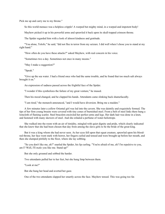Pick me up and carry me to my throne."

So this world menace was a helpless cripple! A warped but mighty mind, in a warped and impotent body!

Mayhew picked it up in his powerful arms and sprawled it back upon its skull-topped crimson throne.

The Spider regarded him with a look of almost kindness and gratitude.

"You alone, Tolofo," he said, "did not flee in terror from my seizure. I did well when I chose you to stand at my right hand."

"How often do you have these attacks?" asked Mayhew, with real concern in his voice.

"Sometimes two a day. Sometimes not once in many moons."

"May I make a suggestion?"

"Speak."

"Give up the sea water. I had a friend once who had the same trouble, and he found that too much salt always brought it on."

An expression of sadness passed across the frightful face of the Spider.

"I wonder if this symbolizes the failure of my great venture," he mused.

Then his mood changed, and he clapped his hands. Attendants came slinking back shamefacedly.

"I am tired," the monarch announced, "and I would have diversion. Bring me a maiden."

A few minutes later a yellow Oriental girl was led into the cavern. She was daintily and exquisitely formed. The tips of her firm young breasts were covered with tiny cones of burnished steel. From a belt of steel links there hung a loincloth of flaming scarlet. Steel bracelets encircled her perfect arms and legs. Her dark hair was done in a knot, and fastened with many skewers of steel. And she exhaled a perfume of water-heliotrope.

She walked into the room with an air of timidity, mingled with quiet dignity and pride, which clearly indicated that she knew that she had been chosen that day from among the slave girls to be the bride of the great king.

But it was a king whom she had never seen. As her eyes fell upon that squat creature, sprawled upon his bloodred throne, her face went stark with horror, her fingers curled and tensed and were brought up before her mouth, and then she slumped pitifully to the floor, where she lay sobbing.

"So you don't like me, eh?" snarled the Spider, his lip curling. "You're afraid of me, eh? I'm repulsive to you, am I? Well, I'll *make* you like me. Stand up!"

But she only groaned and sobbed the harder.

Two attendants pulled her to her feet, but she hung limp between them.

"Look at me!"

But she hung her head and averted her gaze.

One of the two attendants slapped her smartly across the face. Mayhew tensed. This was going too far.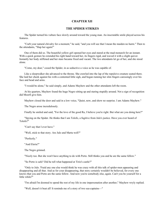## **CHAPTER XII**

## **THE SPIDER STRIKES**

The Spider turned his vulture face slowly around toward the young man. An inscrutable smile played across his features.

"Curb your natural chivalry for a moment," he said, "and you will see that I mean the maiden no harm." Then to the attendants, "Slap her again!"

One of them did so. The beautiful yellow girl opened her eyes and stared at the mad monarch for an instant. With a quick gesture he extended his right hand toward her, its fingers rigid, and waved it with a slight quiver. Instantly her body stiffened and her stare became fixed and vacant. The two attendants let go of her, and she stood alone.

"Come, my dear," cooed the Spider, in as seductive a voice as he was capable of.

Like a sleepwalker she advanced to the throne. She crawled into the lap of the repulsive creature seated there. She laid her cheek against his with a contented little sigh, and began running her slim fingers caressingly over his face and head and arms.

"I would be alone," he said simply, and Adams Mayhew and the other attendants left the room.

At his quarters, Mayhew found the huge Negro sitting up and staring stupidly around. Not a sign of recognition did Moorfi give him.

Mayhew closed the door and said in a low voice, "Quiet, now, and show no surprise. I am Adams Mayhew."

The Negro arose incredulously.

Finally he smiled and said, "For the love of the good Ra, I believe you're right. But what are you doing here?"

"Spying on the Spider. He thinks that I am Tolofo, a fugitive from Julo's justice. Have you ever heard of Tolofo?"

"Can't say that I ever have."

"Well, stick to that story. Are Julo and Marta well?"

"Perfectly."

"And Eleria?"

The Negro grinned.

"Nicely too. But she won't have anything to do with Porto. Still thinks you and he are the same fellow."

"So Porto is safe? Did he tell what happened at Tirio's castle?"

"Only to Julo. 'Fraid any one else would think he was crazy with all this talk of spider-men appearing and disappearing and all that. And as for your disappearing, that story certainly wouldn't be believed, for every one knows that you and Porto are the same fellow. And now you're somebody else, again. Can't you be yourself for a little while?"

"I'm afraid I'm doomed to spend the rest of my life in one impersonation after another," Mayhew wryly replied.

"Well, doesn't it beat all! It reminds me of a story of two sea-captains—"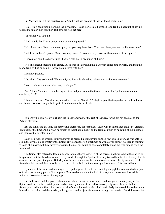But Mayhew cut off the narrative with, "And what has become of that rat-faced centurion?"

"Oh, Tirio's back running around the city again. He and Porto called off the blood feud, on account of having fought the spider-men together. But how did you get here?"

"The same way you did."

"And how is that? I was unconscious when it happened."

"It's a long story. Keep your eyes open, and you may learn how. You are to be my servant while we're here."

"While we're here?" quoted Moorfi with a grimace. "No one ever gets out of the clutches of the Spider."

"I mean to," said Mayhew grimly. Then, "Does Eleria see much of Tirio?"

"No, she doesn't speak to him either. But sooner or later she'll make up with either him or Porto, and then the blood feud will be on again. They're both in love with her."

Mayhew groaned.

"Just think!" he exclaimed. "Here am I, and Eleria is a hundred miles away with those two men."

"You wouldn't want her to be here, would you?"

And Adams Mayhew, remembering what he had just seen in the throne room of the Spider, answered an emphatic, "No!"

Then he cautioned Moorfi always to address him as "Tolofo." A slight slip of the tongue by the faithful black, and he and his master might both go to feed the eternal fires of Pele.

Evidently the little yellow girl kept the Spider amused for the rest of that day, for he did not again send for Adams Mayhew.

But the following day, and for many days thereafter, the supposed Tolofo was in attendance on his sovereign a large part of the time. And always he sought to ingratiate himself, and to learn as much as he could of the methods and plans of the sinister Spider.

Daily he practiced worluk, until whenever he pressed his finger tips on the brow of his patron, he was able to see in the crystal globe whatever the Spider envisioned there. Sometimes he would even almost succeed in forming visions of his own, but they never were quite distinct, nor could he ever completely shape the gray smoke from the iron bowl.

The Spider also offered to teach him how to tame the yellow girls of the harem, and how to bend their wills to his pleasure, but this Mayhew refused to try. And, although the Spider obscenely twitted him for his chivalry, the old creature did not press the point. But Mayhew did see many beautiful maidens come before the Spider and recoil from their fate in stark horror, only to be reduced to doll-like automatons by a few waves of his taloned hand.

By means of the mind and memory of the Spider, projected into the crystal gazing-globe, Adams Mayhew paid optical visits to many parts of the empire of Mu. And often when the ball of transparent smoke was formed, he witnessed assassinations and kidnapings.

But he learned that this powerful alchemist whom he served was limited and hampered in many ways. The Spider could see in the crystal sphere, and contact by means of the ball of smoke, only such places as he had formerly visited in the flesh. And not even all of those, but only such as had particularly impressed themselves upon him when he had visited them. Also, although he could project his minions through the curtain of worluk smoke into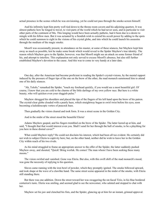actual presence in the scenes which he was envisioning, yet he could not pass through the smoke-screen himself.

And his infirmity kept him pretty well tied down to the throne room cavern and his adjoining quarters. It was almost pathetic how he longed to travel, to visit parts of the world which he had never seen, and in particular to visit other parts of the continent of Mu. This longing would have been actually pathetic, had it been due to a desire to mingle with his fellow men. But it was actuated by a fiendish wish to extend his occult power by adding to the spots which he could summon to sight in the visions of his crystal globe, and into which he could launch his assassins through the medium of the magic smoke.

Moorfi was occasionally present, in attendance on his master, at some of these séances, but Mayhew kept him away as much as possible, lest he make some break which would reveal to the Spider Mayhew's true identity. The reason which Mayhew gave to the Spider, however, was that Moorfi might see an attack on some former friend of his, and attempt to interfere. This explanation not only served to excuse Moorfi's absence, but also still further established Mayhew's devotion to the cause. And this was to come in very handy at a later date.

One day, after the American had become proficient in reading the Spider's crystal-visions, by the mental rapport induced by the pressure of finger tips of the one on the brow of the other, the mad monarch summoned him to attend one of his daily séances.

"Ah, Tolofo," remarked the Spider, "touch my forehead quickly, if you would see a most beautiful girl. Of course, I know that you are cold to the charms of the little darlings of my own yellow race. But here is a white beauty, who will quicken even your sluggish pulse."

Mayhew shrugged his shoulders and placed the tips of the fingers of his left hand upon the brow of his patron. The crystal-clear globe clouded with a pearly haze, which straightway began to swirl twist before his eyes, soon becoming a kaleidoscopic vortex of peacock hues.

Then gradually the vision cleared and took form. It was a street scene in the Golden City.

And in the midst of the street stood the beautiful Eleria!

Adams Mayhew gasped, and his fingers trembled on the brow of the Spider. The latter leered up at him, and said, "I thought that that would interest even you. Shall I send for her through the ball of smoke, to be a plaything for you here in these dismal caves?"

What could Mayhew reply? He could not disclaim his interest, which had been all too evident. He certainly did not wish to subject Eleria to captivity here; but, on the other hand, neither did he wish to leave her in the Golden City within reach of his two rivals.

As his mind struggled to frame an appropriate answer to the offer of the Spider, the latter suddenly pushed Mayhew away, and shouted, "Quick! Bring worluk. He comes! The man whom I have been seeking these many moons."

The vision swirled and vanished. Gone was Eleria. But also, with this swift shift of the mad monarch's mood, was gone the necessity of replying to his question.

Slaves came running with the iron bowl of powder, which they promptly ignited. The smoke billowed upward, and took shape at the wave of a clawlike hand. The same street scene appeared in the midst of the smoke, with Eleria still standing there.

But there was one addition. Down the street toward her was swaggering the rat-faced Tirio, in his blue bordered centurion's tunic. Eleria was smiling, and seemed glad to see the newcomer, who saluted and stopped to chat with her.

Mayhew set his jaw and clenched his fists, and the Spider, glancing up at him for an instant, grinned approval.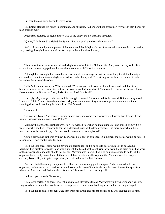But then the centurion began to move away.

The Spider clapped his hands in command, and shrieked, "Where are those assassins? Why aren't they here? My man escapes me!"

Attendants scattered to seek out the cause of the delay, but no assassins appeared.

"Quick, Tolofo, you!" shrieked the Spider. "Into the smoke and seize him for me!"

And such was the hypnotic power of that command that Mayhew leaped forward without thought or hesitation; and, passing through the curtain of smoke, he grappled with his old enemy.

The cavern throne room vanished, and Mayhew was back in the Golden City. And, as on the day of his first arrival there, he was engaged in a hand-to-hand combat with Tirio, the centurion.

Although his onslaught had taken his enemy completely by surprise, yet the latter fought with the ferocity of a cornered rat. In a few minutes Mayhew was down on his back, with Tirio sitting astride him, the hands of each locked on the arms of the other.

"What's the matter with you?" Tirio panted. "Who are you, with your bushy yellow beard, and that strange black costume? I've seen your face before, hut your beard hides most of it. You look like Porto, but he was cleanshaven yesterday. If you are Porto, desist; for the blood feud is off."

For reply, Mayhew gave a heave, and the struggle resumed. Tirio reached for his sword. But a warning shout, "Beware, Tolofo!" came from the air above. Mayhew had a momentary vision of a yellow man in a red tunic stooping down and snatching the blade from Tirio's hand.

Tirio blanched.

"So you are Tolofo," he gasped, "turned spider-man, and come back for revenge. I swear that it wasn't I who framed that case against you. Help! Police!"

Mayhew thought of the Biblical proverb, "The wicked flee when no man pursueth," and smiled grimly. So it was Tirio who had been responsible for the undeserved exile of the dead overseer. One more debt which the ratfaced one must be made to pay! But how could this ever be accomplished?

Quite a crowd had gathered by now. Eleria was no longer in evidence. In a moment the police would be here, in response to Tirio's frantic calls for help.

Then the supposed Tolofo would have to go back to jail; and if he should declare himself to be Adams Mayhew, this disclosure would in no way diminish the hatred of the centurion, who would take great pains that word of the prisoner's true identity should not get out. Mayhew was in a fix. The only solution seemed to be to kill his opponent before help came, for with the death of Tirio would die all suspicion that Mayhew was the escaped convict, Tolofo. So, with grim desperation, he clutched now for Tirio's throat.

And then he felt a strange inexplicable pull on him, as from a gigantic magnet. As he wrestled with his opponent, each turn and twist and roll seemed to carry the two of them further up the street toward the spot from which the American had first launched his attack. The crowd receded as they rolled.

He heard gruff shouts, "Make way!"

The crowd parted. And then Tirio got his hands on Mayhew's throat. Mayhew's wind was completely cut off. He gasped and strained for breath. A red haze spread over his vision. No longer did he feel the magnetic pull.

Then the hands of his opponent were torn from his throat, and his opponent's body was dragged off of him.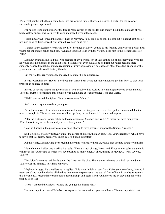With great painful sobs the air came back into his tortured lungs. His vision cleared. Yet still the red color of surrounding objects persisted.

For he was lying on the floor of the throne room cavern of the Spider. His enemy, held in the clutches of two burly yellow brutes, was staring with wide-mouthed horror at the scene.

"Take him away!" waved the Spider. Then to Mayhew, "You did a good job, Tolofo; but if I hadn't sent one of my men to seize Tirio's sword, you would have been done for."

"I thank your excellency for saving my life," breathed Mayhew, getting to his feet and gently feeling of his neck where his opponent's hands had been. "What do you plan to do with the victim? Feed him to the eternal flames of Pele?"

Mayhew grinned as he said this. Not because of any personal joy at thus getting rid of his enemy and rival, for he would take no pleasure in the cold blooded slaughter of even such a one as Tirio; but rather because there suddenly flashed through his mind a realization of irony of playing off against each other these two enemies of the government, so each would destroy the other.

But the Spider's reply suddenly shocked him out of his complacency.

It was, "Certainly not! Haven't I told you that I have been trying for many moons to get him here, so that I can propose an alliance to him?"

Instead of having helped the government of Mu, Mayhew had assisted in what might prove to be its undoing! The only crumb of comfort to this situation was that he had at least separated Tirio and Eleria.

"Well," announced the Spider, "let's do some more fishing."

And he stared again into the crystal globe.

At that instant one of the attendants announced a man, seeking audience; and the Spider commanded that the man be brought in. The newcomer was small and yellow, but well muscled. He carried a spear.

After the customary Roman salute he looked askance at Mayhew and said, "I'd rather not have him present. What I have to say is for the ears of your excellency alone."

"You will speak in the presence of any one I choose to have present," snapped the Spider. "Proceed."

Still looking at Mayhew furtively out of the corner of his eye, the man said, "But, your excellency, what I have to say is that this fellow beside you is *not* Tolofo, but an impostor!"

All this while, Mayhew had been racking his brains to identify the man, whose face seemed strangely familiar.

Meanwhile the Spider was snarling his reply, "That is a rash charge, Koko; and, if you cannot substantiate it, it will mean for you the fate to which you have pushed so many others." Then, turning to Mayhew, "What say you, Tolofo?"

The Spider's remarks had finally given the American his clue. This man was the one who had quarreled with Tolofo over his kindness to Adams Mayhew.

Mayhew shrugged his shoulders as he replied, "It is what I might expect from Koko, your excellency. He and I never got along together during all the time that we were spearmen at the eternal fires of Pele. I have heard rumors that he jealously resented my promotion to foremanship, and again when you honored me by elevating me to this post by your side."

"Koko," snapped the Spider. "Where did you get this insane idea?"

"In a message from one of Tolofo's own squad at the excavations, your excellency. The message stated that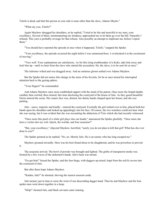Tolofo is dead, and that this person at your side is none other than the slave, Adamo Mayho."

"What say you, Tolofo?"

Again Mayhew shrugged his shoulders, as he replied, "I tried to be fair and merciful to my men, your excellency. Several of them, misinterpreting my kindness, approached me to let them go over the hill. Naturally I refused. This yarn is probably revenge for that refusal. Also possibly an attempt to implicate me, before I report them."

"You should have reported the episode at once when it happened, Tolofo," snapped the Spider.

"Your excellency, the episode occurred the night before I was summoned here. I overlooked it in the excitement of moving."

"Very well. Your explanations are satisfactory. As for this lying troublemaker of a Koko, take him away and lock him up—until we hear from the slave who started the accusation. He, the slave, is to be sent for at once."

The informer wilted and was dragged away. And an ominous gloom settled over Adams Mayhew.

But the Spider did not notice this change in the mien of his favorite, for he at once turned his interrupted attention back to the gazing-sphere.

"Your fingers!" he commanded.

And Adams Mayhew once more established rapport with the mind of his patron. Once more the limpid depths curdled, then swirled, then cleared, this time disclosing the courtyard of the house of Julo. As they gazed beautiful Eleria entered the scene. Her cameo face was, distrait, her dainty hands clasped upon her breast, and she was panting.

Julo—suave, majestic and kindly—entered the courtyard. Excitedly the girl rushed over to him, placed both her hands upon his shoulders and looked up appealingly into his face. Of course, the two watchers could not hear what she was saying, but it was evident that she was recounting the abduction of Tirio which she had recently witnessed.

"Once more this pearl of a white girl plays into our hands," announced the Spider gleefully. "Once more she lures a victim into my web. Quick, the worluk, and four assassins!"

"But, your excellency," objected Mayhew, horrified, "surely you do not plan to kill that girl! What has she ever done to you?"

The Spider grinned as he replied, "No, no. Merely Julo. He is an enemy who has long escaped me."

Mayhew groaned inwardly. Here was his best friend about to be slaughtered, and he was powerless to prevent it.

The assassins arrived. The bowl of powder was brought and lighted. The globe of transparent smoke was formed by a few waves of the alchemist's hands. Julo's back was turned.

"Go get him!" hissed the Spider, and the four thugs, with daggers up-raised, leapt from the red-lit cavern into the courtyard of Julo.

But after them leapt Adams Mayhew.

"Kataka, Julo!" he shouted, shoving the nearest assassin aside.

Julo turned, just in time to seize the wrist of one descending dagger hand. Then he and Mayhew and the four spider-men went down together in a heap.

"Help!" shouted Julo, and black servants came running.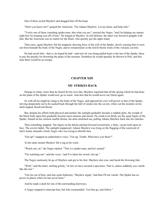One of them seized Mayhew and dragged him off the heap.

"Don't you know me?" gasped the American. "I'm Adams Mayhew. Let me alone, and help Julo."

"You're one of these vanishing spider-men, that what you are," retorted the Negro, "and I'm helping my master right how by keeping you off of him." He lunged at Mayhew. In self-defense, the latter was forced to grapple with him. But the American was no match for the black, who quickly got the upper hand.

Then once, again Mayhew felt the magnetic drawing force of the will of the Spider, slowly causing him to ooze out from beneath the body of the Negro, and to rematerialize in the red-lit throne room of the volcanic caverns.

He had saved Julo—that is, he hoped he had—and now he was being pulled back to the lair of the Spider, there to pay the penalty for thwarting the plans of the monster. Doubtless he would speedily be thrown to Pele, and this time there would be no escape.

## **CHAPTER XIII**

#### **MU STRIKES BACK**

Strange to relate, more than he feared for his own fate, Mayhew regretted that all the spying which he had done on the plans of the Spider would now go to waste. And also that he would never see Eleria again.

So with all his might he clung to the body of the Negro, and opposed his own will-power to that of the Spider, striving desperately not to be sucked back through the ball of smoke into the cavern, where sat the monster on his skull-topped, blood-red throne.

But, despite his efforts both physical and mental, the sunlight gradually became a reddish glare, the weight of the black body upon him gradually became more tenuous and unreal. He could even dimly see the squat figure of the Spider, Seated on his crimson marble throne, his arms stretched out, pulling Adams Mayhew back into his clutches.

Then something snapped. The figure on the throne pitched forward toward him, a fishy, vacant look upon its face. The cavern faded. The sunlight reappeared. Adams Mayhew was lying on the flagging of the courtyard of Julo's home, beneath a burly Negro who was trying to throttle him.

"Get up!" snapped an authoritative voice. "Get up, Tombi. What have you there?"

At the same instant Mayhew felt a tug at his waist.

"Watch out, sir," the Negro replied. "This is a spider-man, and he's armed."

"I'm watching out," said the voice, "and I've taken his sword. Get up."

The Negro cautiously let go of Mayhew and got to his feet. Mayhew also rose, and faced the frowning Julo.

"Well," said the latter, smiling grimly, "at last we have secured a specimen. That is, unless suddenly you vanish like the rest."

"Get me out of here, and into some bedroom," Mayhew urged, "and then I'll not vanish. The Spider has no power in places where he has never been."

And he made a dash for one of the surrounding doorways.

A Negro stepped to intercept him, but Julo commanded, "Let him go, and follow."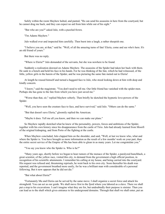Safely within the room Mayhew halted, and panted, "He can send his assassins in here from the courtyard, but he cannot drag me back, and they can expect no aid from him while out of his sight."

"But who are you?" asked Julo, with a puzzled frown.

"I'm Adams Mayhew."

Julo walked over and inspected him carefully. Then burst into a laugh, a rather sheepish one.

"I believe you are, at that," said he. "Well, of all the amazing turns of fate! Eleria, come and see who's here. It's an old friend of yours."

But there was no reply.

"Where is Eleria?" Julo demanded of the servants, but she was nowhere to be found.

Suddenly a realization dawned on Adams Mayhew. The assassins of the Spider had taken her back with them. He sank to a bench and held his face in his hands. For he was thinking of the fate, which he had witnessed, of the little, yellow girls in the harem of the Spider, and he was picturing the same fate meted out to Eleria!

At length he roused himself and turned a haggard face to Julo, who stood looking down at him with deep and kindly concern.

"I know," said the magistrate. "You don't need to tell me. Our little friend has vanished with the spider-men. Perhaps she has gone to the fate from which you have just saved me."

"Worse than that, sir," replied Mayhew soberly. Then briefly he sketched the hypnotic love-powers of the Spider.

"Well, you have seen the creature face to face, and have survived," said Julo. "Others can do the same."

"But that doesn't save Eleria," gloomily replied the American.

"Maybe it does. Tell me all you know, and then we can make our plans."

So Mayhew rapidly sketched what he knew of the personality, powers, forces and ambitions of the Spider, together with his own history since his disappearance from the castle of Tirio. Julo had already learned from Moorfi of the original kidnaping, and from Porto of the fighting at the castle.

When Mayhew concluded, Julo clapped him on the shoulder, and said, "Well, at last we know who, what and where the Spider is. You have brought us more information as the result of a few months' work on your part, than the entire secret service of the Empire of Mu has been able to glean in as many years. Let me congratulate you."

"You say you know who the Spider is. Who is he?"

"Many years ago, shortly before we began to hear rumors of the menace of the Spider, a paralyzed hunchback, a great scientist, of the yellow race, visited this city, to demand from the government a high official position, in recognition of his scientific attainments. I remember his calling at my house, and being carried into the courtyard. His request was refused and, threatening reprisals, he went back to his own city. Soon thereafter his death was reported, and the government breathed more easily, for he was a brilliant man with considerable of a personal following. But it now appears that he did not die."

"But what about Eleria?"

"Fortunately Mu and Eleria can be served by the same move. I shall organize a secret force and attack his stronghold. You can act as our guide. We shall move first to the fjord where you labored as a slave. There we shall put a stop to his excavations. I can't imagine what they are for, but undoubtedly their purpose is sinister. Then you can lead us to the shaft which gives entrance to his underground domains. Through that shaft we shall enter, put an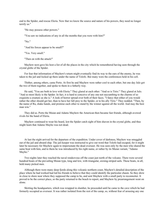end to the Spider, and rescue Eleria. Now that we know the source and nature of his powers, they need no longer terrify us."

"He may possess other powers."

"You saw no indications of any in all the months that you were with him?"

"No."

"And his forces appear to be small?"

"Yes. Very small."

"Then on with the attack!"

Mayhew next gave his host a list of all the places in the city which he remembered having seen through the crystal globe of the Spider.

For fear that information of Mayhew's return might eventually find its way to the ears of the enemy, he was taken to the jail and locked up there under the name of Tolofo. But many were the conferences held in his cell.

Thither, among others, came Porto. At first he and Mayhew were rather cool to each other, but one day Julo got the two of them together, and spoke to them in a fatherly way.

He said, "You are both in love with Eleria." They glared at each other. "And so is Tirio." They glared at Julo. "And so most likely is the Spider. In fact, it is hard to conceive of any one not succumbing to the charms of so exquisite a creature as she is." A look of horror spread over both of their faces. "I fancy that either of you would rather the other should get her, than to have her fall prey to the Spider, or to his ally Tirio." They nodded. "Then, by the name of Ra, shake hands, and promise each other to stand by the winner against all the world. And may the best man win."

They did so. Porto the Muian and Adams Mayhew the American then became fast friends, although avowed rivals for the hand of Eleria.

Mayhew continued to wear his beard, lest the Spider catch sight of him shaven in the crystal globe, and thus might learn that Adamo Mayho was not dead.

At last the night arrived for the departure of the expedition. Under cover of darkness, Mayhew was smuggled out of the jail and aboard ship. The jail-keeper was instructed to give out word that Tolofo had escaped, for it might later be necessary for Mayhew again to impersonate the dead overseer. He was seen only by the men who shared the same boat with him, and to them he was introduced by his right name, or rather by its Muian variant, "Adamo Mayho."

Two nights later they reached the naval rendezvous off the coast just north of the volcano. There were several hundred boats of the prevailing Muian type, long and low, with triangular, awning-striped sails. These boats, in all, held many picked men.

Although there were many deep fjords along this volcanic northern coast, Mayhew's detailed description of the place where he had worked had led his friends to believe that they could identify the particular chasm. So they drew in close to shore near where they supposed the camp to be, and sent Mayhew with a small party to reconnoiter. It proved to be the correct place, so the party returned to the beach to report, and Mayhew by prearrangement went on alone.

Skirting the headquarters, which was wrapped in slumber, he proceeded until he came to the cave which he had formerly occupied as overseer. It was rather isolated from the rest of the camp, so, without fear of arousing any one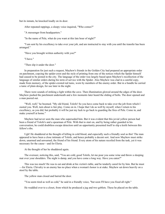but its inmate, he knocked loudly on its door.

After repeated rappings, a sleepy voice inquired, "Who comes?"

"A messenger from headquarters."

"In the name of Pele, what do you want at this late hour of night?"

"I am sent by his excellency to take over your job, and am instructed to stay with you until the transfer has been arranged."

"Have you brought written authority with you?"

"I have."

"Then slip it under the door."

In preparation for just such a request, Mayhew's friends in the Golden City had prepared an appropriate order on parchment, copying the spider-crest and the style of printing from one of the notices which the Spider himself had caused to be posted in the city. The language of the order was largely based upon Mayhew's recollection of the language of similar orders during his term of service with the Spider. Also Mayhew was clad in a careful copy, made from memory, of the spider-crested red tunic, worn by members of the enemy order. But in a bundle he carried a tunic of plain design, for use later in the night.

There were sounds of striking a light within the cave. Then illumination glowed around the edges of the door. Mayhew pushed the parchment underneath and a few moments later heard the sliding of bolts. The door opened and a man peered out.

"Well, well," he boomed. "My old friend, Tolofo! So you have come back to take over the job from which I ousted you. Well, turn about is fair play. Come on in. I hope that I do as well by myself, when I return to his excellency, as you did; but probably it will be just my luck to go back to guarding the fires of Pele. Come in, and make yourself at home."

Mayhew had never seen the man who superseded him. But it was evident that this jovial yellow person had been a friend of Tolofo's and a spearman of Pele. With that to start on, and by being rather guarded in his conversation, he could doubtless escape detection until an opportunity presented itself to slip a knife between this fellow's ribs.

Ugh! He shuddered at the thought of killing in cold blood, and especially such a friendly soul as this! The man appeared to have been a close intimate of Tolofo, and hence probably a decent sort. And now Mayhew must strike down, unarmed and unwarned, the friend of his friend. Every atom of his nature recoiled from the task, yet it was necessary for the cause—and for Eleria.

At the thought of her he shuddered again.

The overseer, noticing this, said, "You are cold, good Tolofo, let me pour you some wine and throw a sleeping mat over your shoulders. The night is damp, and you have come a long way. Have you eaten?"

This was too much! He was to eat and drink at his victim's table, and be tenderly cared for by him. But he must —for Eleria. Chivalry to an enemy has no place when a woman's honor is at stake. Mayhew sat down heavily on a stool by the table.

The yellow man closed and barred the door.

"You seem tired as well as cold," he said in a friendly voice, "but soon I'll have you fixed all right."

He waddled over to a closet, from which he produced a jug and two goblets. These he placed on the table.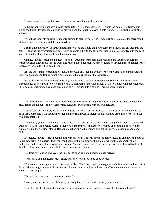"Help yourself," he jovially invited, "while I get you that mat I promised you."

Mayhew poured a glass of wine and raised it to his lips; then hesitated. This was too much! The fellow was being too kind! Mayhew could not drink his wine and then cut him down in cold blood. There must be some other alternative.

With these thoughts he swung suddenly around to face his host. And it was well that he did so, for there stood the man, with dagger upraised, behind Mayhew's stool.

Just in time the American threw himself sidewise to the floor, and down came the dagger, driven deep into the table. The wine jug overturned and gurgled its contents out onto the table top, thence in a narrow stream to the edge and off onto the floor. The stool rolled into a corner.

Catlike, Mayhew sprang to his feet—he had learned that from being knocked into the scuppers aboard the barque Alaska. Drawing his broad-sword he rushed the spider-man. A fierce exultation thrilled him; no longer was it necessary for him to kill in cold blood!

But the other man stepped nimbly back to the wall, snatched his own sword from where its belt and scabbard hung from a peg, and leaped forward again to meet the onslaught of the American.

His agility belied his huge bulk. Parrying Mayhew's first stroke, he swept a return blow; and, as Mayhew stepped back to avoid it, the yellow man with a sudden turn of the wrist caught Mayhew's blade with his, wrenched it from his momentarily slackened grasp, and sent it hurtling into a corner. Then he charged again.

There was but one thing for the American to do. Instead of fleeing, he stepped in under the blow, planted his right fist in the fat belly of the overseer and seized the sword wrist with his own left hand.

The fat paunch, however, had plenty of muscle behind its rolls of flesh; so the blow only slightly winded the man. But, combined with a sudden wrench on his wrist, it was sufficient to cause him to drop his sword. Then the two men grappled.

The chunky yellow man not only outweighed the American, he also had more strength and more wrestling skill. And so it was not long before Adams Mayhew's right arm was "in chancery," pulled up behind his back with the hand opposite his shoulder blades. His opponent had him at his mercy, and could easily dislocate his shoulder at will.

Desperate, Mayhew lunged behind him with his left fist, but his opponent deftly caught it, and now had both of Mayhew's arms in chancery. Then the man began pushing him toward the table, where the dagger still stuck, imbedded in the wood. The purpose was evident. Mayhew braced his feet against the floor and strained backward, but the yellow man bunted him with his knee, forcing him forward.

The time for fighting was over; the time for temporizing and persuasion had arrived.

"What have you got against me?" asked Mayhew. "We used to be good friends."

"I've nothing at all against you," the other replied. "But I don't want you to get my job. My return to the court of his excellency might not result in promotion like yours did. And I've no intention of becoming a mere spearman again, if I can help it."

"But what excuse can you give for my death?"

"None; and I shan't have to. I'll heave your body into the fjord and say that you never arrived."

"It will go hard with you, if you are even suspected of my death, for I am a favorite of his excellency."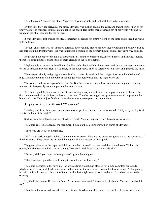"It looks like it," sneered the other, "deprived of your soft job, and sent back here to be a foreman."

By this time they had arrived at the table. Mayhew was pushed against the edge, and then the upper part of his body was forced forward, until his chin touched the board. His captor then grasped both of his wrists with one fat hand and the other reached for the dagger.

It was Mayhew's last chance for life. Desperately he leaned his entire weight on the table and kicked backward with both feet.

The lat yellow man was not taken by surprise, however, and braced his own feet to withstand the shove. But he had forgotten the dripping wine. He was standing in a puddle of the slippery liquid, and his feet gave way and slid.

He grabbed the edge of the table to steady himself, and the combined pressure of himself and Mayhew pushed the table out from under, and the two of them crashed to the floor together.

Mayhew twisted around as he fell, thus landing on his back with his hands free; and, as the overseer came down on top of him, he drove his right fist squarely to the other's jaw. Then he scrambled to his feet and grabbed the knife.

The overseer slowly and groggily arose, blinked, shook his head, and then lunged forward with a bellow of rage. Mayhew met him with the point of the dagger to his left breast, and the fight was over.

The American drew a couple of deep breaths. But there was no time to lose, as some one might arrive at any moment. So he speedily set about putting the room in order.

First he dragged the body over to the pile of sleeping mats, placed it in a natural position with its back to the door, and covered all but its head with one of the mats. Then he rearranged the upset furniture and mopped up the blood and wine. He was just finishing when there came a peremptory rap on the door.

Stepping over to it, he softly asked, "Who comes?"

"It's the guard from headquarters, on a round of inspection," shouted the voice outside. "Why are your lights lit at this late hour of the night?"

Sliding back the bolts and opening the door a crack, Mayhew replied, "Sh! The overseer is asleep."

The guard entered, glanced at the recumbent figure on the sleeping mats, then stared at Mayhew.

"Then who are you?" he demanded.

"Sh!" the American again replied. "I am the new overseer. Here are my orders assigning me to the command of the third squad. They direct me to spend the night with the overseer of that squad."

The guard glanced at the paper, which it was evident he could not read, and then started to stuff it into his pouch; but Mayhew snatched it away, saying, "No, no! I need those to prove my identity."

"But why didn't you report at headquarters?" grumbled the guard.

"There were no lights there, so I thought I would wait until morning."

The guard departed, still grumbling. As soon as time enough had elapsed for him to complete his rounds, Mayhew took the keys of the dead overseer and set out for the cave which housed his former squad. At the grating he called softly the names of several of them, until at last a light was lit inside and one of the slaves came to the opening.

"By the holy name of Ra, see who's here!" the slave exclaimed. "It's our old pal, Adamo Mayho, come back to us!"

The others, thus aroused, crowded to the entrance. Mayhew checked them over. All his old squad was there,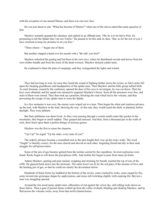with the exception of one named Meeno; and there was one new face.

He was just about to ask, "What has become of Meeno?" when one of the slaves asked that same question of him.

Mayhew instantly grasped the situation, and replied in an offhand tone, "Oh, he is to be fed to Pele, for presuming to tell the Spider that I am not Tolofo." He paused to let this sink in; then, "But, as for the rest of you, I have returned to keep my promise to set you free."

"Three cheers—" began one of them.

But another clapped a hand over his mouth with a "Be still, you fool!"

Mayhew unlocked the grating and led them to his own cave, where he distributed swords and knives from his own clothes bundle and from the stock of the dead overseer. Mayhew donned a plain tunic.

He explained to them the plan of campaign, and they extinguished the lights and waited.

They had not long to wait, for soon they heard the sound of fighting farther down the ravine, as Julo's army fell upon the sleeping guardhouse and headquarters of the spider-men. Then Mayhew and his little group sallied forth. As each foreman, roused by the confusion, opened the door of his cave to investigate, he was cut down. Then his keys were obtained, and his squad was released to augment Mayhew's forces. Soon all the prisoners were free, and most of them were armed. They then took up a position, blocking the road which led to the volcano, and thus preventing the escape of any spider-men to warn the Spider.

In a few moments it was over; the enemy were wiped out to a man. Then began the silent and cautious advance up the trail, with Mayhew in the lead, showing the way. At this rate, they would reach the shaft, as planned, before daylight. They were jubilant.

But their jubilation was short-lived. As they were passing through a certain small crater-like pocket in the mountains, they began to smell sulphur. They gasped and sneezed. And then, from a thousand jets in the walls of rock, there burst upon them a perfect deluge of noxious gasses.

Mayhew was the first to sense the situation.

"Up! Up!" he urged. "Up the sides, every man of you!"

The orderly advance became a scrambled rout as the men fought their way up the rocky walls. The word "fought" is literally correct, for the men clawed and shoved at each other, forgetting friend and ally in their mad struggle for self-preservation.

Some of the jets of gas became ignited from the torches carried by the expedition. Several explosions were heard. Rocks began to roll down the precipitous cliffs. And molten fire began to pour from many jet-holes.

Adams Mayhew, panting and pain-racked, coughing and straining for breath, reached the top of one of the cliffs. He glanced back down into the inclosure. The entire bowl was lit by the red glare of the streams of lava, and the burning jets of gas, so that he could see clearly the devastation below.

Hundreds of black forms lay huddled at the bottom of the ravine, some crushed by rocks, some singed by fire, some twisted into grotesque shapes by asphyxiation, and some still twitching slightly with expiring life. But not a man was struggling upward.

Around the rim stood many spider-men, silhouettes of red against the velvet sky, still rolling rocks down on those below. Then a gust of poison fumes wafted up from the valley of death, blinding and choking Mayhew, and he fled across the volcanic rocks, away from that awful charnel-house.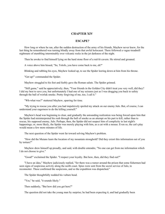#### **CHAPTER XIV**

## **ESCAPE?**

How long or where he ran, after the sudden destruction of the army of his friends, Mayhew never knew, for the last thing he remembered was turning blindly away from that awful holocaust. There followed a vague treadmill nightmare of stumbling interminably over volcanic rocks in the jet darkness of the night.

Then he awoke to find himself lying on the hard stone floor of a red-lit cavern. He stirred and groaned.

A voice above him hissed, "So, Tolofo, you have come back to me, eh?"

Blinking and rubbing his eyes, Mayhew looked up, to see the Spider leering down at him from his throne.

"Get up!" commanded the Spider.

Mayhew struggled to his feet and feebly gave the Roman salute. The Spider grinned.

"Still game," said he appreciatively; then, "Your friends in the Golden City didn't treat you very well, did they? I did my best to save you, but unfortunately I had one of my seizures just as I was dragging you back to safety through the ball of worluk smoke. Pretty forgiving of me, too, I call it."

"Wh-what was?" stuttered Mayhew, sparring for time.

"My trying to rescue you after you had impulsively spoiled my attack on our enemy Julo. But, of course, I can understand your eagerness to do the killing yourself."

Mayhew's head was beginning to clear, and gradually the astounding realization was being forced upon him that the Spider had misinterpreted his rush through the ball of smoke as an attempt on his part to kill, rather than to rescue, his supposed enemy, Julo. Perhaps, then, the Spider did not suspect him of complicity in last night's happenings; or, more likely, the Spider was merely playing with him, as a cat with a mouse. Even so, the cat's play would mean a few more minutes of life.

The next question of the Spider went far toward solving Mayhew's problem.

"How did the Muians learn the location of my mountain stronghold? Did they extort this information out of you by torture?"

Mayhew drew himself up proudly, and said, with double entendre, "No one can get from me information which I do not choose to give."

"Good!" exclaimed the Spider. "I respect your loyalty. But how, then, did they find out?"

"I have an idea," Mayhew judiciously replied, "for there was a rumor around the prison that some fishermen had seen signs of suspicious activity along the north coast. Spies were sent from the secret service of Julo, to reconnoiter. These confirmed the suspicions, and so the expedition was dispatched."

The Spider thoughtfully nodded his vulture head.

"Yes," he said, "it sounds likely."

Then suddenly, "But how did you get here?"

The question did not take the young man by surprise; he had been expecting it, and had gradually been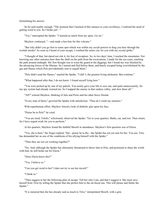formulating his answer.

So he said readily enough, "The moment that I learned of this menace to your excellency, I realized the need of getting word to you. So I broke jail—"

"Yes," interrupted the Spider. "I learned as much from my spies. Go on."

Mayhew continued, "—and made a bee-line for this volcano."

"But why didn't you go first to some spot which was within my occult powers to drag you here through the worluk smoke? As soon as I heard of your escape, I combed the entire city for you with my crystal globe."

"I thought of that, but dared not risk it, for fear of recapture. So, in two days' time, I reached the mountains. Not knowing any other entrance here than the shaft on the path from the excavations, I made for the sea coast, reaching the path around midnight. My first thought was to warn the guard at the diggings, but I found my way blocked by the advancing forces of the Muians. So I turned and fled before them, and barely escaped being overwhelmed by the gas and flames which Pele providentially sent to engulf them."

"Pele didn't send the flames," snarled the Spider. "I did! I, the greatest living alchemist. But continue."

"What happened after that, I do not know. I found myself lying here."

"You were picked up by one of my patrols. You nearly gave your life to save me; and quite unnecessarily, for my spy system had already warned me. So I trapped the enemy in that sunken valley, and slew them all."

"All?" echoed Mayhew, thinking of Julo and Porto and his other brave friends.

"Every man of them," growled the Spider with satisfaction. "Thus do I crush my enemies."

With superhuman effort, Mayhew forced a look of diabolic glee upon his face.

"Praise be to Pele!" he cried.

"You are tired, Tolofo," solicitously observed the Spider. "Go to your quarters. Bathe, eat, and rest. Then return, for I have urgent work for you to perform."

At his quarters, Mayhew found the faithful Moorfi in attendance. Mayhew's first question was of Eleria.

"Yes, she is here," the Negro replied, "but—praise be to Ra—the Spider has not yet sent for her. You see, Tirio has demanded her as one of the conditions of his allying himself with the Spider."

"Then they are not yet working together?"

"No. And, although the Spider has alternately threatened to throw him to Pele, and promised to share the world with him, he still holds out for Eleria."

"Does Eleria know this?"

"Yes, I believe so."

"Can you get word to her? I dare not try to see her myself."

"I think so."

"Then suggest to her the following plan of escape. Tell her who I am, and that I suggest it. She must save herself from Tirio by telling the Spider that she prefers him to the rat-faced one. This will please and flatter the Spider."

"It is rumored that she has already said as much to Tirio," interpolated Moorfi, with a grin.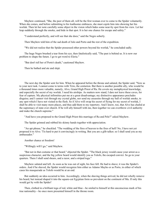Mayhew continued, "She, the peer of them all, will be the first woman ever to come to the Spider voluntarily. When she comes, and before submitting to his loathsome embraces, she must cajole him into showing her his worluk. Then let her note carefully some object in the vision which hides some near-by spot from his view. Let her leap suddenly through the smoke, and hide in that spot. It is her one chance for escape and safety."

"I understand perfectly, and will see that she does," said the Negro soberly.

Then Mayhew told him of the sad death of Julo and Porto and the rest of the expedition.

"We did not realize that the Spider possessed other powers beyond his worluk," he concluded sadly.

The huge Negro brushed a tear from his eye, then fatalistically said, "The past is behind us. It is now our problem to shape the future. I go to get word to Eleria."

"But don't tell her of Porto's death," cautioned Mayhew.

Then he bathed and ate and slept.

The next day the Spider sent for him. When he appeared before the throne and saluted, the Spider said, "Now as to your next task. I cannot come to terms with Tirio, the centurion. But there is another possible ally, who would be a thousand times more valuable, namely, Alvo, Grand High Priest of Ra. He covets my metaphysical knowledge, and especially the secret of my worluk. I need his airships. As matters now stand, I dare not leave these caves, for fear of capture. My physical infirmities put me at a great disadvantage; my distinctive appearance precludes disguise; and I cannot visit through my crystal globe, nor send my assassins through my ball of worluk smoke, to any spot which I have not visited in the flesh. So if Alvo will swap his secret of flying for my secret of worluk, I shall be able to visit many more places, and thus add them to my repertory. And I know, too, that Alvo has chafed at the supremacy of state over church. If he will ally himself with me, then together we can overthrow civil authority and make the church supreme."

"And have you proposed to the Grand High Priest this marriage of Ra and Pele?" asked Mayhew.

The Spider grinned and rubbed his skinny hands together with appreciation.

"An apt phrase," he chuckled. "The wedding of the fires of heaven to the fires of hell! No, I have not yet proposed it to Alvo. 'Tis hard to put it convincingly in writing. But you are a glib talker; so I shall send you as my ambassador."

Another chance at freedom!

"Willingly will I go," said Mayhew.

"But not in that costume or that beard," objected the Spider. "The black jersey would cause your arrest as a suspicious character, and the big yellow beard would identify you as Tolofo, the escaped convict. So go to your quarters. There I shall send shears, and a razor, and a striped toga."

Mayhew saluted and left. As soon as he was out of sight, his face fell. He had to shave; it was the Spider's orders. And if he shaved, the Spider would recognize him either as Adamo Mayho or as Porto, in either of which cases his masquerade as Tolofo would be at an end.

But suddenly an idea occurred to him. Accordingly, when the shaving things arrived, he did not wholly remove his beard, but instead shaped it into the square-cut Egyptian form so prevalent on the continent of Mu. If only this would get by with the Spider!

Then, clothed in a brilliant toga of red, white and blue—he smiled to himself at this unconscious mark of his true nationality—he once more presented himself in the throne room.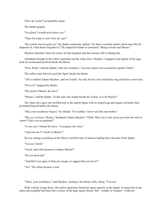"How do I look?" he hopefully asked.

The Spider gasped.

"Excellent! I would never know you."

"Then I'm ready to start. How do I go?"

"By worluk, but not quite yet," the Spider ominously replied, "for there is another matter which must first be disposed of. I had almost forgotten it." He clasped his hands in command. "Bring in Koko and Meeno."

Mayhew blanched. Since his return, he had forgotten that this menace still overhung him.

Attendants brought in the yellow spearman and the white slave. Mayhew, wrapped in the dignity of his toga, took his accustomed position beside the throne.

"Now, Koko," said the Spider, with oily sweetness, "you may repeat your accusations against Tolofo."

The yellow man furtively eyed the figure beside the throne.

"This is indeed Adamo Mayhew, and not Tolofo," he said, but his voice lacked the ring of positive conviction.

"Prove it!" snapped the Spider.

"My proof is Meeno, the slave."

"Meeno," said the Spider. "Is this man who stands beside me Tolofo, or is he Mayho?"

The white slave gave one terrified look at the superb figure with its striped toga and square-cut beard; then prostrated himself before the throne.

"May your excellency forgive," he whined. "It is neither. I never saw this man before."

"Oh, yes you have, Meeno," thundered Adams Mayhew. "Think. Who was it who saved you from the rush of waters? Have you no gratitude?"

"It was you," whined the slave. "I recognize the voice."

"And who am I? Tolofo or Mayho?"

He was risking everything on the fellow's terrified state of mind at finding him a favorite of the Spider.

"You are Tolofo."

"Good! And what became of Adamo Mayho?"

"He was drowned."

"And did I ever agree to help you escape, or suggest that you do so?"

"No!" The whine became a wail.

"There, your excellency," said Mayhew, turning to the throne with a shrug. "You see."

With a shriek of rage Koko, the yellow spearman, hurled his spear squarely at the Spider. It struck him in the chest and crumpled him back into a corner of the huge square throne. But—wonder of wonders—it did not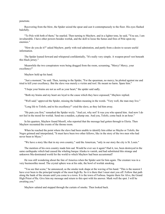penetrate.

Recovering from the blow, the Spider seized the spear and cast it contemptuously to the floor. His eyes flashed balefully.

"To Pele with both of them," he snarled. Then turning to Mayhew, and in a lighter tone, he said, "You see, I am invulnerable. I have other powers besides worluk, and the skill to loose the fumes and fires of Pele upon my enemies."

"How do you do it?" asked Mayhew, partly with real admiration, and partly from a desire to secure useful information.

The Spider leaned forward and whispered confidentially, "It's really very simple. A weapon-proof vest beneath this black jersey."

Meanwhile the two conspirators were being dragged from the room, screaming, "Mercy! Mercy, your excellency!"

Mayhew held up his hand.

"Just a moment," he said. Then, turning to the Spider, "For the spearman, no mercy; he plotted against me and tried to kill your excellency. But the slave was merely a victim and tool. He meant no harm. Spare him."

"I hope your brains are not as soft as your heart," the spider said sadly.

"Both my brains and my heart are loyal to the cause which they have espoused," Mayhew replied.

"Well said," approved the Spider, missing the hidden meaning in the words. "Very well, the man may live."

"Long life to Tolofo, and to his excellency!" cried the slave, as they led him away.

"He puts you first," remarked the Spider wryly. "And yet, why not? It was you who spared him. And now I do not feel in the mood for worluk. Send me a maiden, a plump one. And you, Tolofo, come back in an hour."

In his quarters, Mayhew found Moorfi, who reported that the message had gotten through to Eleria. Then Mayhew recounted the events of the throne room.

When he reached the point where the slave had been unable to identify him either as Mayho or Tolofo, the Negro grinned and interpolated, "It must have been two other fellows, like in the story of the two men who had never been to Myax."

"We have a story like that in my own country," said the American, "only in our story the city is St. Louis."

The mention of his own country made him sad. Would he ever see it again? Had it, too, been destroyed in the same earthquake which had caused the whaling barque Alaska to vanish, and had substituted this strange and unknown Mu-dominated world for the world to which Mayhew had been accustomed?

He was still wondering about the fate of America when the Spider sent for him again. The creature was in a very businesslike mood. The crystal sphere was at his side, the bowl of worluk smoking.

"You see that scene," he announced, as the smoke took shape at the waving of his hand. "This is the nearest I have ever been to the principal temple of the most high Ra. So it is there that I must start you off. Follow that path along the bank of the stream until you come to a town. It is the town of Forbosa. Inquire there for Alvo, the Grand High Priest of Ra. Give him my message and return to this spot with his answer. Mark well the spot. I will be awaiting you."

Mayhew saluted and stepped through the curtain of smoke. Then looked back.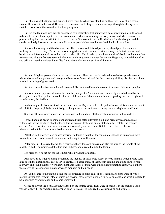But all signs of the Spider and his court were gone. Mayhew was standing on the green bank of a pleasant stream. He was out in the world. He was free once more. A feeling of exultation swept through his being as he stretched his arms in the warmth of the life-giving sun.

But his exalted mood was swiftly succeeded by a realization that somewhere miles away upon a skull-topped, red-marble throne, there squatted a repulsive creature, who was watching his every move, and who possessed the power to drag him back at will into the red darkness of the volcanic caves. He shuddered at the thought, and then strode resolutely forward to put as much distance as possible between himself and that loathsome form.

It was still morning, and the day was cool. There was a well defined path along the edge of the river, and walking proved to be easy. The stream was a sluggish one which wound its sinuous way, in fantastic curves and bends, through fertile meadows and around wooded hills. Tall fronded palms lined the river's banks, and at their feet were masses of great feathery ferns which spread their long arms out over the stream. Huge lacy winged dragonflies and brilliant, metallic-colored butterflies flitted about, close to the surface of the water.

At times Mayhew passed along stretches of lowlands. Here the river broadened into shallow ponds, around whose shores red and yellow and orange and blue lotus flowers dotted the thick matting of lily-pads like varicolored jewels in a setting of green gold.

At other times the river would wind between hills smothered beneath masses of impenetrable tropic jungles.

It was all serenely peaceful, serenely beautiful, and yet for Mayhew it was ominously overshadowed by the dread presence of the Spider. He could almost feel the creature's hand on his shoulder, guiding him on. He glanced apprehensively behind him.

In the dim purple distance stood the volcano; and, as Mayhew looked, the pall of smoke at its summit seemed to take definite shape; a globular black body, with eight wavy projections extending from it. Mayhew shuddered.

Shaking off this gloomy mood, so incongruous in the midst of all the lovely surroundings, he strode on.

Toward noon he began to come upon cultivated field after cultivated field, and presently reached a small village. At first he hesitated about entering this settlement, lest some one mistake him for Tolofo, the escaped convict. And, if arrested, there was now no Julo to identify and save him. But then, he reflected, this was a risk which he had to take. So he strode boldly forward into town.

Attached to the toga, which he was wearing, he found a pouch of the same material; and in this pouch there were a few coins. So he hunted out a tavern and bought himself a meal.

After ordering, he asked the waiter if this were the village of Forbosa, and also the way to the temple of the most high god. The waiter said that this was Forbosa, and directed him to the temple.

His meal over, he set out for the temple, which was not far distant.

And now, as he trudged along, he learned the identity of those huge russet-colored animals which he had seen long ago in the distance, that day in Tirio's castle. He passed many of them, both coming and going on the broad highway, and found that they were hairy elephants! Some of them were pulling large rumbling carts, while others were carrying passengers in ornate howdahs mounted on their backs.

At last he came to the temple, a stupendous structure of solid gold, or so it seemed. Its steps were of white marble surmounted by four golden figures, portraying, respectively, a man, a buffalo, an eagle, and what appeared to be a lion with oversize fangs and a short clubby tail.

Going boldly up the steps, Mayhew rapped on the temple gates. They were opened by an old man in a long yellow robe, with red swastika emblazoned upon its breast. He inquired the caller's name and business.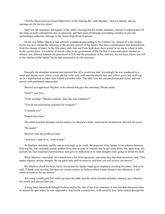"Tell the Most Gracious Grand High Priest of the Flaming Ra," said Mayhew, "that my identity and my message are for his ears alone."

Such was the assurance and dignity of the caller's bearing that the temple attendant, instead of ordering him off the steps, actually ushered him into an anteroom, and then went off through resounding corridors to give the astoundingly audacious message to the Grand High Priest in person.

On his way hither, Mayhew had seriously considered proceeding to the Golden City, instead of to the temple, for he was now outside the influence of the psychic powers of the Spider. But three considerations had deterred him from this change of plans. In the first place, with Julo and Porto both dead, there would be no one to whom to turn. In the second place, it would be of utmost value to the government of Mu for him to learn and report whether an alliance was effected between the priesthood of Pele and the priesthood of Ra. And last, but not least, Eleria was still in the clutches of the Spider! So he had continued to act the emissary.

Presently the attendant returned and reported that Alvo would see him. Accordingly he was conducted to a small and simple room, where a very old but virile man, with smooth-shaven face and yellow gown and skull cap, sat in a high-backed wooden chair behind a wooden table. The table bore ink and parchment and stylus, and was strewn with parchment manuscripts.

Shrewd eyes appraised Mayhew as he entered and gave the customary Muian salute.

"Well?" said Alvo.

"Your worship," Mayhew replied, "may this man withdraw?"

"You do not mind being searched for weapons?"

"Certainly not."

"Search him, then."

The white-bearded attendant ran his hands over Mayhew's body, removed his broadsword, then left the room.

"Be seated."

Mayhew took the proffered chair.

"And now," said Alvo, "your errand."

So Mayhew sketched, rapidly and as enticingly as he could, the proposal of the Spider for an alliance between Pele and Ra. The venerable prelate nodded from time to time, to indicate that he got some point; but, apart from this gesture, his face remained expressionless, and gave no indication as to what thoughts were going on inside his skull.

When Mayhew concluded, Alvo asked him a few brief questions, and when they had been answered, said, "This matter requires serious thought. Be our guest here until to-morrow, and then you will receive our answer."

But Mayhew shook his head, for he feared that the Spider might grow impatient awaiting his return. And so he said, "I thank your worship, but there are certain matters in Forbosa which I must attend to this afternoon. I will return to-morrow for my answer."

Alvo rang a small gold bell which sat upon the table, and the white-bearded attendant returned, gave Mayhew his sword, and showed him out.

A long, hard tramp back through Forbosa and by the side of the river remained. It was late that afternoon when he neared the spot where he was supposed to stop beside a certain tree, well-noted by him, to be sucked through the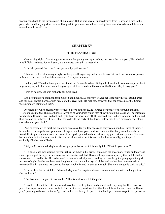worluk haze back to the throne room of his master. But he was several hundred yards from it, around a turn in the path, when suddenly a girlish form, in flying white gown and with disheveled golden hair, dashed around the corner toward him. It was Eleria!

#### **CHAPTER XV**

## **THE FLAMING GOD**

On catching sight of the strange, square-bearded young man approaching her down the river path, Eleria halted in full flight, hesitated for an instant, and then sped on again to meet him.

"Oh," she panted, "save me! I am pursued by spider-men!"

Then she looked at him inquiringly, as though half expecting that he would scoff at her fears, for many persons in Mu were inclined to doubt the existence of the spider menace.

He laughed. "You don't recognize me, then? I'm Adams Mayhew. But quick! I must help you to escape, without implicating myself, for there is much espionage I still have to do at the court of the Spider. May I carry you?"

Tired as he was, she was probably far more tired.

She hesitated for a moment, then blushed and nodded. So Mayhew swung her light body into his strong arms and ran back toward Forbosa with her, along the river path. He realized, however, that the assassins of the Spider were probably gaining on them.

Accordingly, when presently they reached a fork in the road, he lowered her gently to the ground and said, "Here, quick, into that clump of bushes. Any bits of your dress which may show through the leaves will be mistaken for its white flowers. I will go back and try to head the spearmen off. If I succeed, you lie here for about an hour and then push on to Forbosa. If I fail, I shall try to divide the party at this bush. Follow me, if I go down one trail alone. Good-by, and good luck."

And he strode off to meet the oncoming assassins. Only a few paces and they were upon him, three of them. If he had been a strange Muian gentleman, things would have gone hard with him; another body would have been found, floating in a stream, with the mark of the Spider pinned to its breast by a dagger. Fortunately one of the men had seen him in the throne-room in his new beard and attire, so this man hailed him as an ally, and inquired excitedly if he had seen Eleria.

"Why no!" exclaimed Mayhew, showing a perturbation which he really felt. "What do you mean?"

"His excellency was waiting for your return, with her in his arms," explained the spearman, "when suddenly she stood up, jumped through the screen of worluk smoke, and fled. His excellency was so upset by this that the ball of smoke wavered and broke. He had to send for a new bowl of powder, and by the time he got it going again the girl was out of sight. But he had been watching her all the time in his crystal globe, and we had been summoned and were standing in readiness. As soon as the new smoke formed he sent us through. She went along this path, he said."

"Quick, then, let us catch her!" directed Mayhew. "It is quite a distance to town, and she will tire long before she reaches it."

"But how can it be you did not see her? That is, unless she left the path."

"I doubt if she left the path; she would have been too frightened and excited to do anything but flee. However, just a few steps from here there is a fork. She must have gone down the other branch from the one I was on. One of you," pointing to the one he knew, "go back to his excellency. Report to him that I gave his message to the person to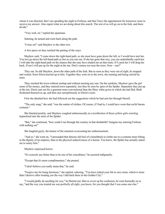whom it was directed, that I am spending the night in Forbosa, and that I have the appointment for tomorrow noon to receive my answer. Also report what we are doing about this search. The rest of us will go on to the fork, and there divide."

"Very well, sir," replied the spearman.

Saluting, he turned and went back along the path.

"Come on!" said Mayhew to the other two.

A few paces on they reached the parting of the ways.

Mayhew said, "I came down the right-hand path, so she must have gone down the left, or I would have met her. You two go down the left-hand path as fast as you can run. If she has gone that way, you can undoubtedly catch her. I will take the right-hand path on the chance that she may have eluded me on that route. If I catch her I will drag her back. If not I will put up for the night at the inn. Don't venture too near the town. Now—run!"

They ran. So did Mayhew, down the other path of the fork. But as soon as they were out of sight, he stopped and waited. Soon Eleria hurried up to him. Together they went on to the town, she running and being carried by turns.

They reached the town-without mishap and without meeting any one. On the outskirts, Mayhew gave the girl some of his money, and they entered town separately, lest they be seen by spies of the Spider. Separately they put up at the inn. Eleria sent out for a garment more conventional than the filmy white gown in which she had fled. Both freshened themselves up, and then met surreptitiously in Eleria's room.

First she detailed how she had followed out the suggestions which he had sent her through Moorfi.

"The only snag," she said, "was the matter of clothes. Of course, if I had to, I could have worn that awful harem costume."

She blushed prettily, and Mayhew coughed embarrassedly at a recollection of those yellow girls crawling hypnotized into the arms of the Spider.

"But," she continued, "how could I run through the country in that deshabille? Imagine my entering Forbosa with nothing on!"

She laughed gayly, the humor of the situation overcoming her embarrassment.

"And so," she went on, "I persuaded that fatuous old fool of a hunchback to clothe me in a costume more fitting to the dignity of an empress, than to the physical seductiveness of a harem. You know, the Spider has actually asked me to marry him."

Mayhew expressed horror.

"It's scarcely any better than to be one of his concubines," he asserted indignantly.

"Except that it's more complimentary," she pouted.

"I don't believe you really mean that," he said.

"Forgive me for being facetious," she replied, sobering. "You have risked your life to save mine, which is more than I deserve after treating you the way I did back there in the Golden City."

"I would gladly do anything for you," he blurted out; then to cover up his confusion, he went hurriedly on to say, "and the way you treated me was perfectly all right, you know, for you thought that I was some one else."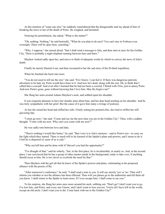At this mention of "some one else," he suddenly remembered that the disagreeable task lay ahead of him of breaking the news to her of the death of Porto. He coughed, and hesitated.

Noticing his perturbation, she asked, "What is the matter?"

"Oh, nothing. Nothing," he said hurriedly. "What do you plan to do next? You can't stay in Forbosa even overnight. There will be spies here, searching."

"Why, I suppose," she mused aloud, "that I shall send a message to Julo, and then start at once for the Golden City. There is probably a night-elephant running between here and there."

Mayhew looked sadly upon her, and strove to think of adequate words by which to convey the news of Julo's death.

Finally he merely blurted it out, and then recounted to her the sad story of the ill-fated expedition.

When he finished she burst into tears.

"You do not need to tell me the rest," she said. "For I know. I can feel it. If there was dangerous patriotic adventure to be had, my Porto would have been in it. And now he's dead, along with the rest. Oh, to think that I called him a coward! And even after I learned that he had not been a coward, I flirted with Tirio, just to annoy Porto. And now Porto's gone, gone without knowing that I love him. May Ra forgive me!"

She flung her arms around Adams Mayhew's neck, and sobbed upon his shoulder.

It was exquisite pleasure to have her slender arms about him, and her dear head nestling on his shoulder. And he was truly sympathetic with her grief. But the cause of it gave him many a twinge of jealousy.

At last she raised her head and stifled her sobs. Firmly setting her pointed chin, she tried to stiffen her still quivering lips.

"I must go now," she said. "Come and see me the next time you are in the Golden City." Then, with a sudden thought: "Come with me now. Why can't you come with me now?"

He was sadly torn between love and duty.

"There's nothing I would like better," he said. "But I owe it to Julo's memory—and to Porto's too—to carry on the fight which they started. There is much still to be learned of the Spider's plans and powers, and I mean to do it. Until he is disposed of, none of us is safe."

"Why not kill him and be done with it? Haven't you had the opportunity?"

"I've thought of that," said he soberly, "but, in the first place, he is invulnerable, or nearly so. And, in the second place, I am convinced that he has a group of other master minds in the background, ready to take over, if anything should occur to him. He is too clever to overlook the need for that."

Then Mayhew told the girl all that he knew of the Spider's powers and plans, culminating in his proposed alliance with the priests of Ra.

"After tomorrow's conference," he said, "I shall send a note to you. It will say merely 'yes' or 'no.' Thus will I inform you whether or not the alliance has been effected. Then will you please go to the authorities and tell them all you know. I shall return to the Spider to learn more. If I ever escape him, I shall come to see you."

To his surprise, she flung her arms once more around his neck, sobbing out, "Don't go! I don't want you to go. I've lost Julo, and Porto, and every one I know; and I don't want to lose you too. You're all I have left in the world, except an old uncle. I don't want you to die. Come back with me to the Golden City!"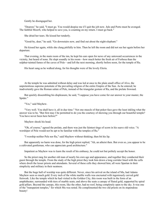Gently he disengaged her.

"Dearest," he said, "I must go. You would despise me if I quit the job now. Julo and Porto must be avenged. The faithful Moorfi, who helped to save you, is counting on my return. I must go back."

She dried her tears. He kissed her tenderly.

"Good-by, dear," he said. "Go downstairs now, and find out about the night-elephant."

He kissed her again, while she clung pitifully to him. Then he left the room and did not see her again before her departure.

That evening, in the main room of the inn, he kept his ears open for news of any untoward occurrences in the vicinity, but heard of none. He slept soundly in his room—how much better the fresh air of Forbosa than the sulphur-tainted fumes of the caves of Pele—and left the next morning, shortly before noon, for the temple of Ra.

His heart sang as he walked along, for his thoughts were of the lovely Eleria.

At the temple he was admitted without delay and was led at once to the plain small office of Alvo, the unpretentious supreme potentate of the prevailing religion of the entire Empire of the Sun. As he entered; he inadvertently gave the Roman salute of Pele, instead of the triangular gesture of Ra, and the prelate frowned.

But quickly dissembling his displeasure, he said, "I suppose you have come for our answer to your master, the Spider."

"Yes," said Mayhew.

"Very well. You shall have it, all in due time." Not one muscle of that poker-face gave the least inkling what the answer was to be. "But first may I be permitted to do you the courtesy of showing you through our beautiful temple? You have never been here before?"

Mayhew shook his head.

"Oh, of course," agreed the prelate, and there was just the faintest tinge of scorn in his suave old voice. "A worshiper of Pele would not be apt to be familiar with the temples of Ra."

"I worship neither Pele nor Ra," said Mayhew without thinking; then bit his lip.

But apparently no harm was done, for the high priest replied, "Ah, an atheist then. But even so, you appear to be a cultivated gentleman, who can appreciate good architecture."

Impatient as Mayhew was to learn the result of his embassy, he could not but politely accept the honor.

So the priest rang for another old man of nearly his own age and appearance, and together they conducted their guest through the temple. From the study of the high priest they took him down a long corridor lined with the cells where dwelt the lesser priests and attendants. Several of these cells they showed him; all were Spartan in their simplicity and military in their neatness.

But the huge hall of worship was quite different. Never, since his arrival on the island of Mu, had Adams Mayhew seen so much gold. Every inch of the white marble walls was encrusted with ingeniously carved gold fretwork. Like the temple which he had visited in the Golden City, this room was built in the form of an amphitheater, surrounded with tiers of marble seats; and above the seats a canopy of fluted gold, supported by spiral gold pillars. Beyond the canopy, this room, like the other, had no roof, being completely open to the sky. It was one of the "transparent temples," for which Mu was noted. He complimented the two old priests on its stupendous beauty!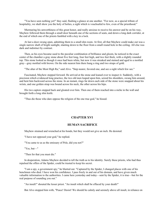"You have seen nothing yet!" they said, flashing a glance at one another. "For now, as a special tribute of hospitality, we shall show you the holy of holies, a sight which is vouchsafed to few, even of the priesthood."

Murmuring his unworthiness of this great honor, and really anxious to receive his answer and be on his way, Mayhew followed them through a small door beneath one of the sections of seats, and down a long dark corridor, at the end of which one of the priests fumbled with a key in a lock.

At last a door swung open, admitting them to a small dim room. At first, all that Mayhew could make out was a single narrow shaft of bright sunlight, slanting down to the floor from a small round hole in the ceiling. All else was dark and indistinct by contrast.

Then, as his eyes became used to the peculiar combination of brilliance and gloom, he noticed in the exact center of the chamber a gray stone about five feet long, four feet high, and two feet thick, with a slightly rounded top. This stone looked as though it once had been white, but now it was streaked and stained and aged to a mottled gray—gray mottled with brown. On the side nearest him there hung a ring and two straps of gold.

"The altar of the Most High Ra," said Alvo. "Step nearer, favored one, and see a sight which few see."

Fascinated, Mayhew stepped forward. He arrived at the stone and leaned over to inspect it. Suddenly, with a precision which evidenced long practice, the two old men leaped upon him, seized his shoulders, swung him around, and bent him backward across the stone. In an instant, rings far down each side of the stone were snapped about his wrists, and one golden strap was bound across his neck, the other across his hips.

His two captors stepped back and gloated over him. Then one of them reached into a niche in the wall and brought forth a long slim knife.

"Thus die those who dare oppose the religion of the one true god," he hissed.

### **CHAPTER XVI**

### **HUMAN SACRIFICE**

Mayhew strained and wrenched at his bonds, but they would not give an inch. He desisted.

"I have not opposed your god," he replied.

"You came to us as the emissary of Pele, did you not?"

"Yes, but—"

"Then for that you must die."

In desperation, Adams Mayhew decided to tell the truth as to his identity. Surely these priests, who had thus repulsed the offers of the Spider, could be trusted to keep his secret.

"I am a spy, a government spy," he blurted out. "Captured by the Spider, I changed places with one of his henchmen who died. I have won his confidence. I pass freely in and out of his domain, and have given much valuable information to the authorities. I came here yesterday and today—sent by the Spider, it is true—but for the real purpose of sounding you out."

"An insult!" shouted the lesser priest. "An insult which shall be effaced by your death!"

But Alvo stopped him with, "Peace! Desist! We should be calmly and serenely above all insult, in reliance on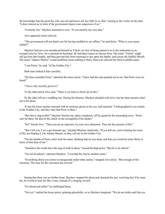the knowledge that the great Ra, who sees all and knows all, has faith in us. But," turning to the victim on the altar, "it does interest us to learn if the government shares your suspicions of us."

"Certainly not," Mayhew hastened to aver. "It was entirely my own idea."

Alvo appeared much relieved.

"The government will not thank you for having meddled in our affairs," he said dryly. "What is your name, infidel?"

Mayhew had not even introduced himself as Tolofo, for fear of being turned over to the authorities as an escaped convict. Now, for a moment he hesitated. He had three names to choose from. The name "Tolofo" might still get him into trouble, and thus prevent him from returning to spy upon the Spider, and rescue the faithful Moorfi. The name "Adamo Mayho" would doubtless mean nothing to them. Hence he selected the third available name.

"I am Porto," he said, "of the Golden City."

Both men looked at him carefully.

"He does resemble Porto," admitted the lesser priest. "I have had the man pointed out to me. But Porto wore no beard."

"I have only recently grown it."

To the other priest Alvo said, "There is yet time to check up on this."

So the other left on a waddling run. During his absence, Mayhew pleaded with Alvo, but the latter turned a deaf ear to his pleas.

At last the lesser prelate returned with an ominous gleam in his eye, and reported, "I heliographed to our temple in the Golden City, and they state that Porto is there."

"But that is impossible!" Mayhew blurted out, taken completely off his guard by the astounding news. "Porto can't be there. He died in the attack on the stronghold of the Spider."

"So!" hissed Alvo. "Then you are an impostor, by your own admission. Thus die the enemies of Ra!"

"But I tell you, I *am* a government spy," pleaded Mayhew frantically. "If you kill me, you're hurting the cause of Ra; not helping it. I'm Adamo Mayho, as they call me in the Golden City.

"I'm the double of Porto, and I took his name, thinking that he was dead, and that you would be more likely to know of him than of me."

"Somehow his words have the ring of truth in them," mused the high priest. "But he is an atheist."

"I'm not an atheist," objected Mayhew. "I worship Ra, but by another name."

"Everything about you seems to masquerade under other names," snapped Alvo dryly. "But enough of this nonsense. The time for the execution has arrived."

Seeing that there was no further hope, Mayhew stopped his pleas and clenched his jaw; resolving that if he must die, he would at least die like a man, instead of a cringing coward.

"Go ahead and strike!" he challenged them.

"Not yet," replied the lesser priest, grinning ghoulishly, or so Mayhew imagined. "We do not strike until the eye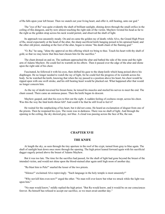of Ra falls upon your left breast. Then we snatch out your living heart, and offer it, still beating, unto our god."

The "eye of Ra" was quite evidently the shaft of brilliant sunlight, shining down through the small orifice in the ceiling of this dungeon, and by now almost touching the right side of the victim. Mayhew twisted his head as far to the right as the golden strap across his neck would permit, and observed the shaft of light.

Its approach was uncannily steady. On and on came the golden ray of death; while Alvo, the Grand High Priest of Ra, stood expectantly at the head of the altar, the sharp sacrificial knife hanging poised in his upraised hand; and the other old priest, standing at the foot of the altar, began to intone "the death chant of the flaming god."

"O, Ra," he sang, "shine thy approval on this offering which we bring to thee. Touch his heart with thy shaft of gold, so that we may know that thou hast chosen him for the sacrifice."

The chant droned on and on. The sunbeam approached the altar and bathed the side of the stone and the right arm of Adams Mayhew. He could feel its warmth on his elbow. Then it passed over the edge of the altar and shone upon the right side of his chest.

Fascinated, he followed it with his eyes, then shifted his gaze to the sharp knife which hung poised above his diaphragm. He no longer needed to watch the ray of light, for he could feel the progress of its warmth across his body. So he watched the knife, knowing that when the ray passed to a position above his heart, his chest would be ripped open with one swift stroke, and his still beating heart would be plucked out. What happened after that would no longer concern him.

As the ray of death traversed his breast-bone, he tensed his muscles and steeled his nerves to meet the end. The chant ceased. There came an ominous pause. Then the knife began its descent.

Mayhew gasped, and shut his eyes to blot out the sight. A sudden feeling of coolness swept, across his chest. Was this the way the fatal knife-thrust felt? And could it be that he still lived to feel it?

He waited for the outplucking of his heart, but it did not come. He heard an exclamation of disgust from one of the priests. Then he reopened his eyes. The room was in darkness. There was no shaft of light. And through the opening in the ceiling, the sky showed gray, not blue. A cloud was passing across the face of Ra, the sun.

# **CHAPTER XVII**

### **THE KNIFE**

At length the sky, as seen through the tiny aperture in the roof of the crypt, turned from gray to blue again. The shaft of sunlight beat down once more through the opening. The high priest leaned forward again with his sacrificial dagger eagerly poised above the breast of Adams Mayhew.

But it was too late. The time for the sacrifice had passed, for the shaft of light had gone beyond the breast of the intended victim, and would not shine upon the blood-stained altar again until high noon of another day.

"Ra blast him to Pele!" snarled the lesser of the two priests.

"Silence!" exclaimed Alvo reprovingly. "Such language in the holy temple is most unseemly!"

"Why not kill him even now?" urged the other. "No man will ever know but what we struck while the light was upon him."

"No man would know," mildly replied the high priest. "But Ra would know, and it would be on our consciences forever. Ra himself has refused to accept our sacrifice, so we must await another day."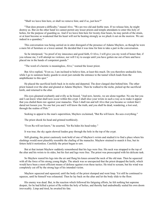"Shall we leave him here, or shall we remove him; and if so, just how?"

"That does present a difficulty," mused Alvo. "We are two old and feeble men. If we release him, he might destroy us. But on the other hand we cannot permit any lesser priests and temple attendants to enter this holy of holies, for the purpose of guarding us. And if we leave him here for twenty-four hours, he may perish of the strain, or at least become so weakened that his heart will not be beating strongly as we pluck it out on the morrow. We are indeed in a quandary."

This conversation was being carried on in utter disregard of the presence of Adams Mayhew, as though he were a mere bit of furniture or a lower animal. He decided that it was time for him to take a part in the conversation.

So he interposed, "As proof of my innocence and good faith, O Alvo, I will give you my word of honor that, if you release me, I will attempt no violence, nor will I try to escape until you have gotten me out of here and have placed me in the hands of competent guards."

"The word of a heretic is meaningless, Alvo," warned the lesser priest.

But Alvo replied, "Even so, I am inclined to believe him, at least this much. Do you therefore unshackle him, while I go to summon husky guards to await just outside the entrance to the tunnel which leads from the amphitheater to this spot."

He placed the sacrificial knife back in its niche and departed. The door clanged shut behind him. The other priest leaned over the altar and gloated at Adams Mayhew. Then he walked to the niche, picked up the sacrificial knife, and returned to the altar.

His eyes gleamed exultantly and evilly as he hissed, "And now, heretic, we are alone together. No one but you and I can know what shall now occur within this crypt. I shall slice your wrists in such a way as to make it appear that you chafed them raw against your manacles. Then I shall run and tell Alvo that you became so violent that I dared not loosen you. No one but you and I will know the truth, and you shall be dead, wandering, a lost soul, through the realms of Pele."

Seeking to appeal to the man's superstition, Mayhew exclaimed, "But Ra will know. Ra sees everything."

The priest shook his head and grinned toothlessly.

"Even Ra will not know," he asserted, "for Ra hides his head today."

It was true; the sky again showed leaden gray through the hole in the top of the crypt.

Still gloating, the priest cautiously took hold of one of Mayhew's wrists and studied it to find a place where his slashings would most plausibly resemble the chafing of the manacles. Mayhew strained to snatch it free, but its fetters held it motionless. Carefully the priest began to saw.

But at that instant Mayhew suddenly remembered that his legs were free. His neck was strapped to the top of the altar and his wrists to its sides, but his feet and legs were free. The priest was preoccupied with his delicate task.

So Mayhew reared his legs into the air and flung his knees around the neck of the old man. Then he squeezed with all the force of his strong young thighs. The attack was so unexpected that the priest dropped the knife, which would have been a most efficient means of defense against even these tactics. He tried to scream, but his wind was completely cut off by the strong legs of his intended victim.

Mayhew squeezed and squeezed, until the body of the priest slumped and went limp. Yet still he continued to squeeze, until he himself was exhausted. Then he lay back on the altar and let the body slide to the floor.

His enemy was dead. But, in the reaction which followed his fatiguing efforts, he felt nothing but supreme despair, for he had killed a priest of Ra within the holy of holies, and thereby had undoubtedly sealed his own doom irrevocably. Limp and tired, he awaited his fate.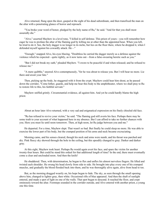Alvo returned, flung open the door, gasped at the sight of his dead subordinate, and then transfixed the man on the altar with a penetrating glance of horror and reproach.

"You broke your word of honor, pledged by the holy name of Ra," he said. "And for that you shall most assuredly die."

"Alvo," asserted Mayhew in a level tone, "I killed in self defense. This priest of yours—you will remember how eager he was to profane the altar of the flaming god by killing me at other than the appointed hour. When you left, he tried to do it. See, the holy dagger is no longer in its niche, but lies on the floor there, where he dropped it, when I defended myself against his cowardly attack. He—"

"Enough," snapped Alvo, his eyes blazing. "Doubtless he carried the dagger merely as a defense against the violence which he expected—quite rightly, as it now turns out—from a false-swearing heretic such as you."

"But I did not break my oath," pleaded Mayhew. "I swore to be peaceful if and when released; and he refused to release me."

"A mere quibble," sneered Alvo contemptuously, "for he was about to release you. But I will hear no more. Lie there and await your fate."

Then, picking up the body, he staggered with it from the crypt. Mayhew could hear him shout, as he passed down the corridor, "Come hither, guards, and help me bear this body to the amphitheater, where we shall pray to Ra to restore life to this, his faithful servant."

Mayhew sniffed grimly. Circumstantial evidence, all against him. And yet he could hardly blame the high priest.

About an hour later Alvo returned, with a very sad and enigmatical expression on his finely chiseled old face.

"Ra has refused to revive your victim," he said. "The flaming god still averts his face. Perhaps there may be some truth to your account of what happened here in my absence. But I can afford to take no further chances with you. Here you must lie until noon tomorrow. Then, at high noon, let Ra judge between you and me."

He departed. For a time, Mayhew slept. That wasn't so bad. But finally he could sleep no more. He was able to exercise the lower part of his body, but the cramped position of his arms and neck became excruciating.

Morning came, and his senses cleared, though his neck and arms were numb, and his throat was parched and dry. Pink fleecy sky showed through the hole in the ceiling, but this speedily changed to gray. Darker and darker gray.

At this sight, Mayhew took heart. Perhaps Ra would again avert his face, and spare the victim for another twenty-four hours. But could he stand this ordeal for that additional length of time? In the end, there must eventually come a clear and unclouded noon. And then the knife!

He shuddered. Then, with determination, he began to flex and unflex his almost nerveless fingers. He lifted and twisted each shoulder. He swung his head slowly from side to side. He brought into play every one of his cramped muscles, and gradually the blood flooded back into them, and he was thoroughly alive again, alive from head to toe.

But, as the morning dragged wearily on, his hope began to fade. The sky, as seen through the small opening above him, changed to lighter gray, then white. Occasional rifts of blue appeared. And then the shaft of sunlight entered, and made a spot of light on one of the walls. That spot began to descend. It reached the floor, and crept ominously toward the altar. Footsteps sounded in the corridor outside, and Alvo entered with another priest, a young one this time.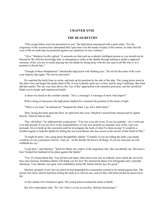### **CHAPTER XVIII**

#### **THE DEAD RETURN**

"This young fellow owes his promotion to you," the high priest announced with a grim smile. "For the exigencies of the occasion have demanded that I pass him over the heads of many of his seniors, in order that the vicar of Ra on earth may be protected against any repetition of your violence."

"Alvo," Mayhew levelly replied, "it astounds me that such an evidently intelligent person as you should not be blessed by Ra with the knowledge that, in attempting to strike at the Spider through putting to death a supposed emissary of his, you are in reality playing into his hands by doing away with the one man in all Mu who is in a position to thwart him."

"Enough of these blasphemies!" shouted the high priest with flashing eyes. "Do not let the name of Ra cross your impious lips again. The service proceeds."

He snatched the knife from its niche, and took up his position by the side of the altar. The young priest stood at the altar's foot and began the death-chant of Ra. It was evidently quite new to him, and he sang it haltingly. But what did that matter! The sky was clear above, the "eye of Ra" approached with relentless precision, and the sacrificial blade was in steady and experienced hands.

A shout was heard in the corridor outside. "Alvo, a message! A message of most vital import!"

With a shrug of annoyance the high priest studied for a moment the position of the beam of light.

"There is yet time," he announced. "Suspend the chant. I go, but I shall return."

Then, laying the knife upon the floor, he sped from the room. Mayhew's tensed body relaxed and he sighed heavily. Then he had an idea.

"Say, old fellow," he addressed the young priest. "You owe your job to me. If you are grateful—no, I won't put it on that ground. If you are alive to the responsibilities of your new position as assistant vicar of Ra, can't you persuade Alvo to hold up this execution until he investigates the truth of what I've been saying? It would be a terrible tragedy to help the Spider by killing the one loyal Muian who has access to the secrets of that fiend of Pele."

"It might be done," the young priest thoughtfully replied. "Certainly if you are telling the truth, your death would be on our consciences forever. And yet—let Ra decide! He knows all things. If you are innocent, he will withhold his eye."

"Look here," said Mayhew. "Send for Marta, the widow of the magistrate Julo. She can identify me. She knows how I helped her husband in his plans against the Spider."

"Yes. I've heard about that. You led him and many other brave men into an ambush, from which the survivors have just returned. Doubtless Marta will thank you for *that*! We learned all about it by heliograph early yesterday afternoon. Your identity was quite well established, before Ra finally hid his face for good."

Mayhew groaned. Every fact on which he had depended for exoneration seemed to be turned against him. The priests now knew that he had been telling the truth as to who he was, and yet they still believed that he deserved to die.

At this instant Alvo bustled in again. The young priest resumed the chant of death.

But Alvo interrupted with, "No. No! There is to be no sacrifice. Release the prisoner."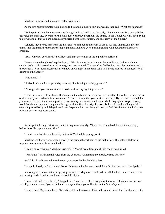Mayhew slumped, and his senses reeled with relief.

As the two priests fumbled with his bonds, he shook himself again and weakly inquired, "What has happened?"

"Ra be praised that the message came through in time," said Alvo devoutly. "But then it was Ra's own self that delivered the message. Ever since Ra hid his face yesterday afternoon, the temple in the Golden City has been trying to get word to us that you are indeed a loyal friend of the government, and an enemy of the Spider."

Tenderly they helped him from the altar and led him out of the room of death. As they all passed out of the tunnel into the amphitheater a surprising sight met Mayhew's eyes; Porto, standing with outstretched hands of greeting.

"But," Mayhew exclaimed, "the Spider said that every man of the expedition perished."

"He may have thought so," replied Porto. "What happened was that we advanced in two bodies. Only the smaller body, which served as an advance guard, was trapped. The rest of us fled back to the ships, and returned to the Golden City for reenforcements. From now on we fight in the open. All Mu is being aroused to the necessity of destroying the Spider."

"And Eleria—"

"Arrived safely at home yesterday morning. She is being carefully guarded."

"I'll wager that you had considerable to do with saving my life just now."

"I did, but it was a close shave. The temple in the city sent out inquiries as to whether I was there or here. Word of this inquiry reached me a few hours later. At once I sensed that you must be the cause. By the time I learned that you were to be executed as an impostor it was evening, and so we could not send a heliograph message. Leaving word that the message must be gotten through with the first clear sky, I set out for here. I traveled all night. My elephant proved balky and delayed me. I was desperate. I arrived here just now, to find that the message had gotten through, and that you were saved."

At this point the high priest interrupted to say sententiously: "Glory be to Ra, who delivered the message, before he smiled upon the sacrifice."

"Didn't I say that it could be safely left to Ra?" added the young priest.

Mayhew and Porto were served a meal in the personal apartment of the high priest. The latter withdrew in response to a summons from an attendant.

"I could be very happy," Mayhew asserted, "if Moorfi were free, and if Julo hadn't been killed."

"What's this?" said a genial voice from the doorway. "Lamenting my death, Adamo Mayho?"

And Julo himself stepped into the room, accompanied by the high priest.

"I thought I told you!" exclaimed Porto. "Julo was with the party that did not fall into the web of the Spider."

It was a glad reunion. After the greetings were over Mayhew related in detail all that had occurred since their last meeting, and all that he had learned about the Spider.

"Come back with us to the city," begged Julo. "You have risked enough for the cause. Eleria and we are now safe. Fight in our army if you wish, but do not again thrust yourself between the Spider's jaws."

"I must," said Mayhew soberly. "Moorfi is still in the caves of Pele, and I cannot desert him. Furthermore, it is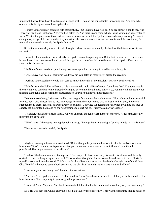important that we learn how the attempted alliance with Tirio and his confederates is working out. And also what other secrets the Spider must have up his sleeve."

"I guess you are right," assented Julo thoughtfully, "but I hate to have you go. You are almost a son to me. And I owe you my life at least once. Yes, you had better go. And there is one thing which I wish you to particularly try to learn. What is the purpose of those extensive excavations, on which the Spider is so assiduously working? I cannot even guess, and yet I feel certain that they constitute the worst menace that has ever confronted this continent; far more of a menace than merely the Spider himself."

So that afternoon Mayhew went back through Forbosa to a certain tree by the bank of the lotus-strewn stream, and waited.

He waited for some time, for evidently the Spider was not expecting him. But at last he saw the red haze which he had learned to know so well, and passed through the screen of worluk into the cave of the Spider. Once more he stood before his master.

The Spider's narrowed and penetrating eyes were upon him, seeming to read his very thoughts.

"Where have you been all this time? And why did you delay in returning?" hissed the creature.

"Perhaps your excellency would first care to know the results of my mission," Mayhew coolly replied.

"Tolofo," said the Spider with one of his characteristic rapid shifts of mood, "one thing that I like about you is the way that you stand up to me, instead of cringing before me like all these cattle. Yes, you may tell me about your mission, although I can see from the expression on your face that it was not successful."

"No, your excellency," Mayhew replied, in as regretful a tone as he could muster. "Not only was it unsuccessful for you, but it was almost fatal to me. In revenge for what they considered was an insult to their god, the priests strapped me to their sacrificial altar for twenty-four hours. But twice Ra declined the sacrifice by hiding his face at exactly the appointed hour, and so the superstitious fools let me go. But it was a narrow escape."

"I wonder," mused the Spider softly, but with an intent though covert glance at Mayhew, "if Ra himself really intervened to save you."

"Who knows?" the young man replied with a shrug. "Perhaps Pele sent a wisp of smoke to hide her rival's face."

The answer seemed to satisfy the Spider.

Mayhew, seeking information, continued, "But, although the priesthood refused to ally themselves with you, how about Tirio? His secret anti-government organization has more men and more influential men than the priesthood. Has he yet assented to an alliance?"

"He has," the hunchback scientist replied. "The escape of Eleria was really fortunate, for it removed the only obstacle to my reaching an agreement with Tirio. And—although he doesn't know this—I intend to have Eleria for myself as soon as I rule the world. Tirio's price for the alliance is that he is to be the chief magistrate of the Golden City. He thinks thereby to secure both power and the girl. But I can plan at least one lap ahead of him."

"I am sure your excellency can," breathed the American.

"And now," the Spider continued, "I shall send for Tirio. Somehow he seems to feel that you harbor a hatred for him, because of his complicity in your original imprisonment."

"Not at all," said Mayhew. "Far be it from me to let that stand between me and a loyal ally of your excellency."

So Tirio was sent for. On his entry he looked at Mayhew most carefully. This was the first time that he had seen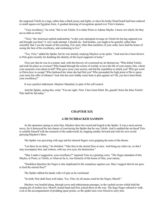the supposed Tolofo in a toga, rather than a black jersey and tights; or since his bushy blond beard had been reduced to small square-cut Egyptian form. A gradual dawning of recognition spread over Tirio's features.

"Your excellency," he cried, "this is not Tolofo. It is either Porto or Adamo Mayho. I know not which, for they are as alike as twins."

"Tirio," the American replied undisturbed, "is this your attempted revenge on Tolofo for having captured you and brought you here? A very weak attempt, I should say. And besides, you ought to be grateful, rather than resentful, that I was the means of this meeting. Few men, other than members of your order, have had the honor of seeing the face of his excellency, and continuing to live."

"Yes, Tirio," added the Spider, but he was intently studying Mayhew as he spoke. "And men have been thrown to Pele quite recently for doubting the identity of this loyal supporter of mine."

Tirio saw that he was in a corner; and, with the bravery of a cornered rat, he blurted out, "Who killed Tolofo, and took his place as overseer? Who leaped through the screen of worluk, to save the life of your enemy Julo, whom your assassins were about to kill? Who gave away your secrets, and led the expedition to attack you? Who got word to Eleria how to escape? Who harbored her when she had fled you? Who persuaded the high priest of Ra to spurn your most fair offer of alliance? And who has now boldly come back to plot against us? Oh, you have been blind, your excellency!"

It was a perfect indictment. Mayhew blanched, in spite of his self control.

And the Spider, seeing this, cried, "You are right, Tirio. I have been blind. Ho, guards! Seize the false Tolofo! Pele shall be fed today."

### **CHAPTER XIX**

### **A HUNCHBACKED SAMSON**

As the spearmen sprang to seize him, Mayhew drew his sword and leaped at the Spider. It was a most unwise move, for it destroyed his last chance of convincing the Spider that he was Tolofo. And it enabled the rat-faced Tirio to solidify himself with the monarch of the underworld, by stepping nimbly forward and with his own sword parrying Mayhew's blow.

The Spider was quivering with rage and his taloned fingers were gripping the arms of the throne.

"Let there be no delay," he shrieked. "Take him to the eternal fires at once. And bring my chair-car, so that I may accompany him, and witness, with my own eyes, his destruction."

"May I make a suggestion, your excellency?" inquired Tirio in a gloating voice. "The Negro attendant of this Mayho, or Porto, or Tolofo, or whoever he is, was formerly of the house of Julo, your enemy.

"Doubtless therefore the Negro is also implicated in the conspiracy against you. May I suggest that he too goes to feed the eternal fires?"

The Spider rubbed his hands with evil glee as he exclaimed:

"In truth, Pele shall feast well today. Yes, Tirio, by all means send for the Negro, Moorfi."

Mayhew was hustled along, through caves and subterranean passages, to the vaulted cavern which held the surging pit of molten lava. Moorfi, bound hand and foot, joined them on the way. The huge Negro refused to walk, even to the accompaniment of prodding spear-points, so the spider-men were forced to carry him.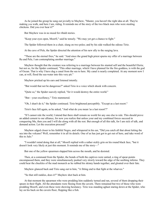As he joined the group he sung out jovially to Mayhew, "Master, you haven't the right idea at all. They're making *you* walk, and here *I* am, riding. It reminds me of the story of the two black men who were stealing chickens. Did you ever hear it?"

But Mayhew was in no mood for ribald stories.

"Keep your eyes open, Moorfi," said he tensely. "We may yet get a chance to fight."

The Spider followed them in a chair, slung on two poles; and by his side walked the odious Tirio.

At the cave of Pele, the Spider directed the attention of his new ally to the surging lava.

"These are the eternal fires," he said. "And since the grand high priest spurns my offer of a marriage between Ra and Pele, I am contemplating another marriage."

Mayhew thought that the creature was referring to a marriage between his stunted self and the beautiful Eleria; but not so, for the Spider continued, "This other marriage, which I have planned for the fire-goddess, is with the god of Ocean. That is why I have dug a canal from the sea to here. My canal is nearly completed. At any moment now I can, at will, flood the sea-water into this very pit."

Mayhew pricked up his ears and listened intently.

"But would that not be dangerous?" asked Tirio in a voice which shook with concern.

"Quite so," the Spider suavely replied, "for it would destroy the entire world."

"But—your excellency," Tirio stammered.

"Oh, I shan't do it," the Spider continued. Tirio brightened perceptibly. "Except as a last resort."

Tirio's face fell again, as he asked, "And what do you mean 'as a last resort'?"

"If I cannot rule the world, I intend that there shall remain no world for any one else to rule. This should prove an added cement to our alliance, for now you realize that unless your and my combined forces succeed in conquering Mu, then you and I will die along with all the rest. But enough of all this talk, for I am sick of talk, and demand action. Let the execution proceed!"

Mayhew edged closer to his faithful Negro, and whispered in his ear, "Did you catch all that about letting the sea into the volcano? Well, remember it in all its details. One of us has just got to get out of here, and take word of this to Julo."

"I wouldn't mind doing that at all," Moorfi replied with a rather sickly grin on his round black face, "but it doesn't look very likely at just this moment. It reminds me of the story—"

But one of the yellow spearmen slapped him across the mouth, and he desisted.

Then, at a command from the Spider, the bonds of both the captives were untied, a ring of spear-points encompassed them, and they were simultaneously pushed very slowly toward the edge of the seething inferno. They could hear the chuckles of the mad monarch as he rubbed his skinny hands together, and gloated over their fate.

Mayhew glanced back and Tirio sang out to him, "A fitting end to that fight at the wharves."

"So that still rankles, does it?" Mayhew shot back at him.

At that moment the spearmen who were prodding him suddenly turned and ran, several of them dropping their spears in their flight. All the attendants were fleeing from the cavern. There remained but two of those who were prodding Moorfi, and even these were showing hesitancy. Tirio was standing aghast staring down at the Spider, who lay on his back on the cavern floor, flopping like a fish.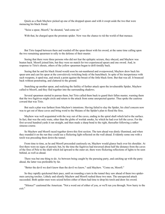Quick as a flash Mayhew picked up one of the dropped spears and with it swept aside the two that were menacing his black friend.

"Seize a spear, Moorfi," he shouted, "and come on."

With that, he charged upon the prostrate spider. Now was the chance to rid the world of that menace.

But Tirio leaped between them and warded off the spear-thrust with his sword, at the same time calling upon the two remaining spearmen to rally to the defense of their master.

Seeing that there were three persons who did not fear the epileptic seizure, they obeyed, and Mayhew was beaten back. Moorfi joined him, but they were no match for two experienced spears and one sword. And, in response to Tirio's shouts, others of the yellow spearmen began to drift timidly back.

Seeing that he and his black friend would soon be out-numbered and overpowered, Mayhew drew back his spear-arm and cast his spear at the convulsively twitching body of the hunchback. In spite of his inexperience with such weapons, it sped true, and struck a point against the breast of the little black form. But that was all. It bounced back without penetrating, and clattered to the ground.

Snatching up another spear, and realizing the futility of further attack upon the invulnerable Spider, Mayhew called to Moorfi, and they fled together into the surrounding shadows.

Several spearmen started to pursue them, but Tirio called them back to guard their fallen master, warning them that the two fugitives might circle and return to the attack from some unexpected quarter. Thus spoke the cautious coward that was Tirio.

But such a plan was farthest from Mayhew's intentions. Having failed to slay the Spider, his chief concern now was to get out of these caves and bring word to the Muians of the Spider's plan to flood the fires.

Mayhew was well acquainted with the way out of the caves, ending in the spiral shaft which led to the surface. In fact, that was the only route, other than the globe of worluk smoke, by which he had ever left the caves. For the first several hundred yards it ran straight, and then made a sharp bend to the right, thereafter following a rather sinuous course.

So Mayhew and Moorfi raced together down this first section. The turn ahead was dimly illumined, and when they rounded it on the run they could see a flickering light reflected on the wall ahead. Evidently some one with a torch was preceding them down the tunnel.

From time to time, as he and Moorfi proceeded cautiously on, Mayhew would glance back over his shoulder. At first there were no signs of pursuit; but, by the time the fugitives had traversed about half the distance from the caves of the fires of Pele to the shaft which led upward to the outer air, there were flickering reflections of lights to be seen behind, as well as ahead.

There was but one thing to do. As between being caught by the pursuing party, and catching up with the party ahead, the latter was preferable by far.

"Better the devil we don't know than the devil we know," said Mayhew. "Come on, Moorfi."

So they rapidly quickened their pace, until on rounding a turn in the tunnel they saw ahead of them two spider men carrying torches. Lithely and silently Mayhew and Moorfi rushed these two men. The unexpected attack succeeded. Both spider-men were seized before either of them had time to drop his torch and draw his sword.

"Silence!" cautioned the American. "Not a word out of either of you, or we'll run you through. Now hurry to the exit."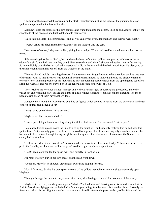The four of them reached the open air on the starlit mountainside just as the lights of the pursuing force of spider-men appeared at the foot of the shaft.

Mayhew seized the torches of his two captives and flung them into the depths. Then he and Moorfi took off the swordbelts of the two men and buckled them onto themselves.

"Back into the shaft," he commanded, "and, as you value your lives, don't tell any one that we went west."

"West?" asked his black friend incredulously, for the Golden City lay east.

"Yes, west, of course," Mayhew replied, giving him a nudge. "Come on." And he started westward across the rocks.

Silhouetted against the starlit sky, he could see the heads of the two yellow men peering at him over the top edge of the shaft, and he knew that they could likewise see him and Moorfi silhouetted against that self-same sky. So he ran lightly over the barren rocks due west, until a dip in the terrain hid the shaft-mouth from his view, and by the same token hid him and Moorfi from the watchers at the shaft.

Then he circled rapidly, watching the stars like a true mariner for guidance as to his direction, until he was east of the shaft. And, as that direction was down hill from the shaft-mouth, he knew that he and his black companion were invisible. Glancing back over his shoulders he saw the pursuing horde emerge from the opening and set off on a run due west. He and Moorfi hurried on in the general direction of the City of Gold.

They reached the lowlands without mishap, and without further signs of pursuit; and proceeded, under the velvet sky and twinkling stars, toward the lights of a little village which they could see in the distance. The moon began to rise ahead of them beyond the village.

Suddenly they found their way barred by a line of figures which seemed to spring from the very earth. And each of these figures brandished a spear.

"Halt!" cried one of them. "Who are you?"

Mayhew and his companion halted.

"I am a peaceful gentleman traveling at night with his black servant," he answered. "Let us pass."

He glanced keenly up and down the line, to size up the situation—and suddenly realized that he had seen this spot before! That peculiarly gnarled willow tree flanked by a group of bushes which vaguely resembled a hen—he had seen it often before, through the crystal globe and the sphere of worluk smoke of his master the Spider. His enemy had located him!

"Follow me, Moorfi, and do as I do," he commanded in a low tone; then more loudly; "These men seem to be perfectly friendly, and I am sure will let us pass." And he began to advance upon them.

"Halt!" again commanded the spear-man most directly in front of him.

For reply Mayhew hurled his own spear, and the man went down.

"Come on, Moorfi!" he shouted, drawing his sword and leaping forward.

Moorfi followed, driving his own spear into one of the yellow men who was converging dangerously upon Mayhew.

They got through the line with only a few minor cuts, after having accounted for two more of the enemy.

Mayhew, in the lead, heard a groaning cry, "Master!" behind him; and, looking over his shoulder, saw that the faithful Moorfi was lying prone, with the haft of a spear protruding from between his shoulder blades. Instantly the American halted his mad flight and rushed back to place himself between the prostrate body of his friend and the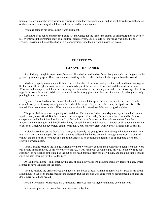horde of yellow men who were swarming toward it. Then they were upon him, and he went down beneath the force of their impact. Something struck him on the head, and he knew no more.

When he came to his senses again it was still night.

Mayhew's head ached and throbbed as he lay and waited for the last of the enemy to disappear; then he tried to roll over toward the prostrate body of his faithful black servant. But he could not move; he was pinned to the ground. Looking up, he saw the shaft of a spear protruding into the air from his own left breast.

### **CHAPTER XX**

#### **TO SAVE THE WORLD**

It is startling enough to come to one's senses after a battle, and find one's self lying on one's back impaled to the ground by an enemy spear. But it is even more startling to then realize that one feels no pain from the wound.

Mayhew gingerly reached up both hands, seized the shaft of the spear and gave it a gentle and tentative wiggle. Still no pain. He wiggled it some more, and it rubbed against the left side of his chest and the inside of his arm. Whoever had attempted to deliver the coup-de-grâce to him had in the moonlight mistaken the billowing folds of his toga for his own form, and had driven the spear in at the wrong place, thus hurting him not at all, although securely pinning him to the ground.

By dint of considerable effort he was finally able to wrench the spear free and throw it to one side. Then he crawled slowly and inconspicuously over the body of the Negro. For, so far as he knew, the Spider on his skulltopped, blood-red throne might still be intently watching this scene through his crystal-gazing globe.

The poor black man was completely still and dead. The tears welled up into Mayhew's eyes. Here had been a loyal servant, a true friend. But there was no time to dispose of the body; furthermore a burial would be far too conspicuous, with the Spider looking on. So, after reciting what few snatches he could remember from the invocation to the sun god, and the Christian litany for burial at sea, and throwing a handful of dirt upon the massive black body which would never fight again for its native Mu, Mayhew crept swiftly away. Still no sign of pursuit.

A cloud passed across the face of the moon, and instantly the young American sprang to his feet and ran—ran until the moon came out again. But by that time he believed that he had gotten far enough away from the gnarled willow and the hen-bush to be out of sight of the Spider, so he continued to run instead of dropping down and crawling onward again.

Thus at last he reached the village. Fortunately there were a few coins in the pouch which hung from the swordbelt he had taken from one of his two yellow captives. It was just about enough to pay his way to the city if he ate sparingly, so he washed at the inn, had the cut on his head dressed, slept for a few hours, and took the first elephantstage the next morning for the Golden City.

At last he was home—and somehow this city of gold now was more his home than New Bedford, a city which seemed to have vanished off the earth.

Then he reached the ornate carved gold doors of the house of Julo. A lump of homesick joy arose in his throat as he mounted the steps and reached for the knocker. But the knocker was gone from its accustomed place, and the doors were barred and sealed.

No Julo! No home! What could have happened? His eyes misty, Mayhew stumbled down the steps.

A man was passing by, down the street. Mayhew hailed him.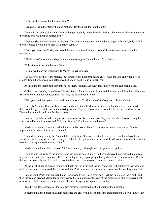"What has become of the house of Julo?"

"Sealed by the authorities," the man replied. "Try the next door on the left."

Then, with an expression on his face as though suddenly he realized that he had given too much information to the wrong person, the man hurried away.

Mayhew tried the next house, as directed. The doors swung open, and he darted eagerly forward, only to find the way barred by two black men with drawn scimitars.

"Don't you know me?" Mayhew asked the men who faced him, for both of them were servants whom he recognized.

"The house of Julo in these days is not open to strangers," replied one of the blacks.

Well, at least it was the house of Julo!

"Is Julo well, and his gracious wife Marta?" Mayhew asked.

"Both are well," the Negro replied, "but strangers are not permitted to enter. Who are you, and what is your errand? Look, he wears an iron belt instead of one of gold! He is a spider-man!"

At this announcement both servants raised their scimitars. Mayhew drew his sword and fell back a pace.

Calling them both by name he exclaimed, "I am Adams Mayhew! I captured this belt in a fight with spider-men. But no more of this foolishness! Send for Julo, and let him identify me!"

"Will you hand over your sword and submit to search?" asked one of the Negroes, still incredulous.

For reply Mayhew flung his broadsword at their feet and held his arms aloft, so that they were soon satisfied that, even though he might not be the missing Adamo Mayho, he was at least completely unarmed and harmless. They led him within and sent for their master.

Julo came with his usual stately tread; but as soon as his eyes set upon Mayhew he rushed forward, flung his arms around his neck, and sobbed, "My son! My son! You have returned to me."

Mayhew was much touched, and not a little embarrassed. To relieve his confusion he announced, "I have important information for the government."

"Important though it may be," replied the kindly Julo, "I refuse to listen to a word of it until you have bathed and shaved and changed and rested. But you had better keep that square-cut beard. It will come in handy, if you ever have to return again to the caves of Pele."

Mayhew shuddered. The caves of Pele! Was he not yet through with the gruesome Spider?

Then he was led away to the showers and swimming pool. Finally, bathed and shaved, and dressed in a clean toga, he returned to the reception hall, to find that quite a group of people had gathered there in his absence. But, of them all, he saw only one. Eleria! Eleria of the blue eyes, honey-colored hair, and cameo features.

At the sight of her he sprang forward and held out his arms; but she shyly and sadly shook her yellow head and held out her hand to him. And then he noticed that Porto was standing beside her. Somehow he had forgotten Porto.

But, after all, Porto was his friend; and Porto hadn't won Eleria from him—yet. So he greeted them both, and then turned and greeted Marta. He acknowledged the salutations of the rest of the group, men of high government position who had been active in organizing the recent expedition against the Spider.

Rapidly the developments of the past two days were sketched for the benefit of the newcomer.

It seemed that the Spider had again placarded the city with notices, this time announcing that he was now ready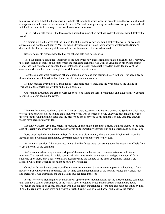to destroy the world, but that he was willing to hold off for a little while longer in order to give the world a chance to arrange with him the terms of its surrender to him. If Mu, instead of parleying, should choose to fight, he would still withhold the final stroke so long as his own forces were victorious.

But if—which Pele forbid—the forces of Mu should triumph, then most assuredly the Spider would destroy the world.

Of course, no one believed that the Spider, for all his uncanny powers, could destroy the world, or even any appreciable part of the continent of Mu; but when Mayhew, cutting in on their narrative, explained the Spider's diabolical plan for the flooding of the eternal fires with sea-water, the crowd sobered.

Several scientists present admitted that the scheme held dire possibilities.

Then the narrative continued. Inasmuch as the authorities now knew, from information given them by Mayhew, the exact location of many of the spots which the menacing alchemist was wont to visualize in his crystal gazingglobe, they had watched and guarded those spots; and, as a result, had actually waylaid and killed many of the emissaries who had been sent through the worluk screen to post notices.

Now these places were barricaded off and guarded, and no one was permitted to go to them. This accounted for the condition in which Mayhew had found his old home upon his return.

He now checked over their list, and added several more places, including the river bank by the village of Forbosa and the gnarled willow tree on the mountainside.

Other cities throughout the empire were reported to be taking the same precautions, and a huge army was being recruited to march against the caves.

The next few weeks sped very quickly. There still were assassinations; but one by one the Spider's worluk-spots were located and were closed to him, until finally the only way in which he could distribute proclamations was to throw them through the smoke-haze into the proscribed spots; any one of his minions who had ventured through would have been instantly killed.

Mayhew was kept very busy, chiefly in checking up information about the Spider. But he managed to see quite a lot of Eleria; who, however, distributed her favors quite impartially between him and his friend and double, Porto.

Porto wasn't quite his double these days, for Porto was cleanshaven, whereas Adams Mayhew still wore his Egyptian beard, which he abominated, as preparation for a possible return to the caves.

At last the expedition, fully organized, set out. Similar forces were converging upon the mountains of Pele from every other city of the continent.

And when the advance up the actual slopes of the mountain began, great care was taken to avoid known menaces. The men advanced in widely spaced skirmish lines, so that wherever lava and gas were poured forth suddenly upon them, only a few were killed. Remembering the sad fate of the other expedition, valleys were avoided. Cliffs from which rocks might be hurled were flanked.

Occasionally an advance party would be attacked from the rear by yellow men appearing miraculously from nowhere. But, whenever this happened, the far-flung communication lines of the Muians located the worluk-spot and thereafter it was guarded night and day, and thus rendered impotent.

It was slow work, fighting inch by inch almost, up the barren mountainsides, but the steady advance continued, until one day a soldier guarding one of the worluk spots brought to headquarters a paper which he had found clutched in the hand of an enemy spearman who had suddenly materialized before him, and had been killed by him. It bore the repulsive Spider-crest, and was very brief. It said, "You win. And now I will destroy the earth."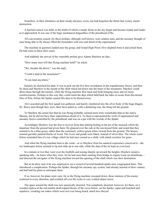Somehow, in their intentness on their steady advance, every one had forgotten the threat that victory meant destruction.

A hurried council was held, in the midst of which a steady drone in the sky began and became louder and louder as it approached. It was one of the huge mechanical dragonflies of the priesthood of Ra.

All conversation ceased, for these airships, although well known, were seldom seen, and the uncanny thought of man being able to fly always filled the bystanders with awe and dread of the supernatural.

The machine in question landed near the group, and Grand High Priest Alvo alighted from it and joined them. He had come to bless their cause.

And suddenly the arrival of the venerable prelate gave Adams Mayhew an idea.

"How many men will that flying machine hold?" he asked.

"Six, besides the driver," was the reply.

"Could it land in the mountains?"

"It can land anywhere."

Quickly he sketched his plan. It was to pick out the five best swordsmen in the expeditionary forces, and then fly them and Mayhew to the mouth of the shaft which led down into the heart of the mountains. Mayhew could direct them through the tunnels, while the flying machine flew back and forth bringing more and yet more reenforcements. Perhaps in this way they could reach the dam which held back the tides of ocean from the-eternal fires of Pele, before the Spider caused this dam to be blasted away.

Alvo assented and the first squad was gathered, and hastily clambered into the silver body of the huge dragonfly. Brave men though they were, their faces paled as, with a deafening roar, the thing left the ground.

To Mayhew the actual fact that he was flying probably seemed more truly remarkable than to the native Muians, but he did not have their superstitious dread of it. To them it represented the work of supernatural and uncanny forces controlled by the priesthood, and was on a par with the worluk of the Spider.

Accordingly Mayhew was the first to recover from that sinking feeling in the pit of the stomach which the departure from the ground had given them. He glanced over the side at the sun-kissed field, and noted that they seemed to be a blue-green, rather than the customary yellow-green when viewed from the ground. The houses seemed garishly painted blocks of wood. The rivers and ponds were black, instead of silver-blue. The whole scene below reminded him of a toy village which he had once owned as a child, with tinted excelsior for grass.

And when the flying machine bent to the wind—or so Mayhew from his nautical experience conceived it—the toy landscapes below seemed to tip and slide up to one side, while the ship of the air kept an even keel.

In a minute or two they were over the foothills and nosing sharply up toward the heights. Mayhew seized a speaking tube—he knew what they were, for he had seen them running from bridge to engine room on steamboats and directed the navigator of the flying machine toward the opening of the shaft which was their destination.

But as he drew near it he was surprised to see a crowd of several hundred spider-men congregated there. This introduced a complication. Perhaps the Spider, through his uncanny spy system, had already learned of their venture, and had laid his plans to anticipate them.

If so, however, his plans were vain; for as the flying machine swooped down, these minions of the enemy scattered in every direction, and scuttled off over the rocks in very evident abject terror.

The space around the shaft was now practically deserted. Not completely deserted, however; for there, on a wooden replica of the red-marble skull-topped throne of the caves below, sat the Spider, squat and hunched and repulsive, croaking out orders which were not even being heard, much less obeyed.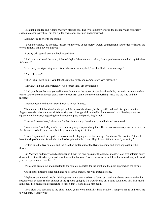The airship landed and Adams Mayhew stepped out. The five soldiers were still too mentally and spiritually shaken to accompany him; but the Spider was alone, unarmed and unguarded.

Mayhew strode over to the throne.

"Your excellency," he shouted, "at last we have you at our mercy. Quick, countermand your order to destroy the world. If not, I shall have to kill you."

A crafty grin spread over the hook-nosed face.

"And how can I send the order, Adamo Mayho," the creature croaked, "since you have scattered all my faithless followers?"

"Give me your signet ring as a token," the American replied, "and I will take your message."

"And if I refuse?"

"Then I shall have to kill you, take the ring by force, and compose my own message."

"Mayho," said the Spider fiercely, "you forget that I am invulnerable."

"And you forget that you yourself once told me that the secret of your invulnerability lies only in a certain shirt which you wear beneath your black jersey jacket. But come! No more temporizing! Give me the ring and the message!"

Mayhew began to draw his sword. But he never finished.

The creature's left hand suddenly gripped the arm of the throne, his body stiffened, and his right arm with fingers extended shot out toward Adams Mayhew. A surge of disembodied force seemed to strike the young man squarely on the chest, staggering him backward a pace and paralyzing his will.

"I am still master here," hissed the Spider triumphantly. "And now you will do as I command."

"Yes, master," said Mayhew's voice, in a singsong sleep-walking tone. He did not consciously say the words; in fact he strove to hold them back; but they came out in spite of him.

"Good!" ejaculated the Spider, a crooked smile playing across his thin lips. "And now," he exulted, "at last I have the ship of the air, for which I tried to bargain with the Grand High Priest. With it I can fly to safety."

By this time the five soldiers and the pilot had gotten out of the flying machine and were approaching the throne.

But Mayhew suddenly found a stronger will than his own speaking through his mouth, "You five soldiers hurry down into that shaft, where you will await me at the bottom. This is a situation which I prefer to handle myself. And you, navigator, come over here."

With some grumbling and uncertainty the soldiers departed for the shaft and the pilot approached the throne.

Out shot the Spider's other hand, and he held two men by his will, instead of one.

Mayhew's brain raced madly, thinking clearly in a detached sort of way, but totally unable to control either his speech or his actions. If only another of the Spider's epileptic fits would come on. But no such luck. That had saved him once. Too much of a coincidence to expect that it would save him again.

The Spider was speaking to the pilot, "Draw your sword and kill Adamo Mayho. Then pick me up and carry me to your ship. It is my will."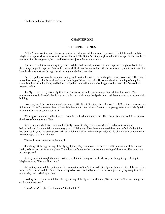The bemused pilot started to draw.

## **CHAPTER XXI**

## **THE SPIDER DIES**

As the Muian aviator raised his sword under the influence of the mesmeric powers of that deformed paralytic, Mayhew was powerless to move or to protect himself. The Spider's evil eyes gleamed with revenge. But he had been too eager for his vengeance; he should have waited just a few minutes more.

For the five soldiers had not quite yet reached the shaft-mouth, and one of them happened to glance back. And then things began to happen. This soldier was a skillful swordsman, and a knife thrower as well, and in an instant his keen blade was hurtling through the air, straight at the luckless pilot.

But the Spider too saw the weapon coming, and exerted his will to cause the pilot to step to one side. The sword missed its mark by a hairbreadth and went clattering off down the rocks. However, the side-stepping of the pilot saved Mayhew from his blow; and before the Spider could will the man back again to the attack the five soldiers were upon him.

Swiftly moved the hypnotically fluttering fingers as the evil creature swept them all into his power. The unfortunate pilot had been killed in the onslaught, but in his place the Spider now had five new automatons to do his bidding.

However, in all the excitement and flurry and difficulty of directing his will upon five different men at once, the Spider must have forgotten to keep Adams Mayhew under control. At all events, the young American suddenly felt his own efforts for freedom bear fruit.

With a gasp he wrenched his feet free from the spell which bound them. Then drew his sword and drove it into the throat of the menace of Mu.

As the creature died, its eyes turned pitifully toward its slayer, the man whom it had once trusted and befriended; and Mayhew felt a momentary pang of disloyalty. Then he remembered the crimes of which the Spider had been guilty, and the even grosser crimes which the Spider had contemplated; and his pity and self-condemnation were changed to wild exultation.

There still was time to save the world!

Snatching off the signet ring of the dying Spider, Mayhew shouted to the five soldiers, now out of their trance again, to bring torches from the plane. Then the six of them rushed toward the opening of the caves. Their entrance was unopposed.

As they rushed through the dark corridors, with their flaring torches held aloft, the thought kept echoing in Mayhew's ears, "There still is time!"

At last they reached the spot where the excavations of the Spider had left only one thin wall of rock between the waters of the ocean and the fires of Pele. A squad of workers, led by an overseer, were just hurrying away from the scene. Mayhew rushed up to them.

Holding out the hand which bore the signet ring of the Spider, he shouted, "By the orders of his excellency, the explosion must stop."

"Back! Back!" replied the foreman. "It is too late."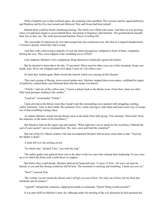With a frightful roar in that confined space, the retaining wall crumbled. The overseer and his squad dashed by, and Mayhew and his five men turned and followed. Pele and Ocean had been joined!

Behind them could be heard a deafening hissing. The whole cave filled with steam. And then an ever growing chaos of explosions began to occur behind them, increasing in frequency and intensity. The ground shook beneath their feet as they ran. The walls heaved and buckled. Pieces of ceiling fell.

The crescendo of explosions by now had merged into one continuous roar, like that of a tropical thunderstorm. Crevasses opened, which they had to jump.

And then with a showering avalanche of rock the entire passageway collapsed in front of them, completely barring the way. They were trapped in the crumbling caves of Pele!

Like madmen, Mayhew's five companions flung themselves frantically against the barrier.

But he shouted to them above the din, "Come back! There must be other ways out of this mountain. Keep your heads, men. We're not whipped until we're dead. Come on! Let's find a way."

So back they rushed again. Back toward the turmoil which was causing all this disaster.

They met a group of fleeing, terror-crazed spider-men. Mayhew stopped these newcomers, exhibited his signet of authority, calmed them, and informed them that the tunnel was barred.

"Tolofo," said one of the yellow men, "I know a detour back to the throne room. From there, there are other little-used passages leading to the surface."

"Lead on!" commanded "Tolofo."

Upon arriving at the throne room they found it and the surrounding caves packed with struggling, jostling, yellow humanity. And, in their midst, the centurion Tirio, vainly striving to calm them and learn some way of escape out of that crumbling roaring chaos.

As Adams Mayhew strode into the throne room at the head of his little group, Tirio shouted, "Seize him! Seize the impostor, in the name of his excellency!"

But Mayhew held up the signet ring and replied, "What right have you to speak for his excellency? Behold the seal of your master! I am in command here. Ho, men, seize and bind the centurion!"

But one of the five Muian soldiers who had accompanied Mayhew had no more sense than to add, "Anyway, the Spider is dead."

A hush fell over the jostling crowd.

"In which case," shouted Tirio, "you stole the ring."

The sullen spider-men glanced from one to the other of the two men who claimed their leadership. It was a tossup as to which the fickle mob would throw its support.

But before they could decide, Mayhew held up his hand and said, "A truce, O Tirio. All ways out must be barred, or you and this throng would not still be here. The mountain is cracking and trembling. I alone can save us."

"How?" sneered Tirio.

"By worluk. Let me mount the throne, and I will get you out of here. Not only out of here, but far from this mountain and its menace."

"Agreed!" shouted the centurion, clapping his hands in command. "Quick! Bring worluk powder!"

It was pure bluff on Mayhew's part; for, although under the tutoring of the evil alchemist he had mastered the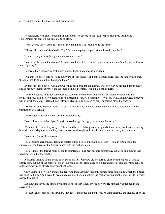art of crystal gazing, he never yet had made worluk.

Nevertheless, with an assumed air of confidence, he ascended the skull-topped blood-red throne and concentrated his gaze on the little globe of glass.

"What do you see?" anxiously asked Tirio, taking up a position beside the throne.

"The public square of the Golden City," Mayhew replied, "roped off and heavily guarded."

"I can send my troops through and overwhelm them."

"You won't be given the chance," Mayhew coolly replied. "*I'm* the Spider now, and there's not going to be any more fighting."

He swept the vision away with a wave of his hand, and concentrated again.

"Ah, that is better," said he. "The courtyard of Julo's house, and only a small guard. I'll send some white men through first, to explain the situation to them."

By this time the bowl of worluk powder had been brought and lighted. Mayhew waved his hand imperiously; and to his own intense surprise, the ascending smoke promptly took on a globular form.

The room heaved and shook, the torches quivered and smoked, and the din of volcanic explosions and splintering rock had by now become almost deafening. Yet, by a supreme effort of his will, Mayhew held steady the ball of worluk smoke. It cleared, and Julo's courtyard could be seen by all. The throng rushed toward it.

"Back!" shouted Mayhew above the din. "Any one who attempts to penetrate the smoke screen without my permission will vanish."

The superstitious yellow men promptly edged away.

"Now," he commanded, "you five Muian soldiers go through, and explain the truce."

With blanched faces they obeyed. They could be seen talking with the guards, then staring back with unseeing bewilderment. Mayhew ordered a yellow spear-man through, and saw the man enter the courtyard unmolested.

"Your turn, Tirio," he announced.

The centurion clenched his fists and steeled himself to step through into safety. Then, in single rank, the survivors of the forces of the Spider poured into the ball of smoke.

The ceiling of the throne room began to disintegrate. The heat became oppressive, the air so sulphurous that Mayhew could hardly breathe.

A hissing, sizzling sound could be heard on his left. Mayhew did not turn to gaze from the globe of smoke before him, but out of the corner of his eye he could see the front edge of a sluggish river of lava enter through one of the doorways and slowly approach the throne.

Only a handful of yellow men remained. And then Mayhew suddenly remembered something which the Spider had once told him: "And even if I were not a cripple, I could not hold the ball of worluk smoke intact while I myself passed through it."

Mayhew had saved the others by means of his Spider-taught mystic powers. He himself was trapped in the caves of Pele!

The last yellow man passed through. Mayhew leaned back on the throne, relaxing slightly, and sighed. Then the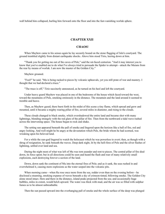wall behind him collapsed, hurling him forward onto the floor and into the fast-vanishing worluk sphere.

## **CHAPTER XXII**

## **CHAOS!**

When Mayhew came to his senses again he lay securely bound on the stone flagging of Julo's courtyard. The ground trembled slightly from distant earthquake shocks. Above him stood Tirio, leering down at him.

"Thank you for getting me out of the caves of Pele," said the rat-faced centurion. "And it may interest you to know that you've enabled me to do what I've always tried to persuade the Spider to attempt—attack the Muians from the rear by means of worluk. I am now the master of the Golden City."

Mayhew groaned.

"Fool!" he said. "Mu is being racked to pieces by volcanic upheavals, yet you still prate of war and mastery. I thought that we had declared a truce."

"The truce is off," Tirio succinctly announced, as he turned on his heel and left the courtyard.

Under heavy guard Mayhew was placed in one of the bedrooms of the house which faced toward the west, toward the mountains of Pele, smoking ominously in the distance. The mountain and the land around it seemed to tremble and heave.

Then, as Mayhew gazed, there burst forth in the midst of this scene a tiny flame, which spread and grew and mounted, until it became a mighty roaring pillar of fire, several miles in diameter, and rising to the clouds.

These clouds changed to black smoke, which overshadowed the entire land and became shot with many lightnings, blending strangely with the red glare of the pillar of fire. Then from the northward a tidal wave rushed across the intervening space. The house began to rock and shake.

The setting sun appeared beneath the pall of smoke and lingered upon the horizon like a ball of fire, red and angry looking. And well might he be angry at the devastation which Pele, the bride whom he had scorned, was wreaking upon his beloved land.

For a while the sun-god lingered to watch the holocaust which he was powerless to avert; then, as though with a shrug of resignation, he sank beneath the waves. Deep dark night, lit by the hell-fires of Pele and the silver flashes of lightning, settled over land and sea.

During the night most of what was left of Mu was torn asunder and rent to pieces. The central pillar of fire died down, its force spent; but in all directions could be seen and heard the flash and roar of many relatively small explosions, each destroying forever a section of the land.

Down, down sank the continent of Mu into the eternal fires of Pele; and as it sank, the seas rushed in and overwhelmed it, causing more explosions as the water seeped into the volcanic pits.

When morning came—when Ra rose once more from the sea, redder even than on the evening before—he disclosed a steaming, smoking expanse of waves beneath a sky of crimson-tinted, billowing smoke. The Golden City alone stood intact. Here and there in the distance, island peaks projected from the sea; and occasionally huge bubbles, miles in extent, would belch upward. The water was thick with mud, and the air was so filled with sulphur fumes as to be almost unbreathable.

Then the sun passed upward into the overhanging pall of smoke and the whole surface of the deep was plunged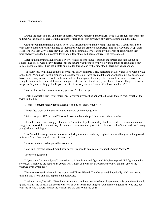into night once more.

During the night and day and night of horror, Mayhew remained under guard. Food was brought him from time to time. Occasionally he slept. But his captors refused to tell him any news of what was going on in the city.

On the second morning his double, Porto, was thrust, battered and bleeding, into his cell. It seems that Porto with some others of the army had fled to their ships when the eruption had started. The tidal wave had swept them close to the Golden City. There they had landed, to be immediately set upon by the forces of Tirio, whom they unexpectedly found to be in control. Porto and a few others had been captured. The rest scattered.

Later in the morning Mayhew and Porto were led out of the house, through the streets, and into the public square. The streets were nearly deserted, but the square was thronged with yellow men, thugs of Tirio, and a few miscellaneous Muians. Tirio sat in state on a golden throne, and by his side stood Eleria, her hands bound.

"The heavenly twins have come to see you, my dear," bantered Tirio, indicating Mayhew and Porto with a wave of his hand. "And now I have a proposition to put to you. You have declined the honor of becoming my queen. You have very bravely refused to yield to threats, and for that display of courage I love you all the more. So now I am going to buy your love, and at the same time get a little fun out of watching your choice. If you will agree to marry me peacefully and willingly, I will spare the life of one of your two friends. Which one shall it be?"

"You will spare him, in return for my promise?" asked the girl.

"Well, not exactly. But if you marry me, I give you my word of honor that he shall then go free. Which of the twins is it to be?"

"Honor?" contemptuously replied Eleria. "You do not know what it is."

The rat face went white, and Porto and Mayhew both smiled grimly.

"Wipe that grin off!" shrieked Tirio, and two attendants slapped them across their mouths.

Eleria then said conciliatingly, "I am sorry, Tirio, that I spoke so hastily, but I have suffered much and am not altogether responsible for what I say. Let me make you a counter proposition. Release both of them, and I will marry you gladly and willingly."

"No!" cried the two prisoners in unison, and Mayhew added, as his eye lighted on a small object on the ground in front of him. "We can take care of ourselves."

Tirio by this time had regained his composure.

"You think so?" he sneered. "And how do you propose to take care of yourself, Adamo Mayho?"

The crowd guffawed.

"If you weren't a coward, you'd come down off that throne and fight me," Mayhew replied. "I'll fight you with swords, at which you are reputed an expert. Or I'll fight you with my bare hands the way I did that day on the wharves over a year ago."

There were several snickers in the crowd, and Tirio stiffened. Then he grinned diabolically. He knew how to turn this into a joke and thus appeal to his followers.

"I tell you what," he said. "Were it not for my duty to these men who have chosen me to rule over them, I would gladly risk my life to settle old scores with you on even terms. But I'll give you a chance. Fight me as you are, but with my having a sword, and let the winner take the girl. What say you?"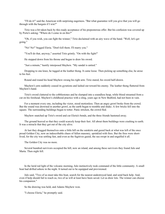"I'll do it!" said the American with surprising eagerness. "But what guarantee will you give that you will go through with the bargain if I win?"

Tirio was a bit taken back by this ready acceptance of his preposterous offer. But his confusion was covered up by Porto's asking: "Where do I come in on this?"

"Oh, if you wish, you can fight the winner," Tirio declaimed with an airy wave of the hand. "Well, let's get going."

"No! No!" begged Eleria. "Don't kill them. I'll marry you."

"You'll do that, anyway," asserted Tirio grimly. "On with the fight!"

He stepped down from his throne and began to draw his sword.

"Just a minute," hastily interposed Mayhew. "My sandal is untied."

Dropping to one knee, he tugged at the leather thong. It came loose. Then picking up something else, he arose to his feet.

Round and round his head Mayhew swung his right arm. Tirio stared, his sword half-drawn.

Mayhew's arm suddenly ceased its gyrations and lashed out toward his enemy. The leather thong fluttered from Mayhew's hand.

Tirio's sword clattered to the cobblestones and he slumped into a soundless heap, while blood streamed from a cut on his forehead. Mayhew's childhood practice with a sling, years ago in New Bedford, had not been in vain.

For a moment every one, including the victor, stood motionless. Then an angry growl broke from the crowd. But the sound was drowned in another growl, as the earth began to tremble and shake. A few bricks fell into the square. The surrounding buildings began to totter. Panic stricken, the crowd fled.

Mayhew snatched up Tirio's sword and cut Eleria's bonds, and the three friends hastened away.

The ground heaved so that they could scarcely keep their feet. All about them buildings were crashing to earth. It was a miracle that they got out of the city alive.

At last they dragged themselves onto a little hill on the outskirts and gazed back at what was left of the once proud Golden City, now an indescribable chaos of fallen masonry, sprinkled with fires. But the fires were shortlived, for the city was settling fast, and even as the fugitives gazed, the sea swept in and engulfed it all.

The Golden City was no more.

Several hundred survivors occupied the hill, now an island, and among these survivors they found Julo and Marta. Then night fell.

In the lurid red light of the volcanic morning, Julo instinctively took command of the little community. A small boat had drifted ashore in the night. It turned out to be equipped and provisioned.

Julo said, "Two of us must take this boat, search for the nearest undestroyed land, and send back help. And, even if help should fail to reach us, two of us will at least have been saved. Let us draw lots. The winner can choose his companion."

So the drawing was held, and Adams Mayhew won.

"I choose Eleria," he promptly said.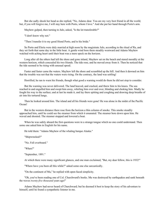But she sadly shook her head as she replied, "No, Adamo dear. You are my very best friend in all the world; but, if you will forgive me, I will stay here with Porto, whom I love." And she put her hand through Porto's arm.

Mayhew gulped, then turning to Julo, asked, "Is the lot transferable?"

"I don't know why not."

"Then I transfer it to my good friend Porto, and to his bride."

So Porto and Eleria were duly married at high noon by the magistrate Julo, according to the ritual of Ra, and they set forth that same day in the little boat. A gentle wind bore them steadily westward and Adams Mayhew watched with aching heart until their boat was a mere speck on the horizon.

Long after all the others had left the shore and gone inland, Mayhew sat on the beach and stared moodily at the western horizon, which concealed his two friends. The tide rose, and he moved away from it. Then he noticed that the tide seemed to be rising with unusual speed.

Faster and faster came the waters. Mayhew left the shore and scrambled up the hill. And then it dawned on him that the trouble was not that the waters were rising. On the contrary, the land was settling!

Horrified, he ran to warn his friends, though what good a warning would do them he did not stop to consider.

But the warning was never delivered. The land heaved, and cracked, and threw him to his knees. The sea reached in and engulfed him and swept him away, whirling him over and over, blinding and choking him. Madly he fought his way to the surface; and at last he made it, and lay there spitting and coughing and drawing deep breaths of air into his tortured lungs.

Then he looked around him. The island and all his friends were gone! He was alone in the midst of the Pacific Ocean!

But in the western distance there rose from the horizon a thin column of smoke. This smoke steadily approached him, until he could see the steamer from which it emanated. The steamer bore down upon him. He waved and shouted. The steamer stopped and lowered a boat.

When he was safely aboard the first questions were in a strange tongue which no one could understand. Then some one asked him in English for his name.

He told them: "Adams Mayhew of the whaling barque Alaska."

"Shipwrecked?"

"No. Fell overboard."

"When?"

"September, 1891."

At which there were many significant glances, and one man exclaimed, "But, my dear fellow, this is 1932!"

"Where have you been all this while?" asked some one else sarcastically.

"On the continent of Mu," he replied with open-faced simplicity.

"Oh, you've been reading one of Col. Churchward's books. Mu was destroyed by earthquakes and sank beneath the waves *twenty-five thousand* years ago!"

Adams Mayhew had never heard of Churchward; but he deemed it best to keep the story of his adventure to himself, until he found a sympathetic listener in me.